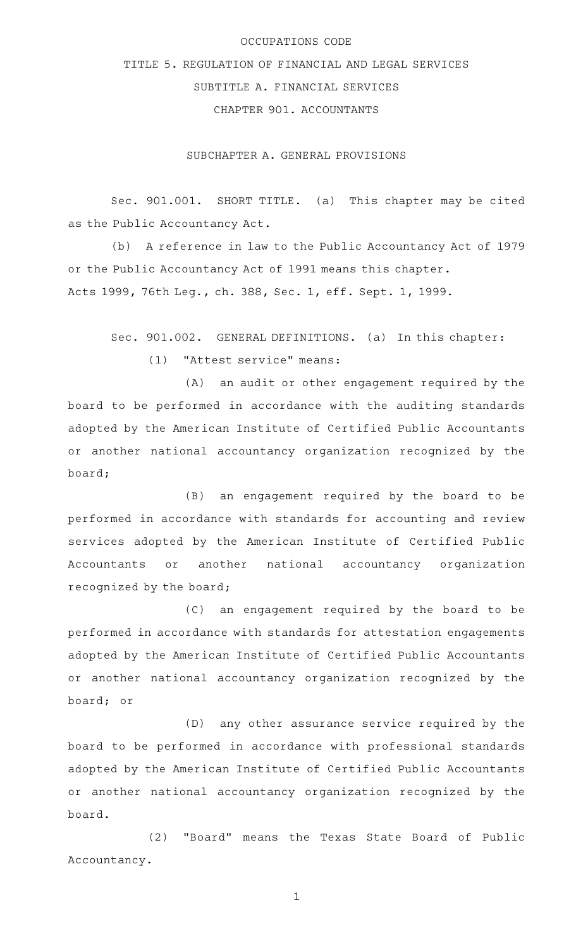# OCCUPATIONS CODE

# TITLE 5. REGULATION OF FINANCIAL AND LEGAL SERVICES SUBTITLE A. FINANCIAL SERVICES CHAPTER 901. ACCOUNTANTS

SUBCHAPTER A. GENERAL PROVISIONS

Sec. 901.001. SHORT TITLE. (a) This chapter may be cited as the Public Accountancy Act.

(b) A reference in law to the Public Accountancy Act of 1979 or the Public Accountancy Act of 1991 means this chapter. Acts 1999, 76th Leg., ch. 388, Sec. 1, eff. Sept. 1, 1999.

Sec. 901.002. GENERAL DEFINITIONS. (a) In this chapter:

 $(1)$  "Attest service" means:

(A) an audit or other engagement required by the board to be performed in accordance with the auditing standards adopted by the American Institute of Certified Public Accountants or another national accountancy organization recognized by the board;

(B) an engagement required by the board to be performed in accordance with standards for accounting and review services adopted by the American Institute of Certified Public Accountants or another national accountancy organization recognized by the board;

(C) an engagement required by the board to be performed in accordance with standards for attestation engagements adopted by the American Institute of Certified Public Accountants or another national accountancy organization recognized by the board; or

(D) any other assurance service required by the board to be performed in accordance with professional standards adopted by the American Institute of Certified Public Accountants or another national accountancy organization recognized by the board.

(2) "Board" means the Texas State Board of Public Accountancy.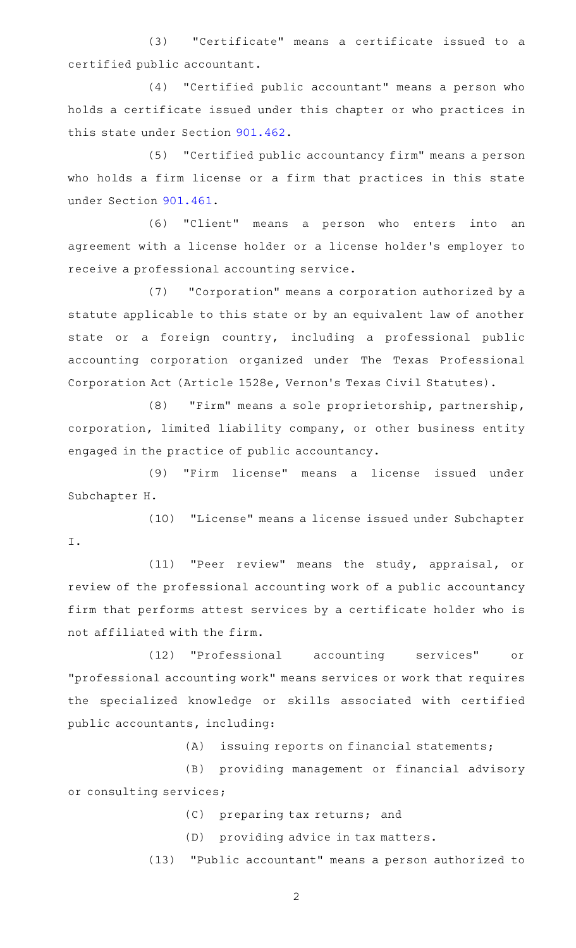(3) "Certificate" means a certificate issued to a certified public accountant.

(4) "Certified public accountant" means a person who holds a certificate issued under this chapter or who practices in this state under Section [901.462](https://statutes.capitol.texas.gov/GetStatute.aspx?Code=OC&Value=901.462).

(5) "Certified public accountancy firm" means a person who holds a firm license or a firm that practices in this state under Section [901.461](https://statutes.capitol.texas.gov/GetStatute.aspx?Code=OC&Value=901.461).

(6) "Client" means a person who enters into an agreement with a license holder or a license holder 's employer to receive a professional accounting service.

(7) "Corporation" means a corporation authorized by a statute applicable to this state or by an equivalent law of another state or a foreign country, including a professional public accounting corporation organized under The Texas Professional Corporation Act (Article 1528e, Vernon 's Texas Civil Statutes).

(8) "Firm" means a sole proprietorship, partnership, corporation, limited liability company, or other business entity engaged in the practice of public accountancy.

(9) "Firm license" means a license issued under Subchapter H.

(10) "License" means a license issued under Subchapter I.

(11) "Peer review" means the study, appraisal, or review of the professional accounting work of a public accountancy firm that performs attest services by a certificate holder who is not affiliated with the firm.

(12) "Professional accounting services" or "professional accounting work" means services or work that requires the specialized knowledge or skills associated with certified public accountants, including:

(A) issuing reports on financial statements;

(B) providing management or financial advisory or consulting services;

- (C) preparing tax returns; and
- (D) providing advice in tax matters.

(13) "Public accountant" means a person authorized to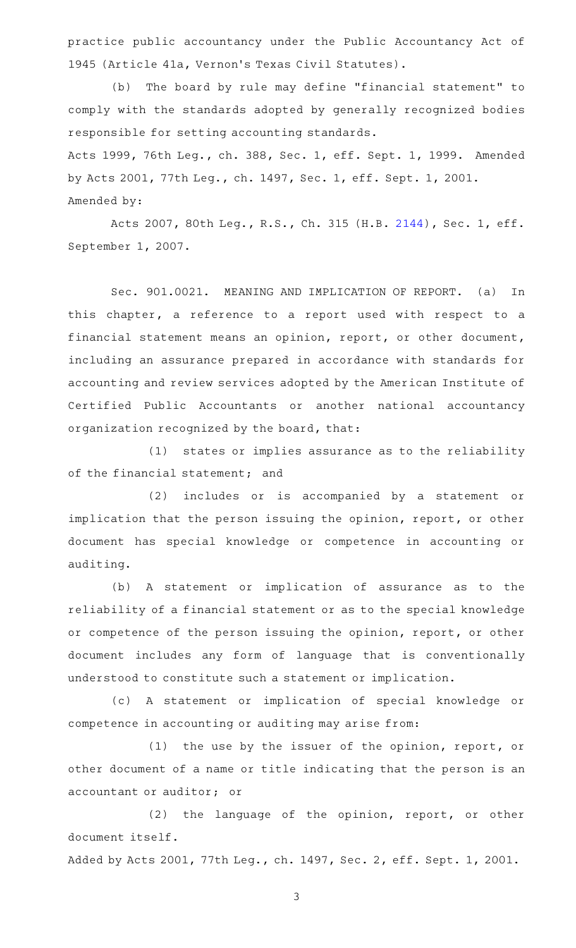practice public accountancy under the Public Accountancy Act of 1945 (Article 41a, Vernon 's Texas Civil Statutes).

(b) The board by rule may define "financial statement" to comply with the standards adopted by generally recognized bodies responsible for setting accounting standards.

Acts 1999, 76th Leg., ch. 388, Sec. 1, eff. Sept. 1, 1999. Amended by Acts 2001, 77th Leg., ch. 1497, Sec. 1, eff. Sept. 1, 2001. Amended by:

Acts 2007, 80th Leg., R.S., Ch. 315 (H.B. [2144](http://www.legis.state.tx.us/tlodocs/80R/billtext/html/HB02144F.HTM)), Sec. 1, eff. September 1, 2007.

Sec. 901.0021. MEANING AND IMPLICATION OF REPORT. (a) In this chapter, a reference to a report used with respect to a financial statement means an opinion, report, or other document, including an assurance prepared in accordance with standards for accounting and review services adopted by the American Institute of Certified Public Accountants or another national accountancy organization recognized by the board, that:

(1) states or implies assurance as to the reliability of the financial statement; and

(2) includes or is accompanied by a statement or implication that the person issuing the opinion, report, or other document has special knowledge or competence in accounting or auditing.

(b) A statement or implication of assurance as to the reliability of a financial statement or as to the special knowledge or competence of the person issuing the opinion, report, or other document includes any form of language that is conventionally understood to constitute such a statement or implication.

(c)AAA statement or implication of special knowledge or competence in accounting or auditing may arise from:

(1) the use by the issuer of the opinion, report, or other document of a name or title indicating that the person is an accountant or auditor; or

(2) the language of the opinion, report, or other document itself.

Added by Acts 2001, 77th Leg., ch. 1497, Sec. 2, eff. Sept. 1, 2001.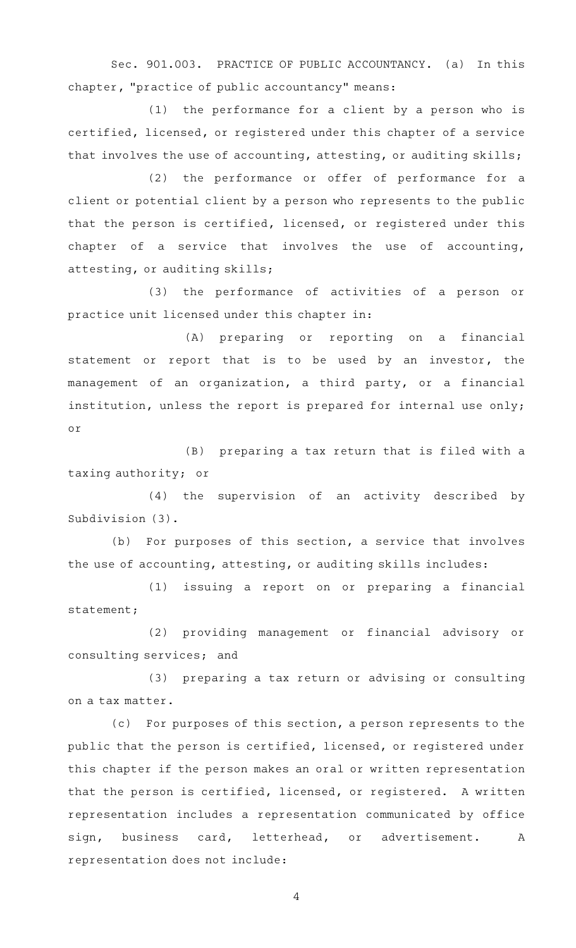Sec. 901.003. PRACTICE OF PUBLIC ACCOUNTANCY. (a) In this chapter, "practice of public accountancy" means:

 $(1)$  the performance for a client by a person who is certified, licensed, or registered under this chapter of a service that involves the use of accounting, attesting, or auditing skills;

(2) the performance or offer of performance for a client or potential client by a person who represents to the public that the person is certified, licensed, or registered under this chapter of a service that involves the use of accounting, attesting, or auditing skills;

(3) the performance of activities of a person or practice unit licensed under this chapter in:

(A) preparing or reporting on a financial statement or report that is to be used by an investor, the management of an organization, a third party, or a financial institution, unless the report is prepared for internal use only; or

(B) preparing a tax return that is filed with a taxing authority; or

(4) the supervision of an activity described by Subdivision (3).

(b) For purposes of this section, a service that involves the use of accounting, attesting, or auditing skills includes:

(1) issuing a report on or preparing a financial statement;

(2) providing management or financial advisory or consulting services; and

(3) preparing a tax return or advising or consulting on a tax matter.

(c) For purposes of this section, a person represents to the public that the person is certified, licensed, or registered under this chapter if the person makes an oral or written representation that the person is certified, licensed, or registered. A written representation includes a representation communicated by office sign, business card, letterhead, or advertisement. A representation does not include: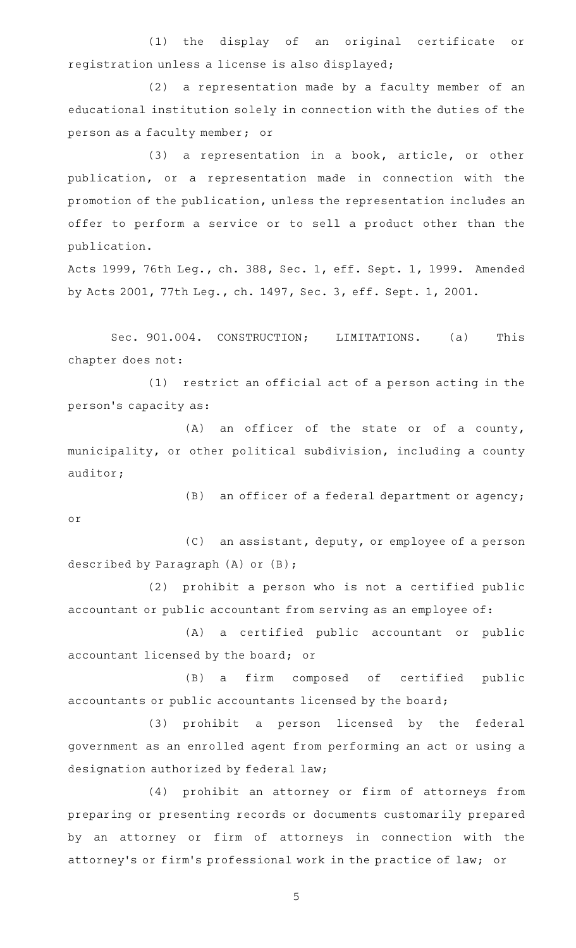(1) the display of an original certificate or registration unless a license is also displayed;

(2) a representation made by a faculty member of an educational institution solely in connection with the duties of the person as a faculty member; or

(3) a representation in a book, article, or other publication, or a representation made in connection with the promotion of the publication, unless the representation includes an offer to perform a service or to sell a product other than the publication.

Acts 1999, 76th Leg., ch. 388, Sec. 1, eff. Sept. 1, 1999. Amended by Acts 2001, 77th Leg., ch. 1497, Sec. 3, eff. Sept. 1, 2001.

Sec. 901.004. CONSTRUCTION; LIMITATIONS. (a) This chapter does not:

 $(1)$  restrict an official act of a person acting in the person 's capacity as:

 $(A)$  an officer of the state or of a county, municipality, or other political subdivision, including a county auditor;

(B) an officer of a federal department or agency; or

(C) an assistant, deputy, or employee of a person described by Paragraph (A) or (B);

 $(2)$  prohibit a person who is not a certified public accountant or public accountant from serving as an employee of:

(A) a certified public accountant or public accountant licensed by the board; or

(B) a firm composed of certified public accountants or public accountants licensed by the board;

(3) prohibit a person licensed by the federal government as an enrolled agent from performing an act or using a designation authorized by federal law;

(4) prohibit an attorney or firm of attorneys from preparing or presenting records or documents customarily prepared by an attorney or firm of attorneys in connection with the attorney 's or firm 's professional work in the practice of law; or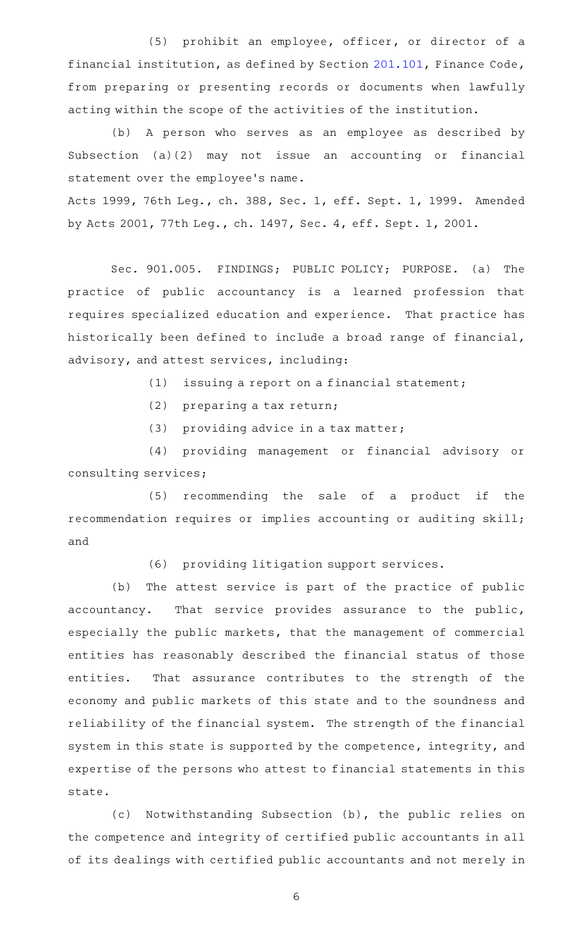(5) prohibit an employee, officer, or director of a financial institution, as defined by Section [201.101,](https://statutes.capitol.texas.gov/GetStatute.aspx?Code=FI&Value=201.101) Finance Code, from preparing or presenting records or documents when lawfully acting within the scope of the activities of the institution.

(b) A person who serves as an employee as described by Subsection (a)(2) may not issue an accounting or financial statement over the employee 's name.

Acts 1999, 76th Leg., ch. 388, Sec. 1, eff. Sept. 1, 1999. Amended by Acts 2001, 77th Leg., ch. 1497, Sec. 4, eff. Sept. 1, 2001.

Sec. 901.005. FINDINGS; PUBLIC POLICY; PURPOSE. (a) The practice of public accountancy is a learned profession that requires specialized education and experience. That practice has historically been defined to include a broad range of financial, advisory, and attest services, including:

- $(1)$  issuing a report on a financial statement;
- (2) preparing a tax return;
- (3) providing advice in a tax matter;

(4) providing management or financial advisory or consulting services;

(5) recommending the sale of a product if the recommendation requires or implies accounting or auditing skill; and

(6) providing litigation support services.

(b) The attest service is part of the practice of public accountancy. That service provides assurance to the public, especially the public markets, that the management of commercial entities has reasonably described the financial status of those entities. That assurance contributes to the strength of the economy and public markets of this state and to the soundness and reliability of the financial system. The strength of the financial system in this state is supported by the competence, integrity, and expertise of the persons who attest to financial statements in this state.

(c) Notwithstanding Subsection (b), the public relies on the competence and integrity of certified public accountants in all of its dealings with certified public accountants and not merely in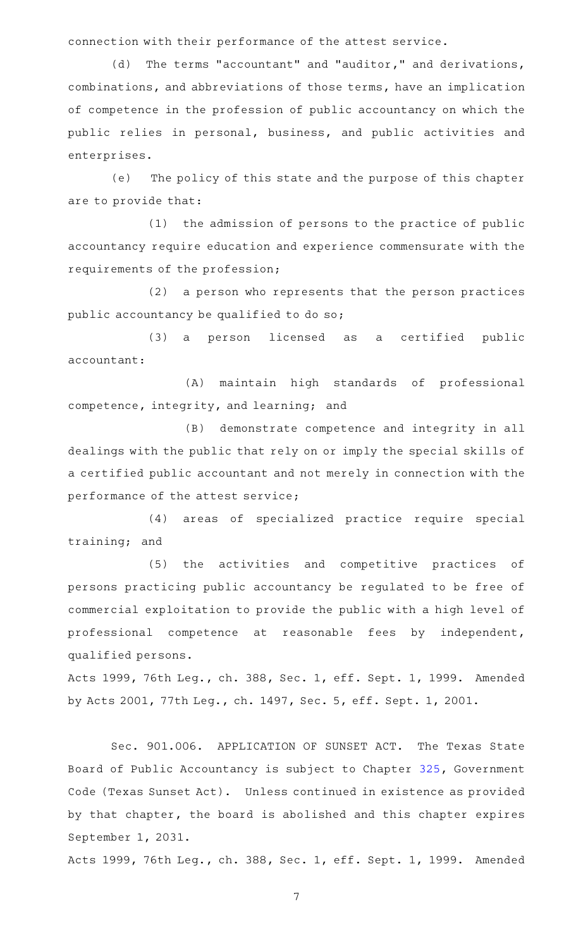connection with their performance of the attest service.

(d) The terms "accountant" and "auditor," and derivations, combinations, and abbreviations of those terms, have an implication of competence in the profession of public accountancy on which the public relies in personal, business, and public activities and enterprises.

(e) The policy of this state and the purpose of this chapter are to provide that:

(1) the admission of persons to the practice of public accountancy require education and experience commensurate with the requirements of the profession;

(2) a person who represents that the person practices public accountancy be qualified to do so;

(3) a person licensed as a certified public accountant:

(A) maintain high standards of professional competence, integrity, and learning; and

(B) demonstrate competence and integrity in all dealings with the public that rely on or imply the special skills of a certified public accountant and not merely in connection with the performance of the attest service;

(4) areas of specialized practice require special training; and

(5) the activities and competitive practices of persons practicing public accountancy be regulated to be free of commercial exploitation to provide the public with a high level of professional competence at reasonable fees by independent, qualified persons.

Acts 1999, 76th Leg., ch. 388, Sec. 1, eff. Sept. 1, 1999. Amended by Acts 2001, 77th Leg., ch. 1497, Sec. 5, eff. Sept. 1, 2001.

Sec. 901.006. APPLICATION OF SUNSET ACT. The Texas State Board of Public Accountancy is subject to Chapter [325,](https://statutes.capitol.texas.gov/GetStatute.aspx?Code=GV&Value=325) Government Code (Texas Sunset Act). Unless continued in existence as provided by that chapter, the board is abolished and this chapter expires September 1, 2031.

Acts 1999, 76th Leg., ch. 388, Sec. 1, eff. Sept. 1, 1999. Amended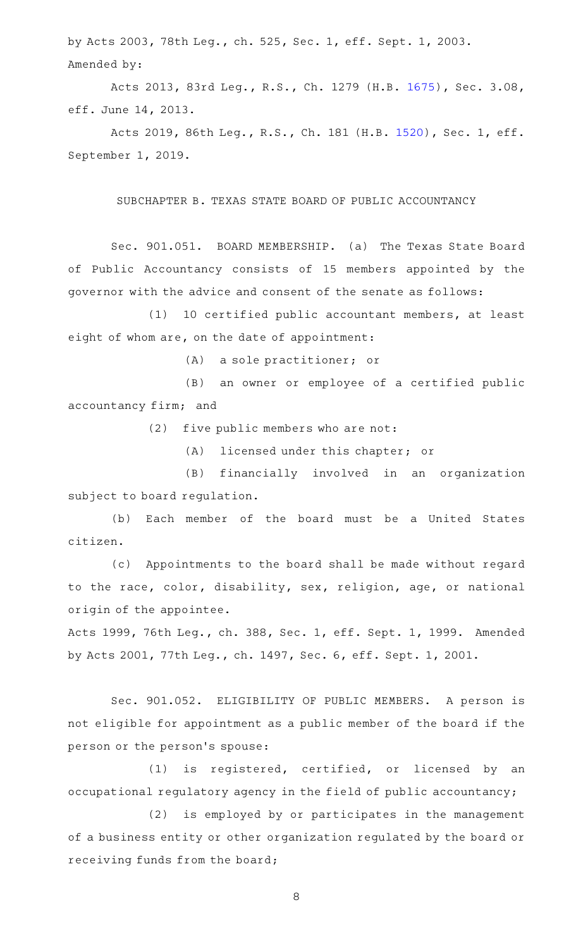by Acts 2003, 78th Leg., ch. 525, Sec. 1, eff. Sept. 1, 2003. Amended by:

Acts 2013, 83rd Leg., R.S., Ch. 1279 (H.B. [1675](http://www.legis.state.tx.us/tlodocs/83R/billtext/html/HB01675F.HTM)), Sec. 3.08, eff. June 14, 2013.

Acts 2019, 86th Leg., R.S., Ch. 181 (H.B. [1520](http://www.legis.state.tx.us/tlodocs/86R/billtext/html/HB01520F.HTM)), Sec. 1, eff. September 1, 2019.

# SUBCHAPTER B. TEXAS STATE BOARD OF PUBLIC ACCOUNTANCY

Sec. 901.051. BOARD MEMBERSHIP. (a) The Texas State Board of Public Accountancy consists of 15 members appointed by the governor with the advice and consent of the senate as follows:

(1) 10 certified public accountant members, at least eight of whom are, on the date of appointment:

(A) a sole practitioner; or

(B) an owner or employee of a certified public accountancy firm; and

 $(2)$  five public members who are not:

(A) licensed under this chapter; or

(B) financially involved in an organization subject to board regulation.

(b) Each member of the board must be a United States citizen.

(c) Appointments to the board shall be made without regard to the race, color, disability, sex, religion, age, or national origin of the appointee.

Acts 1999, 76th Leg., ch. 388, Sec. 1, eff. Sept. 1, 1999. Amended by Acts 2001, 77th Leg., ch. 1497, Sec. 6, eff. Sept. 1, 2001.

Sec. 901.052. ELIGIBILITY OF PUBLIC MEMBERS. A person is not eligible for appointment as a public member of the board if the person or the person 's spouse:

(1) is registered, certified, or licensed by an occupational regulatory agency in the field of public accountancy;

(2) is employed by or participates in the management of a business entity or other organization regulated by the board or receiving funds from the board;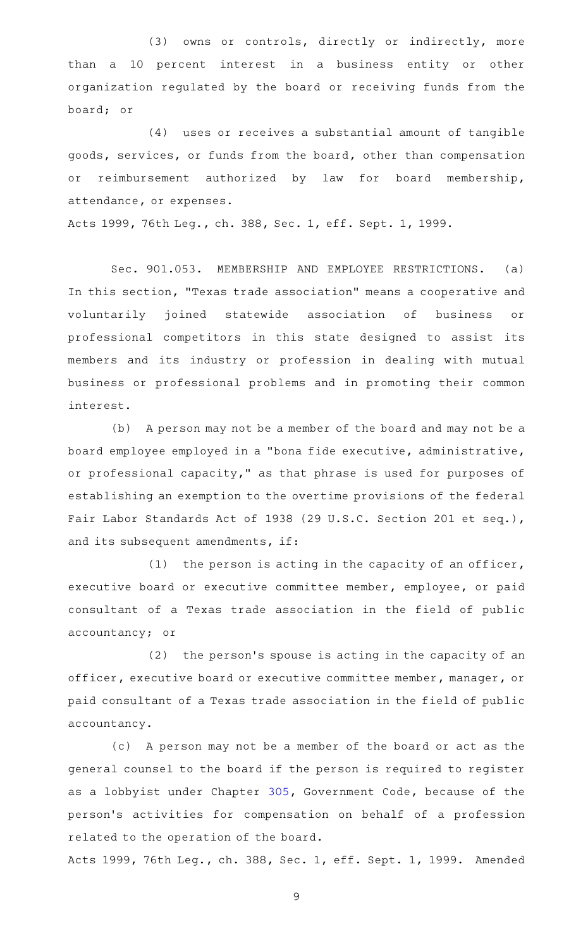(3) owns or controls, directly or indirectly, more than a 10 percent interest in a business entity or other organization regulated by the board or receiving funds from the board; or

(4) uses or receives a substantial amount of tangible goods, services, or funds from the board, other than compensation or reimbursement authorized by law for board membership, attendance, or expenses.

Acts 1999, 76th Leg., ch. 388, Sec. 1, eff. Sept. 1, 1999.

Sec. 901.053. MEMBERSHIP AND EMPLOYEE RESTRICTIONS. (a) In this section, "Texas trade association" means a cooperative and voluntarily joined statewide association of business or professional competitors in this state designed to assist its members and its industry or profession in dealing with mutual business or professional problems and in promoting their common interest.

(b) A person may not be a member of the board and may not be a board employee employed in a "bona fide executive, administrative, or professional capacity," as that phrase is used for purposes of establishing an exemption to the overtime provisions of the federal Fair Labor Standards Act of 1938 (29 U.S.C. Section 201 et seq.), and its subsequent amendments, if:

(1) the person is acting in the capacity of an officer, executive board or executive committee member, employee, or paid consultant of a Texas trade association in the field of public accountancy; or

(2) the person's spouse is acting in the capacity of an officer, executive board or executive committee member, manager, or paid consultant of a Texas trade association in the field of public accountancy.

(c) A person may not be a member of the board or act as the general counsel to the board if the person is required to register as a lobbyist under Chapter [305](https://statutes.capitol.texas.gov/GetStatute.aspx?Code=GV&Value=305), Government Code, because of the person 's activities for compensation on behalf of a profession related to the operation of the board.

Acts 1999, 76th Leg., ch. 388, Sec. 1, eff. Sept. 1, 1999. Amended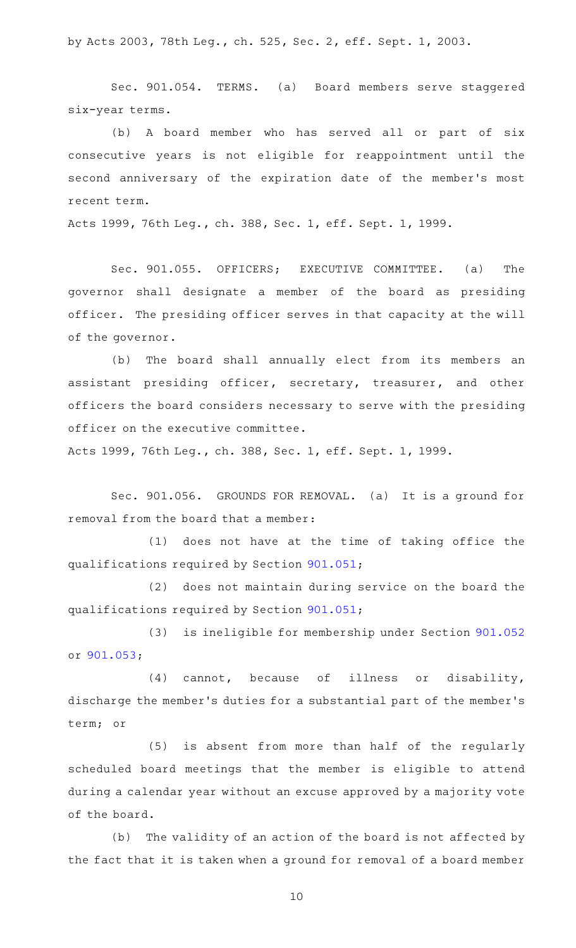by Acts 2003, 78th Leg., ch. 525, Sec. 2, eff. Sept. 1, 2003.

Sec. 901.054. TERMS. (a) Board members serve staggered six-year terms.

(b) A board member who has served all or part of six consecutive years is not eligible for reappointment until the second anniversary of the expiration date of the member 's most recent term.

Acts 1999, 76th Leg., ch. 388, Sec. 1, eff. Sept. 1, 1999.

Sec. 901.055. OFFICERS; EXECUTIVE COMMITTEE. (a) The governor shall designate a member of the board as presiding officer. The presiding officer serves in that capacity at the will of the governor.

(b) The board shall annually elect from its members an assistant presiding officer, secretary, treasurer, and other officers the board considers necessary to serve with the presiding officer on the executive committee.

Acts 1999, 76th Leg., ch. 388, Sec. 1, eff. Sept. 1, 1999.

Sec. 901.056. GROUNDS FOR REMOVAL. (a) It is a ground for removal from the board that a member:

(1) does not have at the time of taking office the qualifications required by Section [901.051;](https://statutes.capitol.texas.gov/GetStatute.aspx?Code=OC&Value=901.051)

(2) does not maintain during service on the board the qualifications required by Section [901.051;](https://statutes.capitol.texas.gov/GetStatute.aspx?Code=OC&Value=901.051)

(3) is ineligible for membership under Section [901.052](https://statutes.capitol.texas.gov/GetStatute.aspx?Code=OC&Value=901.052) or [901.053;](https://statutes.capitol.texas.gov/GetStatute.aspx?Code=OC&Value=901.053)

(4) cannot, because of illness or disability, discharge the member 's duties for a substantial part of the member 's term; or

(5) is absent from more than half of the regularly scheduled board meetings that the member is eligible to attend during a calendar year without an excuse approved by a majority vote of the board.

(b) The validity of an action of the board is not affected by the fact that it is taken when a ground for removal of a board member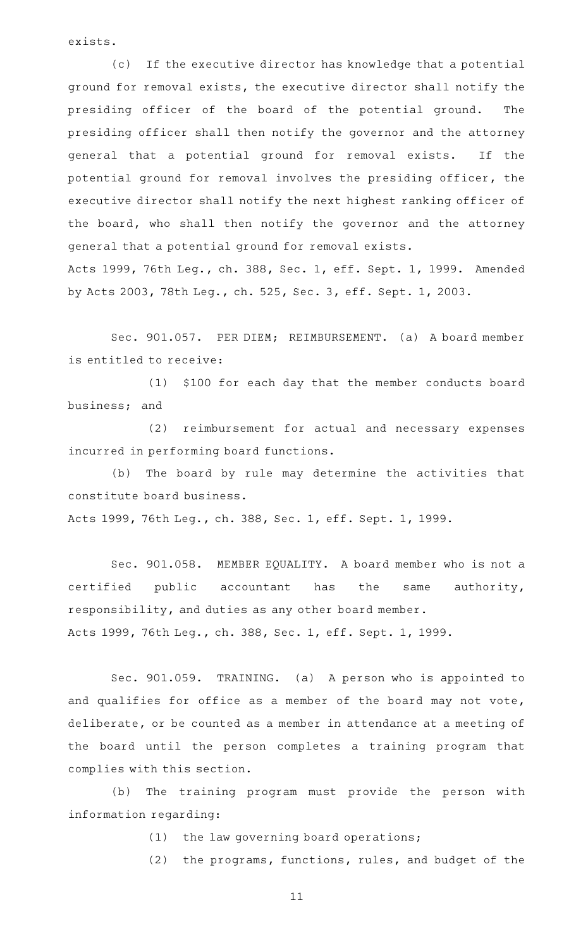exists.

(c) If the executive director has knowledge that a potential ground for removal exists, the executive director shall notify the presiding officer of the board of the potential ground. The presiding officer shall then notify the governor and the attorney general that a potential ground for removal exists. If the potential ground for removal involves the presiding officer, the executive director shall notify the next highest ranking officer of the board, who shall then notify the governor and the attorney general that a potential ground for removal exists. Acts 1999, 76th Leg., ch. 388, Sec. 1, eff. Sept. 1, 1999. Amended by Acts 2003, 78th Leg., ch. 525, Sec. 3, eff. Sept. 1, 2003.

Sec. 901.057. PER DIEM; REIMBURSEMENT. (a) A board member is entitled to receive:

(1) \$100 for each day that the member conducts board business; and

(2) reimbursement for actual and necessary expenses incurred in performing board functions.

(b) The board by rule may determine the activities that constitute board business.

Acts 1999, 76th Leg., ch. 388, Sec. 1, eff. Sept. 1, 1999.

Sec. 901.058. MEMBER EQUALITY. A board member who is not a certified public accountant has the same authority, responsibility, and duties as any other board member. Acts 1999, 76th Leg., ch. 388, Sec. 1, eff. Sept. 1, 1999.

Sec. 901.059. TRAINING. (a) A person who is appointed to and qualifies for office as a member of the board may not vote, deliberate, or be counted as a member in attendance at a meeting of the board until the person completes a training program that complies with this section.

(b) The training program must provide the person with information regarding:

 $(1)$  the law governing board operations;

(2) the programs, functions, rules, and budget of the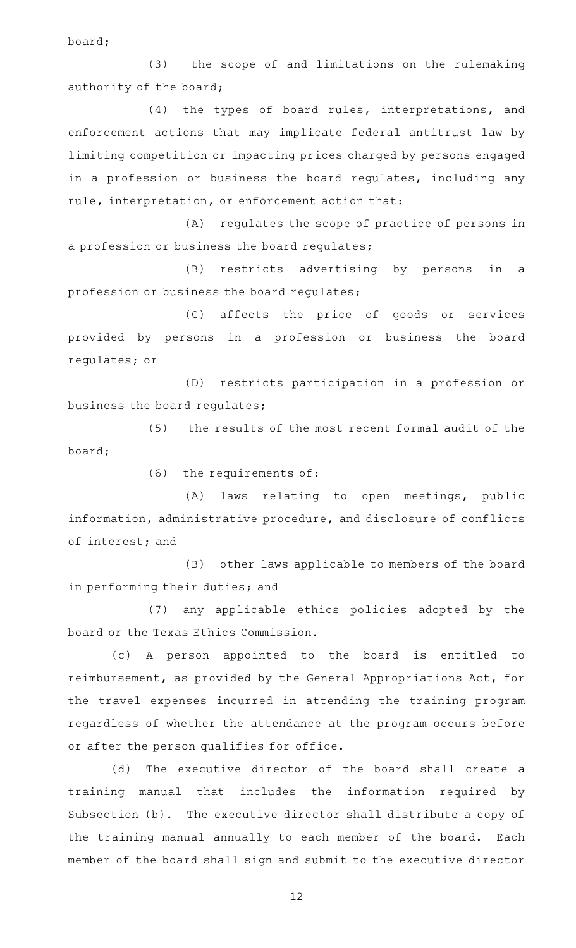board;

(3) the scope of and limitations on the rulemaking authority of the board;

(4) the types of board rules, interpretations, and enforcement actions that may implicate federal antitrust law by limiting competition or impacting prices charged by persons engaged in a profession or business the board regulates, including any rule, interpretation, or enforcement action that:

(A) regulates the scope of practice of persons in a profession or business the board regulates;

(B) restricts advertising by persons in a profession or business the board regulates;

(C) affects the price of goods or services provided by persons in a profession or business the board regulates; or

(D) restricts participation in a profession or business the board regulates;

(5) the results of the most recent formal audit of the board;

 $(6)$  the requirements of:

(A) laws relating to open meetings, public information, administrative procedure, and disclosure of conflicts of interest; and

(B) other laws applicable to members of the board in performing their duties; and

(7) any applicable ethics policies adopted by the board or the Texas Ethics Commission.

(c)AAA person appointed to the board is entitled to reimbursement, as provided by the General Appropriations Act, for the travel expenses incurred in attending the training program regardless of whether the attendance at the program occurs before or after the person qualifies for office.

(d) The executive director of the board shall create a training manual that includes the information required by Subsection (b). The executive director shall distribute a copy of the training manual annually to each member of the board. Each member of the board shall sign and submit to the executive director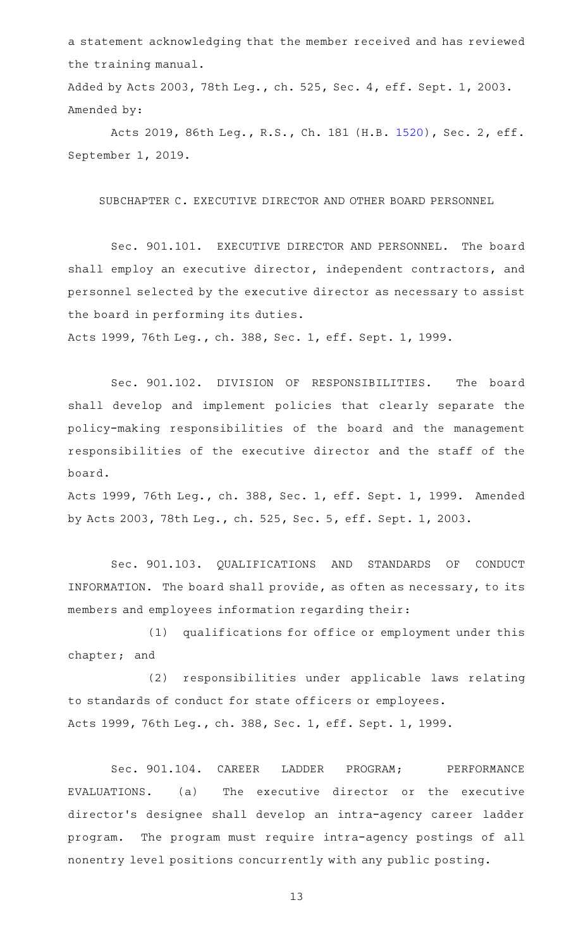a statement acknowledging that the member received and has reviewed the training manual.

Added by Acts 2003, 78th Leg., ch. 525, Sec. 4, eff. Sept. 1, 2003. Amended by:

Acts 2019, 86th Leg., R.S., Ch. 181 (H.B. [1520](http://www.legis.state.tx.us/tlodocs/86R/billtext/html/HB01520F.HTM)), Sec. 2, eff. September 1, 2019.

SUBCHAPTER C. EXECUTIVE DIRECTOR AND OTHER BOARD PERSONNEL

Sec. 901.101. EXECUTIVE DIRECTOR AND PERSONNEL. The board shall employ an executive director, independent contractors, and personnel selected by the executive director as necessary to assist the board in performing its duties.

Acts 1999, 76th Leg., ch. 388, Sec. 1, eff. Sept. 1, 1999.

Sec. 901.102. DIVISION OF RESPONSIBILITIES. The board shall develop and implement policies that clearly separate the policy-making responsibilities of the board and the management responsibilities of the executive director and the staff of the board.

Acts 1999, 76th Leg., ch. 388, Sec. 1, eff. Sept. 1, 1999. Amended by Acts 2003, 78th Leg., ch. 525, Sec. 5, eff. Sept. 1, 2003.

Sec. 901.103. QUALIFICATIONS AND STANDARDS OF CONDUCT INFORMATION. The board shall provide, as often as necessary, to its members and employees information regarding their:

(1) qualifications for office or employment under this chapter; and

(2) responsibilities under applicable laws relating to standards of conduct for state officers or employees. Acts 1999, 76th Leg., ch. 388, Sec. 1, eff. Sept. 1, 1999.

Sec. 901.104. CAREER LADDER PROGRAM; PERFORMANCE EVALUATIONS. (a) The executive director or the executive director 's designee shall develop an intra-agency career ladder program. The program must require intra-agency postings of all nonentry level positions concurrently with any public posting.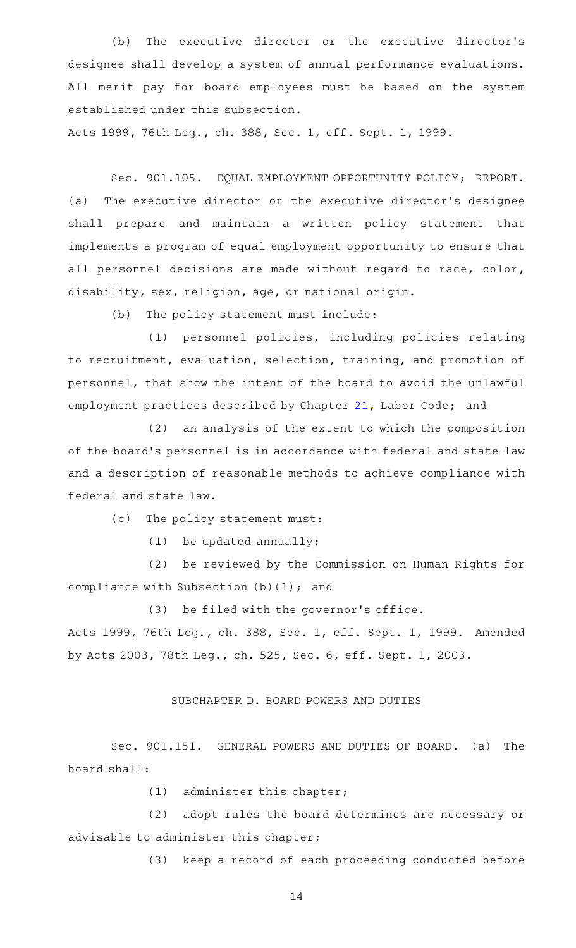(b) The executive director or the executive director's designee shall develop a system of annual performance evaluations. All merit pay for board employees must be based on the system established under this subsection.

Acts 1999, 76th Leg., ch. 388, Sec. 1, eff. Sept. 1, 1999.

Sec. 901.105. EQUAL EMPLOYMENT OPPORTUNITY POLICY; REPORT. (a) The executive director or the executive director 's designee shall prepare and maintain a written policy statement that implements a program of equal employment opportunity to ensure that all personnel decisions are made without regard to race, color, disability, sex, religion, age, or national origin.

(b) The policy statement must include:

(1) personnel policies, including policies relating to recruitment, evaluation, selection, training, and promotion of personnel, that show the intent of the board to avoid the unlawful employment practices described by Chapter [21,](https://statutes.capitol.texas.gov/GetStatute.aspx?Code=LA&Value=21) Labor Code; and

 $(2)$  an analysis of the extent to which the composition of the board's personnel is in accordance with federal and state law and a description of reasonable methods to achieve compliance with federal and state law.

(c) The policy statement must:

 $(1)$  be updated annually;

(2) be reviewed by the Commission on Human Rights for compliance with Subsection (b)(1); and

(3) be filed with the governor's office.

Acts 1999, 76th Leg., ch. 388, Sec. 1, eff. Sept. 1, 1999. Amended by Acts 2003, 78th Leg., ch. 525, Sec. 6, eff. Sept. 1, 2003.

# SUBCHAPTER D. BOARD POWERS AND DUTIES

Sec. 901.151. GENERAL POWERS AND DUTIES OF BOARD. (a) The board shall:

 $(1)$  administer this chapter;

(2) adopt rules the board determines are necessary or advisable to administer this chapter;

(3) keep a record of each proceeding conducted before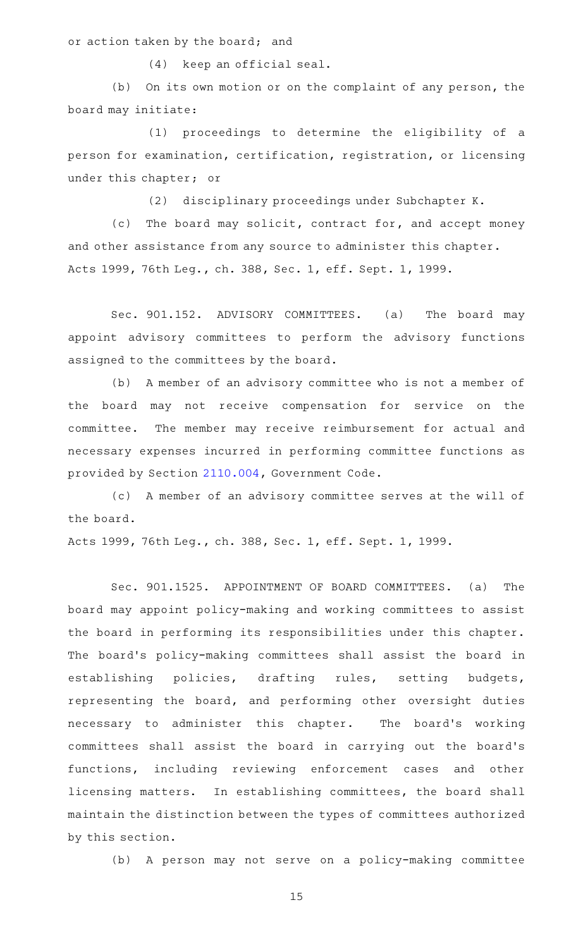or action taken by the board; and

(4) keep an official seal.

(b) On its own motion or on the complaint of any person, the board may initiate:

(1) proceedings to determine the eligibility of a person for examination, certification, registration, or licensing under this chapter; or

(2) disciplinary proceedings under Subchapter K.

(c) The board may solicit, contract for, and accept money and other assistance from any source to administer this chapter. Acts 1999, 76th Leg., ch. 388, Sec. 1, eff. Sept. 1, 1999.

Sec. 901.152. ADVISORY COMMITTEES. (a) The board may appoint advisory committees to perform the advisory functions assigned to the committees by the board.

(b) A member of an advisory committee who is not a member of the board may not receive compensation for service on the committee. The member may receive reimbursement for actual and necessary expenses incurred in performing committee functions as provided by Section [2110.004,](https://statutes.capitol.texas.gov/GetStatute.aspx?Code=GV&Value=2110.004) Government Code.

(c) A member of an advisory committee serves at the will of the board.

Acts 1999, 76th Leg., ch. 388, Sec. 1, eff. Sept. 1, 1999.

Sec. 901.1525. APPOINTMENT OF BOARD COMMITTEES. (a) The board may appoint policy-making and working committees to assist the board in performing its responsibilities under this chapter. The board's policy-making committees shall assist the board in establishing policies, drafting rules, setting budgets, representing the board, and performing other oversight duties necessary to administer this chapter. The board's working committees shall assist the board in carrying out the board's functions, including reviewing enforcement cases and other licensing matters. In establishing committees, the board shall maintain the distinction between the types of committees authorized by this section.

(b) A person may not serve on a policy-making committee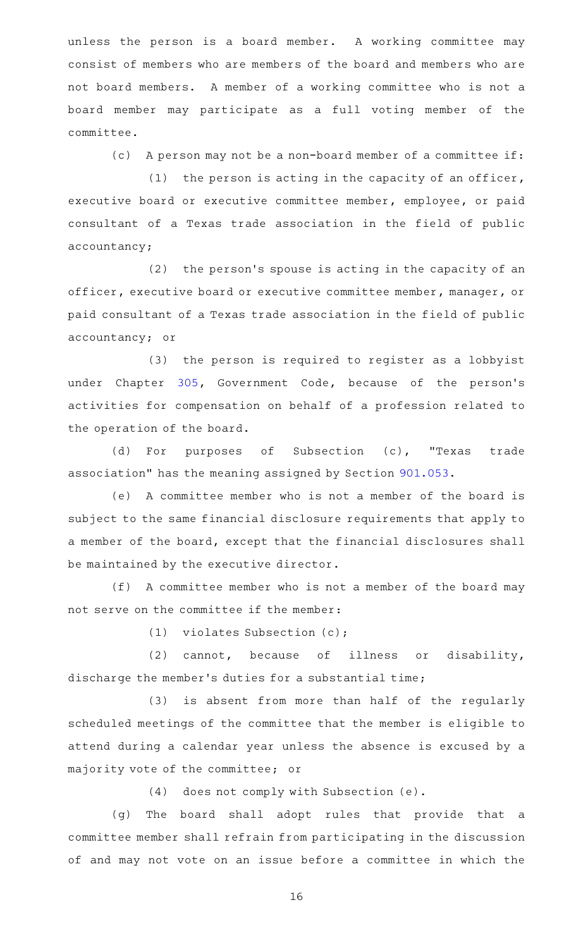unless the person is a board member. A working committee may consist of members who are members of the board and members who are not board members. A member of a working committee who is not a board member may participate as a full voting member of the committee.

(c) A person may not be a non-board member of a committee if:

(1) the person is acting in the capacity of an officer, executive board or executive committee member, employee, or paid consultant of a Texas trade association in the field of public accountancy;

(2) the person's spouse is acting in the capacity of an officer, executive board or executive committee member, manager, or paid consultant of a Texas trade association in the field of public accountancy; or

(3) the person is required to register as a lobbyist under Chapter [305,](https://statutes.capitol.texas.gov/GetStatute.aspx?Code=GV&Value=305) Government Code, because of the person's activities for compensation on behalf of a profession related to the operation of the board.

(d) For purposes of Subsection (c), "Texas trade association" has the meaning assigned by Section [901.053](https://statutes.capitol.texas.gov/GetStatute.aspx?Code=OC&Value=901.053).

(e) A committee member who is not a member of the board is subject to the same financial disclosure requirements that apply to a member of the board, except that the financial disclosures shall be maintained by the executive director.

 $(f)$  A committee member who is not a member of the board may not serve on the committee if the member:

(1) violates Subsection  $(c)$ ;

(2) cannot, because of illness or disability, discharge the member 's duties for a substantial time;

(3) is absent from more than half of the regularly scheduled meetings of the committee that the member is eligible to attend during a calendar year unless the absence is excused by a majority vote of the committee; or

(4) does not comply with Subsection (e).

(g) The board shall adopt rules that provide that a committee member shall refrain from participating in the discussion of and may not vote on an issue before a committee in which the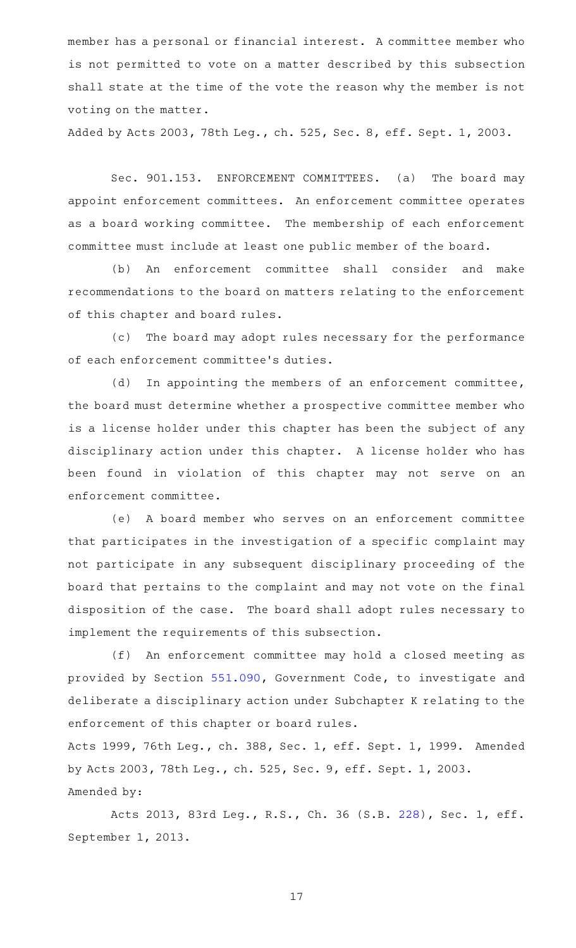member has a personal or financial interest. A committee member who is not permitted to vote on a matter described by this subsection shall state at the time of the vote the reason why the member is not voting on the matter.

Added by Acts 2003, 78th Leg., ch. 525, Sec. 8, eff. Sept. 1, 2003.

Sec. 901.153. ENFORCEMENT COMMITTEES. (a) The board may appoint enforcement committees. An enforcement committee operates as a board working committee. The membership of each enforcement committee must include at least one public member of the board.

(b) An enforcement committee shall consider and make recommendations to the board on matters relating to the enforcement of this chapter and board rules.

(c) The board may adopt rules necessary for the performance of each enforcement committee 's duties.

(d) In appointing the members of an enforcement committee, the board must determine whether a prospective committee member who is a license holder under this chapter has been the subject of any disciplinary action under this chapter. A license holder who has been found in violation of this chapter may not serve on an enforcement committee.

(e)AAA board member who serves on an enforcement committee that participates in the investigation of a specific complaint may not participate in any subsequent disciplinary proceeding of the board that pertains to the complaint and may not vote on the final disposition of the case. The board shall adopt rules necessary to implement the requirements of this subsection.

(f) An enforcement committee may hold a closed meeting as provided by Section [551.090,](https://statutes.capitol.texas.gov/GetStatute.aspx?Code=GV&Value=551.090) Government Code, to investigate and deliberate a disciplinary action under Subchapter K relating to the enforcement of this chapter or board rules.

Acts 1999, 76th Leg., ch. 388, Sec. 1, eff. Sept. 1, 1999. Amended by Acts 2003, 78th Leg., ch. 525, Sec. 9, eff. Sept. 1, 2003. Amended by:

Acts 2013, 83rd Leg., R.S., Ch. 36 (S.B. [228](http://www.legis.state.tx.us/tlodocs/83R/billtext/html/SB00228F.HTM)), Sec. 1, eff. September 1, 2013.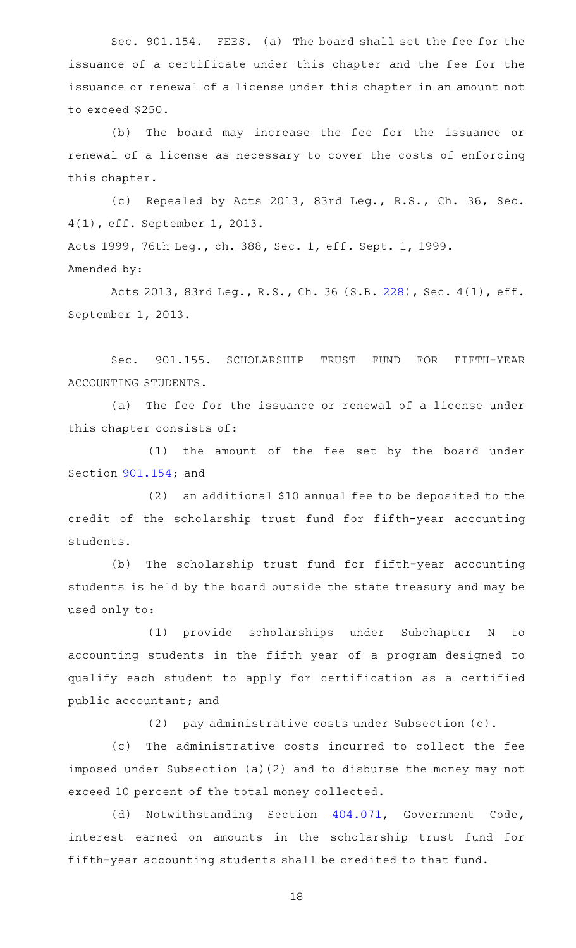Sec. 901.154. FEES. (a) The board shall set the fee for the issuance of a certificate under this chapter and the fee for the issuance or renewal of a license under this chapter in an amount not to exceed \$250.

(b) The board may increase the fee for the issuance or renewal of a license as necessary to cover the costs of enforcing this chapter.

(c) Repealed by Acts 2013, 83rd Leg., R.S., Ch. 36, Sec. 4(1), eff. September 1, 2013. Acts 1999, 76th Leg., ch. 388, Sec. 1, eff. Sept. 1, 1999.

Amended by:

Acts 2013, 83rd Leg., R.S., Ch. 36 (S.B. [228\)](http://www.legis.state.tx.us/tlodocs/83R/billtext/html/SB00228F.HTM), Sec. 4(1), eff. September 1, 2013.

Sec. 901.155. SCHOLARSHIP TRUST FUND FOR FIFTH-YEAR ACCOUNTING STUDENTS.

(a) The fee for the issuance or renewal of a license under this chapter consists of:

(1) the amount of the fee set by the board under Section [901.154;](https://statutes.capitol.texas.gov/GetStatute.aspx?Code=OC&Value=901.154) and

 $(2)$  an additional \$10 annual fee to be deposited to the credit of the scholarship trust fund for fifth-year accounting students.

(b) The scholarship trust fund for fifth-year accounting students is held by the board outside the state treasury and may be used only to:

(1) provide scholarships under Subchapter N to accounting students in the fifth year of a program designed to qualify each student to apply for certification as a certified public accountant; and

(2) pay administrative costs under Subsection (c).

(c) The administrative costs incurred to collect the fee imposed under Subsection (a)(2) and to disburse the money may not exceed 10 percent of the total money collected.

(d) Notwithstanding Section [404.071,](https://statutes.capitol.texas.gov/GetStatute.aspx?Code=GV&Value=404.071) Government Code, interest earned on amounts in the scholarship trust fund for fifth-year accounting students shall be credited to that fund.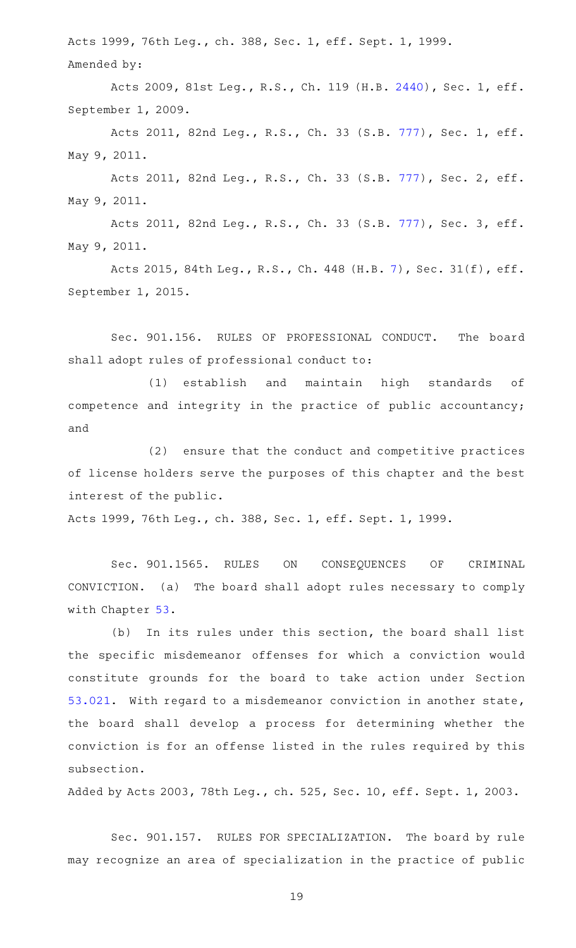Acts 1999, 76th Leg., ch. 388, Sec. 1, eff. Sept. 1, 1999. Amended by:

Acts 2009, 81st Leg., R.S., Ch. 119 (H.B. [2440](http://www.legis.state.tx.us/tlodocs/81R/billtext/html/HB02440F.HTM)), Sec. 1, eff. September 1, 2009.

Acts 2011, 82nd Leg., R.S., Ch. 33 (S.B. [777](http://www.legis.state.tx.us/tlodocs/82R/billtext/html/SB00777F.HTM)), Sec. 1, eff. May 9, 2011.

Acts 2011, 82nd Leg., R.S., Ch. 33 (S.B. [777](http://www.legis.state.tx.us/tlodocs/82R/billtext/html/SB00777F.HTM)), Sec. 2, eff. May 9, 2011.

Acts 2011, 82nd Leg., R.S., Ch. 33 (S.B. [777](http://www.legis.state.tx.us/tlodocs/82R/billtext/html/SB00777F.HTM)), Sec. 3, eff. May 9, 2011.

Acts 2015, 84th Leg., R.S., Ch. 448 (H.B. [7](http://www.legis.state.tx.us/tlodocs/84R/billtext/html/HB00007F.HTM)), Sec. 31(f), eff. September 1, 2015.

Sec. 901.156. RULES OF PROFESSIONAL CONDUCT. The board shall adopt rules of professional conduct to:

(1) establish and maintain high standards of competence and integrity in the practice of public accountancy; and

(2) ensure that the conduct and competitive practices of license holders serve the purposes of this chapter and the best interest of the public.

Acts 1999, 76th Leg., ch. 388, Sec. 1, eff. Sept. 1, 1999.

Sec. 901.1565. RULES ON CONSEQUENCES OF CRIMINAL CONVICTION. (a) The board shall adopt rules necessary to comply with Chapter [53](https://statutes.capitol.texas.gov/GetStatute.aspx?Code=OC&Value=53).

(b) In its rules under this section, the board shall list the specific misdemeanor offenses for which a conviction would constitute grounds for the board to take action under Section [53.021](https://statutes.capitol.texas.gov/GetStatute.aspx?Code=OC&Value=53.021). With regard to a misdemeanor conviction in another state, the board shall develop a process for determining whether the conviction is for an offense listed in the rules required by this subsection.

Added by Acts 2003, 78th Leg., ch. 525, Sec. 10, eff. Sept. 1, 2003.

Sec. 901.157. RULES FOR SPECIALIZATION. The board by rule may recognize an area of specialization in the practice of public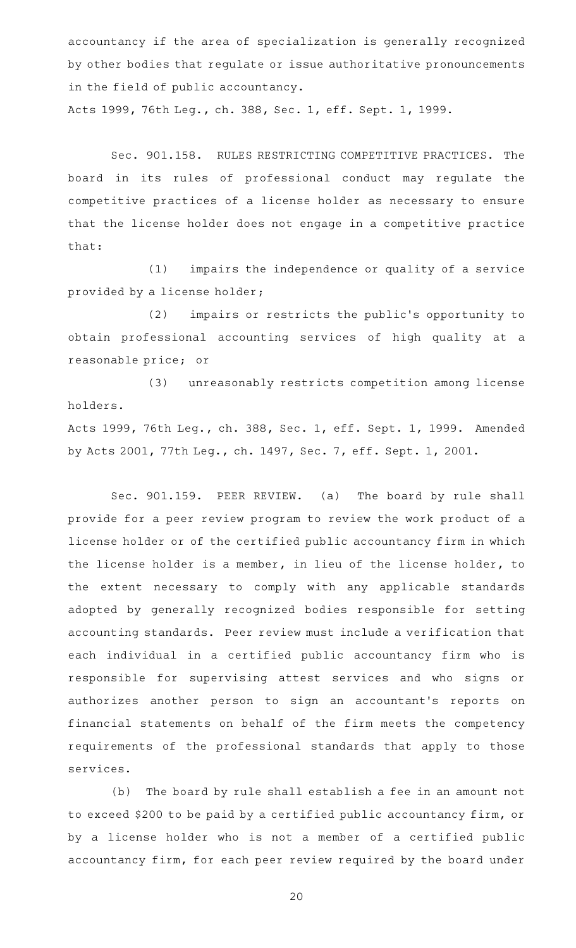accountancy if the area of specialization is generally recognized by other bodies that regulate or issue authoritative pronouncements in the field of public accountancy.

Acts 1999, 76th Leg., ch. 388, Sec. 1, eff. Sept. 1, 1999.

Sec. 901.158. RULES RESTRICTING COMPETITIVE PRACTICES. The board in its rules of professional conduct may regulate the competitive practices of a license holder as necessary to ensure that the license holder does not engage in a competitive practice that:

 $(1)$  impairs the independence or quality of a service provided by a license holder;

(2) impairs or restricts the public's opportunity to obtain professional accounting services of high quality at a reasonable price; or

(3) unreasonably restricts competition among license holders.

Acts 1999, 76th Leg., ch. 388, Sec. 1, eff. Sept. 1, 1999. Amended by Acts 2001, 77th Leg., ch. 1497, Sec. 7, eff. Sept. 1, 2001.

Sec. 901.159. PEER REVIEW. (a) The board by rule shall provide for a peer review program to review the work product of a license holder or of the certified public accountancy firm in which the license holder is a member, in lieu of the license holder, to the extent necessary to comply with any applicable standards adopted by generally recognized bodies responsible for setting accounting standards. Peer review must include a verification that each individual in a certified public accountancy firm who is responsible for supervising attest services and who signs or authorizes another person to sign an accountant's reports on financial statements on behalf of the firm meets the competency requirements of the professional standards that apply to those services.

(b) The board by rule shall establish a fee in an amount not to exceed \$200 to be paid by a certified public accountancy firm, or by a license holder who is not a member of a certified public accountancy firm, for each peer review required by the board under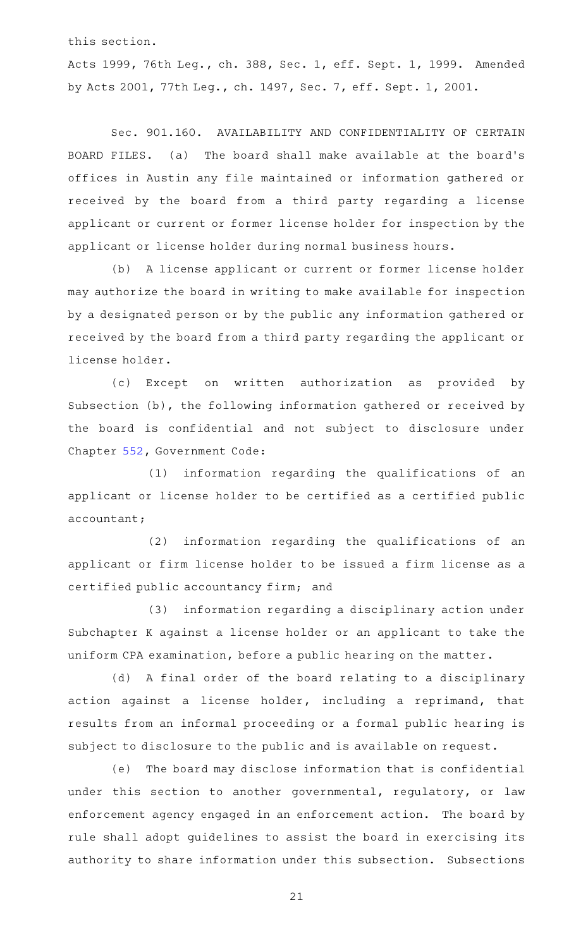this section.

Acts 1999, 76th Leg., ch. 388, Sec. 1, eff. Sept. 1, 1999. Amended by Acts 2001, 77th Leg., ch. 1497, Sec. 7, eff. Sept. 1, 2001.

Sec. 901.160. AVAILABILITY AND CONFIDENTIALITY OF CERTAIN BOARD FILES. (a) The board shall make available at the board's offices in Austin any file maintained or information gathered or received by the board from a third party regarding a license applicant or current or former license holder for inspection by the applicant or license holder during normal business hours.

(b) A license applicant or current or former license holder may authorize the board in writing to make available for inspection by a designated person or by the public any information gathered or received by the board from a third party regarding the applicant or license holder.

(c) Except on written authorization as provided by Subsection (b), the following information gathered or received by the board is confidential and not subject to disclosure under Chapter [552,](https://statutes.capitol.texas.gov/GetStatute.aspx?Code=GV&Value=552) Government Code:

 $(1)$  information regarding the qualifications of an applicant or license holder to be certified as a certified public accountant;

(2) information regarding the qualifications of an applicant or firm license holder to be issued a firm license as a certified public accountancy firm; and

(3) information regarding a disciplinary action under Subchapter K against a license holder or an applicant to take the uniform CPA examination, before a public hearing on the matter.

(d) A final order of the board relating to a disciplinary action against a license holder, including a reprimand, that results from an informal proceeding or a formal public hearing is subject to disclosure to the public and is available on request.

(e) The board may disclose information that is confidential under this section to another governmental, regulatory, or law enforcement agency engaged in an enforcement action. The board by rule shall adopt guidelines to assist the board in exercising its authority to share information under this subsection. Subsections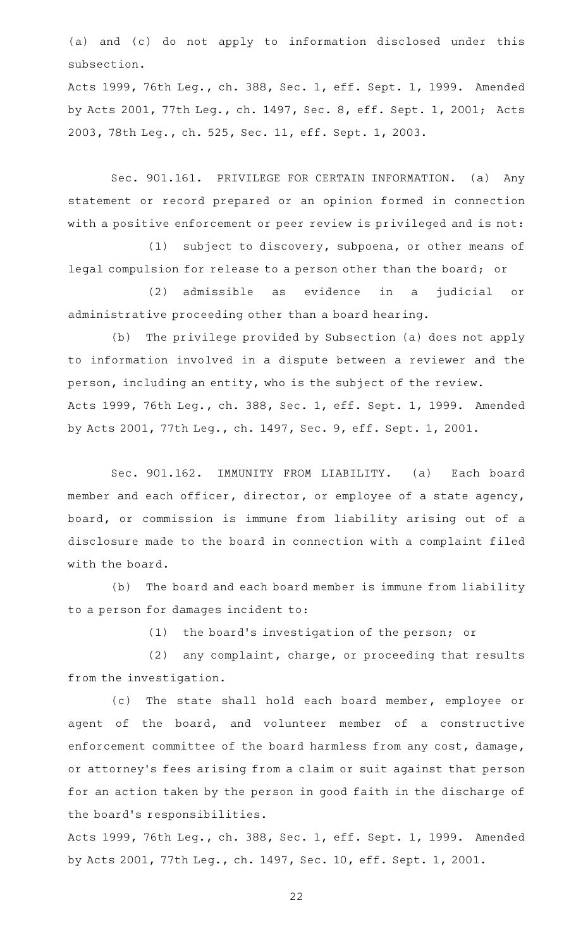(a) and (c) do not apply to information disclosed under this subsection.

Acts 1999, 76th Leg., ch. 388, Sec. 1, eff. Sept. 1, 1999. Amended by Acts 2001, 77th Leg., ch. 1497, Sec. 8, eff. Sept. 1, 2001; Acts 2003, 78th Leg., ch. 525, Sec. 11, eff. Sept. 1, 2003.

Sec. 901.161. PRIVILEGE FOR CERTAIN INFORMATION. (a) Any statement or record prepared or an opinion formed in connection with a positive enforcement or peer review is privileged and is not:

(1) subject to discovery, subpoena, or other means of legal compulsion for release to a person other than the board; or

(2) admissible as evidence in a judicial or administrative proceeding other than a board hearing.

(b) The privilege provided by Subsection (a) does not apply to information involved in a dispute between a reviewer and the person, including an entity, who is the subject of the review. Acts 1999, 76th Leg., ch. 388, Sec. 1, eff. Sept. 1, 1999. Amended by Acts 2001, 77th Leg., ch. 1497, Sec. 9, eff. Sept. 1, 2001.

Sec. 901.162. IMMUNITY FROM LIABILITY. (a) Each board member and each officer, director, or employee of a state agency, board, or commission is immune from liability arising out of a disclosure made to the board in connection with a complaint filed with the board.

(b) The board and each board member is immune from liability to a person for damages incident to:

 $(1)$  the board's investigation of the person; or

(2) any complaint, charge, or proceeding that results from the investigation.

(c) The state shall hold each board member, employee or agent of the board, and volunteer member of a constructive enforcement committee of the board harmless from any cost, damage, or attorney 's fees arising from a claim or suit against that person for an action taken by the person in good faith in the discharge of the board 's responsibilities.

Acts 1999, 76th Leg., ch. 388, Sec. 1, eff. Sept. 1, 1999. Amended by Acts 2001, 77th Leg., ch. 1497, Sec. 10, eff. Sept. 1, 2001.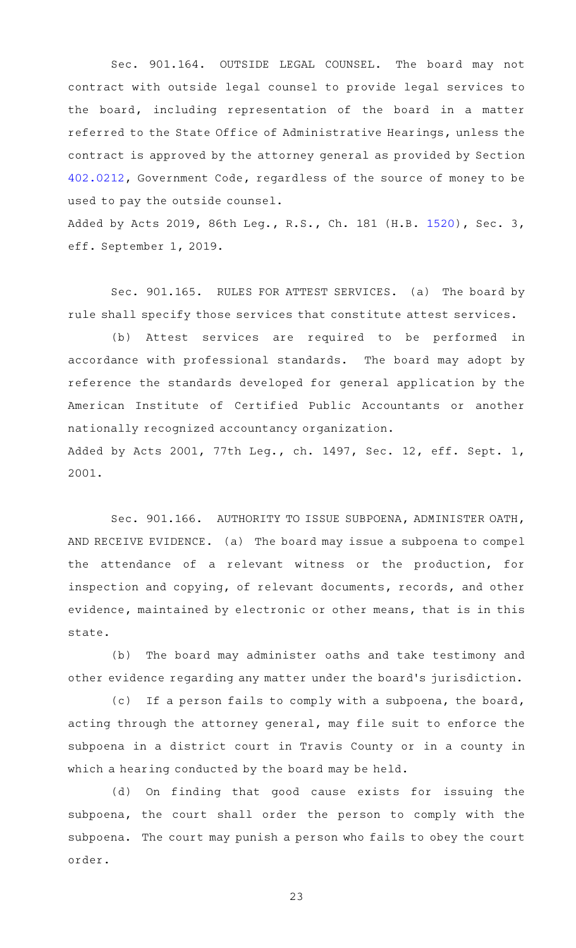Sec. 901.164. OUTSIDE LEGAL COUNSEL. The board may not contract with outside legal counsel to provide legal services to the board, including representation of the board in a matter referred to the State Office of Administrative Hearings, unless the contract is approved by the attorney general as provided by Section [402.0212](https://statutes.capitol.texas.gov/GetStatute.aspx?Code=GV&Value=402.0212), Government Code, regardless of the source of money to be used to pay the outside counsel.

Added by Acts 2019, 86th Leg., R.S., Ch. 181 (H.B. [1520](http://www.legis.state.tx.us/tlodocs/86R/billtext/html/HB01520F.HTM)), Sec. 3, eff. September 1, 2019.

Sec. 901.165. RULES FOR ATTEST SERVICES. (a) The board by rule shall specify those services that constitute attest services.

(b) Attest services are required to be performed in accordance with professional standards. The board may adopt by reference the standards developed for general application by the American Institute of Certified Public Accountants or another nationally recognized accountancy organization. Added by Acts 2001, 77th Leg., ch. 1497, Sec. 12, eff. Sept. 1,

2001.

Sec. 901.166. AUTHORITY TO ISSUE SUBPOENA, ADMINISTER OATH, AND RECEIVE EVIDENCE. (a) The board may issue a subpoena to compel the attendance of a relevant witness or the production, for inspection and copying, of relevant documents, records, and other evidence, maintained by electronic or other means, that is in this state.

(b) The board may administer oaths and take testimony and other evidence regarding any matter under the board 's jurisdiction.

(c) If a person fails to comply with a subpoena, the board, acting through the attorney general, may file suit to enforce the subpoena in a district court in Travis County or in a county in which a hearing conducted by the board may be held.

(d) On finding that good cause exists for issuing the subpoena, the court shall order the person to comply with the subpoena. The court may punish a person who fails to obey the court order.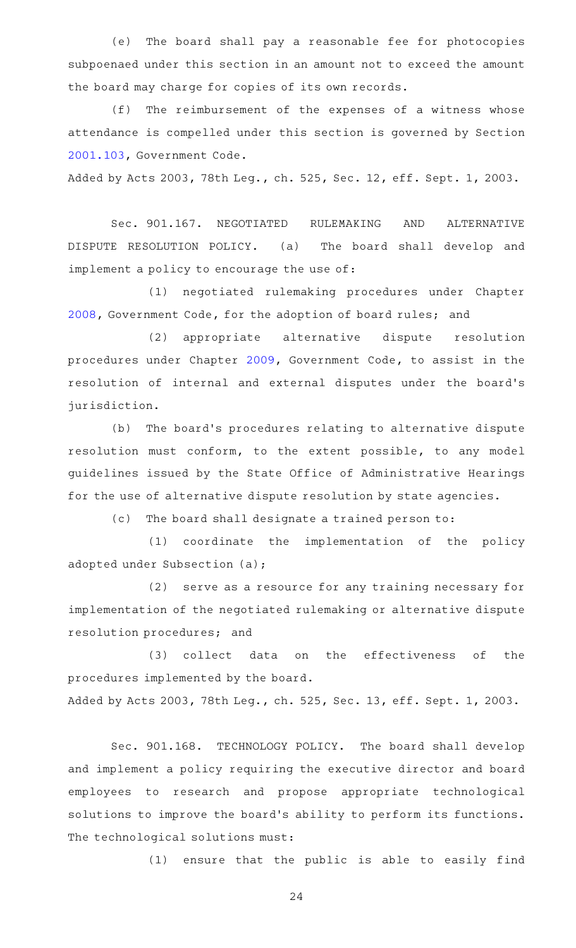(e) The board shall pay a reasonable fee for photocopies subpoenaed under this section in an amount not to exceed the amount the board may charge for copies of its own records.

(f) The reimbursement of the expenses of a witness whose attendance is compelled under this section is governed by Section [2001.103](https://statutes.capitol.texas.gov/GetStatute.aspx?Code=GV&Value=2001.103), Government Code.

Added by Acts 2003, 78th Leg., ch. 525, Sec. 12, eff. Sept. 1, 2003.

Sec. 901.167. NEGOTIATED RULEMAKING AND ALTERNATIVE DISPUTE RESOLUTION POLICY. (a) The board shall develop and implement a policy to encourage the use of:

(1) negotiated rulemaking procedures under Chapter [2008](https://statutes.capitol.texas.gov/GetStatute.aspx?Code=GV&Value=2008), Government Code, for the adoption of board rules; and

(2) appropriate alternative dispute resolution procedures under Chapter [2009,](https://statutes.capitol.texas.gov/GetStatute.aspx?Code=GV&Value=2009) Government Code, to assist in the resolution of internal and external disputes under the board's jurisdiction.

(b) The board's procedures relating to alternative dispute resolution must conform, to the extent possible, to any model guidelines issued by the State Office of Administrative Hearings for the use of alternative dispute resolution by state agencies.

(c) The board shall designate a trained person to:

(1) coordinate the implementation of the policy adopted under Subsection (a);

(2) serve as a resource for any training necessary for implementation of the negotiated rulemaking or alternative dispute resolution procedures; and

(3) collect data on the effectiveness of the procedures implemented by the board. Added by Acts 2003, 78th Leg., ch. 525, Sec. 13, eff. Sept. 1, 2003.

Sec. 901.168. TECHNOLOGY POLICY. The board shall develop and implement a policy requiring the executive director and board employees to research and propose appropriate technological solutions to improve the board's ability to perform its functions. The technological solutions must:

(1) ensure that the public is able to easily find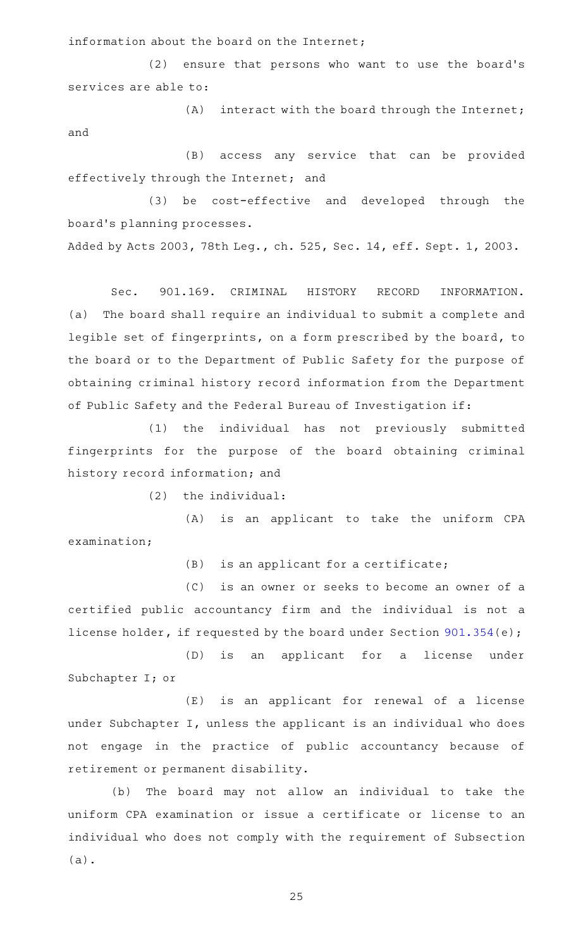information about the board on the Internet;

(2) ensure that persons who want to use the board's services are able to:

 $(A)$  interact with the board through the Internet; and

(B) access any service that can be provided effectively through the Internet; and

(3) be cost-effective and developed through the board's planning processes.

Added by Acts 2003, 78th Leg., ch. 525, Sec. 14, eff. Sept. 1, 2003.

Sec. 901.169. CRIMINAL HISTORY RECORD INFORMATION. (a) The board shall require an individual to submit a complete and legible set of fingerprints, on a form prescribed by the board, to the board or to the Department of Public Safety for the purpose of obtaining criminal history record information from the Department of Public Safety and the Federal Bureau of Investigation if:

(1) the individual has not previously submitted fingerprints for the purpose of the board obtaining criminal history record information; and

 $(2)$  the individual:

(A) is an applicant to take the uniform CPA examination;

 $(B)$  is an applicant for a certificate;

(C) is an owner or seeks to become an owner of a certified public accountancy firm and the individual is not a license holder, if requested by the board under Section [901.354\(](https://statutes.capitol.texas.gov/GetStatute.aspx?Code=OC&Value=901.354)e);

(D) is an applicant for a license under Subchapter I; or

(E) is an applicant for renewal of a license under Subchapter I, unless the applicant is an individual who does not engage in the practice of public accountancy because of retirement or permanent disability.

(b) The board may not allow an individual to take the uniform CPA examination or issue a certificate or license to an individual who does not comply with the requirement of Subsection (a).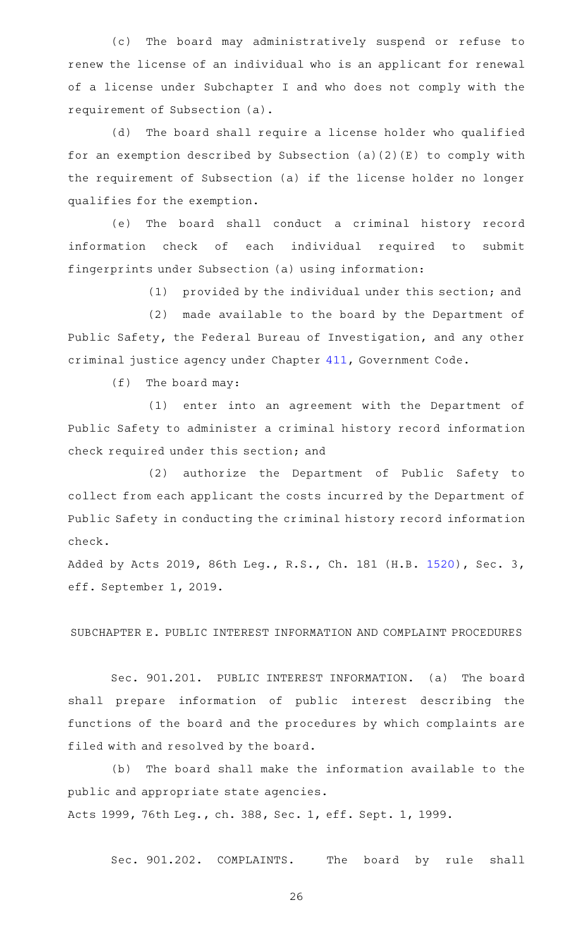(c) The board may administratively suspend or refuse to renew the license of an individual who is an applicant for renewal of a license under Subchapter I and who does not comply with the requirement of Subsection (a).

(d) The board shall require a license holder who qualified for an exemption described by Subsection (a)(2)(E) to comply with the requirement of Subsection (a) if the license holder no longer qualifies for the exemption.

(e) The board shall conduct a criminal history record information check of each individual required to submit fingerprints under Subsection (a) using information:

(1) provided by the individual under this section; and

(2) made available to the board by the Department of Public Safety, the Federal Bureau of Investigation, and any other criminal justice agency under Chapter [411,](https://statutes.capitol.texas.gov/GetStatute.aspx?Code=GV&Value=411) Government Code.

 $(f)$  The board may:

(1) enter into an agreement with the Department of Public Safety to administer a criminal history record information check required under this section; and

(2) authorize the Department of Public Safety to collect from each applicant the costs incurred by the Department of Public Safety in conducting the criminal history record information check.

Added by Acts 2019, 86th Leg., R.S., Ch. 181 (H.B. [1520](http://www.legis.state.tx.us/tlodocs/86R/billtext/html/HB01520F.HTM)), Sec. 3, eff. September 1, 2019.

SUBCHAPTER E. PUBLIC INTEREST INFORMATION AND COMPLAINT PROCEDURES

Sec. 901.201. PUBLIC INTEREST INFORMATION. (a) The board shall prepare information of public interest describing the functions of the board and the procedures by which complaints are filed with and resolved by the board.

(b) The board shall make the information available to the public and appropriate state agencies. Acts 1999, 76th Leg., ch. 388, Sec. 1, eff. Sept. 1, 1999.

Sec. 901.202. COMPLAINTS. The board by rule shall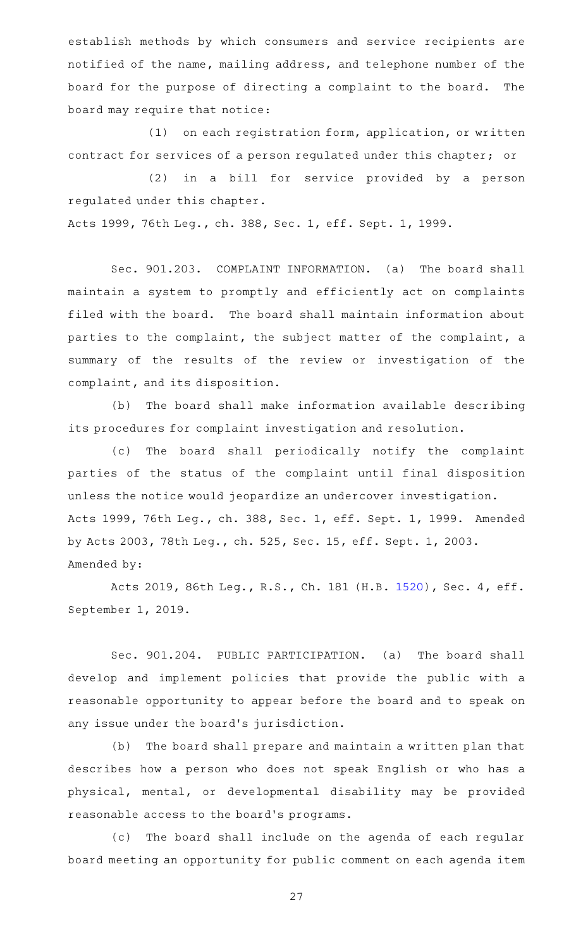establish methods by which consumers and service recipients are notified of the name, mailing address, and telephone number of the board for the purpose of directing a complaint to the board. The board may require that notice:

 $(1)$  on each registration form, application, or written contract for services of a person regulated under this chapter; or

(2) in a bill for service provided by a person regulated under this chapter.

Acts 1999, 76th Leg., ch. 388, Sec. 1, eff. Sept. 1, 1999.

Sec. 901.203. COMPLAINT INFORMATION. (a) The board shall maintain a system to promptly and efficiently act on complaints filed with the board. The board shall maintain information about parties to the complaint, the subject matter of the complaint, a summary of the results of the review or investigation of the complaint, and its disposition.

(b) The board shall make information available describing its procedures for complaint investigation and resolution.

(c) The board shall periodically notify the complaint parties of the status of the complaint until final disposition unless the notice would jeopardize an undercover investigation. Acts 1999, 76th Leg., ch. 388, Sec. 1, eff. Sept. 1, 1999. Amended by Acts 2003, 78th Leg., ch. 525, Sec. 15, eff. Sept. 1, 2003. Amended by:

Acts 2019, 86th Leg., R.S., Ch. 181 (H.B. [1520](http://www.legis.state.tx.us/tlodocs/86R/billtext/html/HB01520F.HTM)), Sec. 4, eff. September 1, 2019.

Sec. 901.204. PUBLIC PARTICIPATION. (a) The board shall develop and implement policies that provide the public with a reasonable opportunity to appear before the board and to speak on any issue under the board's jurisdiction.

(b) The board shall prepare and maintain a written plan that describes how a person who does not speak English or who has a physical, mental, or developmental disability may be provided reasonable access to the board 's programs.

(c) The board shall include on the agenda of each regular board meeting an opportunity for public comment on each agenda item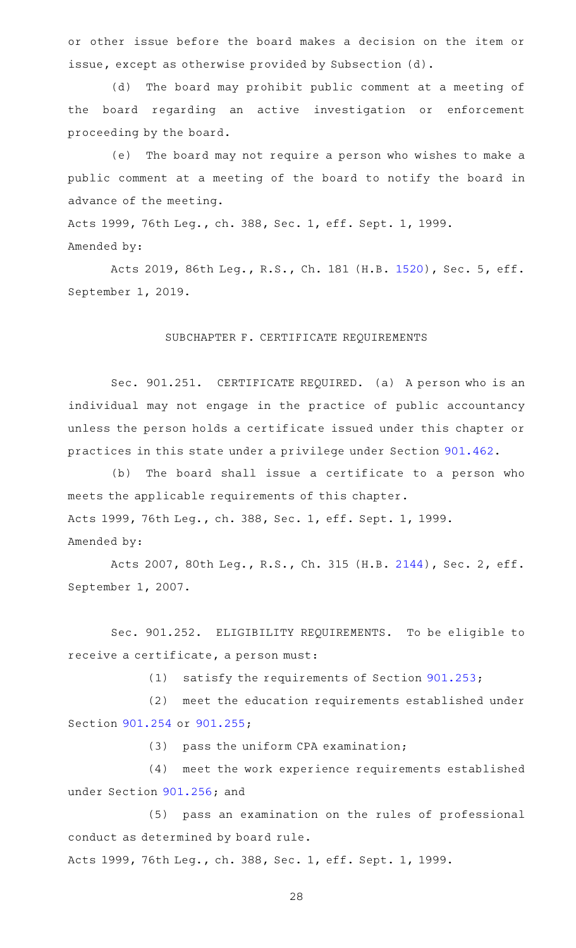or other issue before the board makes a decision on the item or issue, except as otherwise provided by Subsection (d).

(d) The board may prohibit public comment at a meeting of the board regarding an active investigation or enforcement proceeding by the board.

(e) The board may not require a person who wishes to make a public comment at a meeting of the board to notify the board in advance of the meeting.

Acts 1999, 76th Leg., ch. 388, Sec. 1, eff. Sept. 1, 1999. Amended by:

Acts 2019, 86th Leg., R.S., Ch. 181 (H.B. [1520](http://www.legis.state.tx.us/tlodocs/86R/billtext/html/HB01520F.HTM)), Sec. 5, eff. September 1, 2019.

# SUBCHAPTER F. CERTIFICATE REQUIREMENTS

Sec. 901.251. CERTIFICATE REQUIRED. (a) A person who is an individual may not engage in the practice of public accountancy unless the person holds a certificate issued under this chapter or practices in this state under a privilege under Section [901.462.](https://statutes.capitol.texas.gov/GetStatute.aspx?Code=OC&Value=901.462)

(b) The board shall issue a certificate to a person who meets the applicable requirements of this chapter. Acts 1999, 76th Leg., ch. 388, Sec. 1, eff. Sept. 1, 1999. Amended by:

Acts 2007, 80th Leg., R.S., Ch. 315 (H.B. [2144](http://www.legis.state.tx.us/tlodocs/80R/billtext/html/HB02144F.HTM)), Sec. 2, eff. September 1, 2007.

Sec. 901.252. ELIGIBILITY REQUIREMENTS. To be eligible to receive a certificate, a person must:

(1) satisfy the requirements of Section  $901.253$ ;

(2) meet the education requirements established under Section [901.254](https://statutes.capitol.texas.gov/GetStatute.aspx?Code=OC&Value=901.254) or [901.255;](https://statutes.capitol.texas.gov/GetStatute.aspx?Code=OC&Value=901.255)

 $(3)$  pass the uniform CPA examination;

(4) meet the work experience requirements established under Section [901.256](https://statutes.capitol.texas.gov/GetStatute.aspx?Code=OC&Value=901.256); and

(5) pass an examination on the rules of professional conduct as determined by board rule.

Acts 1999, 76th Leg., ch. 388, Sec. 1, eff. Sept. 1, 1999.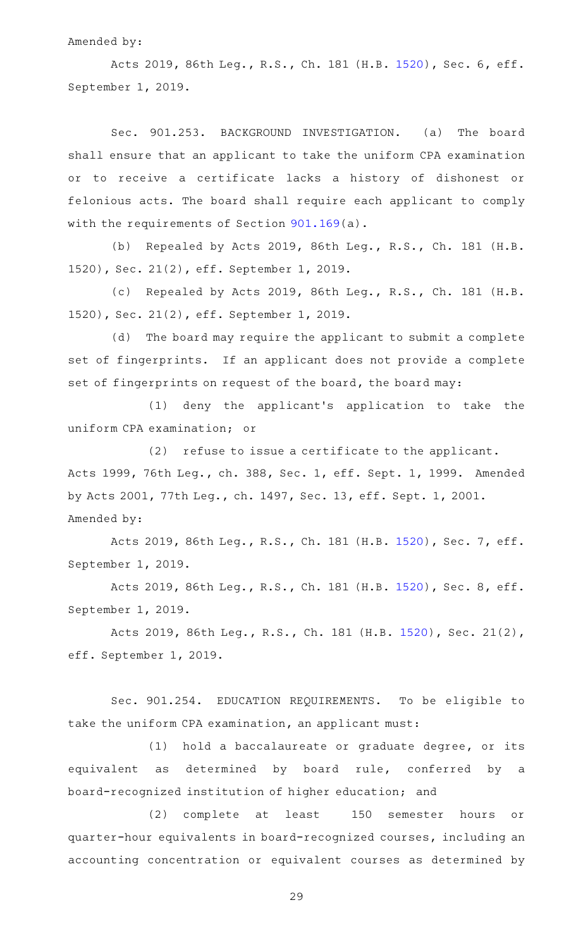#### Amended by:

Acts 2019, 86th Leg., R.S., Ch. 181 (H.B. [1520](http://www.legis.state.tx.us/tlodocs/86R/billtext/html/HB01520F.HTM)), Sec. 6, eff. September 1, 2019.

Sec. 901.253. BACKGROUND INVESTIGATION. (a) The board shall ensure that an applicant to take the uniform CPA examination or to receive a certificate lacks a history of dishonest or felonious acts. The board shall require each applicant to comply with the requirements of Section [901.169](https://statutes.capitol.texas.gov/GetStatute.aspx?Code=OC&Value=901.169)(a).

(b) Repealed by Acts 2019, 86th Leg., R.S., Ch. 181 (H.B. 1520), Sec. 21(2), eff. September 1, 2019.

(c) Repealed by Acts 2019, 86th Leg., R.S., Ch. 181 (H.B. 1520), Sec. 21(2), eff. September 1, 2019.

(d) The board may require the applicant to submit a complete set of fingerprints. If an applicant does not provide a complete set of fingerprints on request of the board, the board may:

(1) deny the applicant's application to take the uniform CPA examination; or

 $(2)$  refuse to issue a certificate to the applicant. Acts 1999, 76th Leg., ch. 388, Sec. 1, eff. Sept. 1, 1999. Amended by Acts 2001, 77th Leg., ch. 1497, Sec. 13, eff. Sept. 1, 2001. Amended by:

Acts 2019, 86th Leg., R.S., Ch. 181 (H.B. [1520](http://www.legis.state.tx.us/tlodocs/86R/billtext/html/HB01520F.HTM)), Sec. 7, eff. September 1, 2019.

Acts 2019, 86th Leg., R.S., Ch. 181 (H.B. [1520](http://www.legis.state.tx.us/tlodocs/86R/billtext/html/HB01520F.HTM)), Sec. 8, eff. September 1, 2019.

Acts 2019, 86th Leg., R.S., Ch. 181 (H.B. [1520\)](http://www.legis.state.tx.us/tlodocs/86R/billtext/html/HB01520F.HTM), Sec. 21(2), eff. September 1, 2019.

Sec. 901.254. EDUCATION REQUIREMENTS. To be eligible to take the uniform CPA examination, an applicant must:

(1) hold a baccalaureate or graduate degree, or its equivalent as determined by board rule, conferred by a board-recognized institution of higher education; and

(2) complete at least 150 semester hours or quarter-hour equivalents in board-recognized courses, including an accounting concentration or equivalent courses as determined by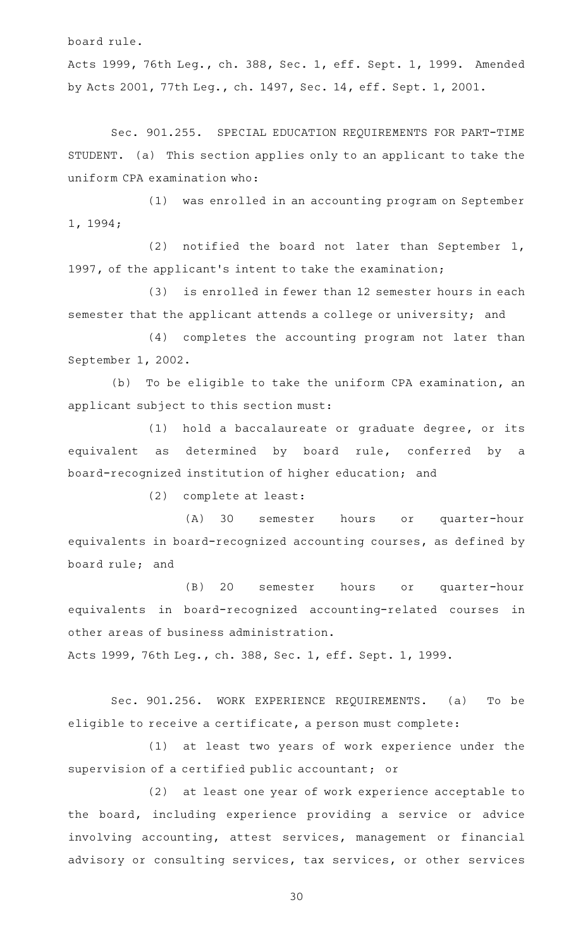board rule.

Acts 1999, 76th Leg., ch. 388, Sec. 1, eff. Sept. 1, 1999. Amended by Acts 2001, 77th Leg., ch. 1497, Sec. 14, eff. Sept. 1, 2001.

Sec. 901.255. SPECIAL EDUCATION REQUIREMENTS FOR PART-TIME STUDENT. (a) This section applies only to an applicant to take the uniform CPA examination who:

(1) was enrolled in an accounting program on September 1, 1994;

(2) notified the board not later than September 1, 1997, of the applicant 's intent to take the examination;

(3) is enrolled in fewer than 12 semester hours in each semester that the applicant attends a college or university; and

(4) completes the accounting program not later than September 1, 2002.

(b) To be eligible to take the uniform CPA examination, an applicant subject to this section must:

(1) hold a baccalaureate or graduate degree, or its equivalent as determined by board rule, conferred by a board-recognized institution of higher education; and

(2) complete at least:

(A) 30 semester hours or quarter-hour equivalents in board-recognized accounting courses, as defined by board rule; and

(B) 20 semester hours or quarter-hour equivalents in board-recognized accounting-related courses in other areas of business administration.

Acts 1999, 76th Leg., ch. 388, Sec. 1, eff. Sept. 1, 1999.

Sec. 901.256. WORK EXPERIENCE REQUIREMENTS. (a) To be eligible to receive a certificate, a person must complete:

(1) at least two years of work experience under the supervision of a certified public accountant; or

(2) at least one year of work experience acceptable to the board, including experience providing a service or advice involving accounting, attest services, management or financial advisory or consulting services, tax services, or other services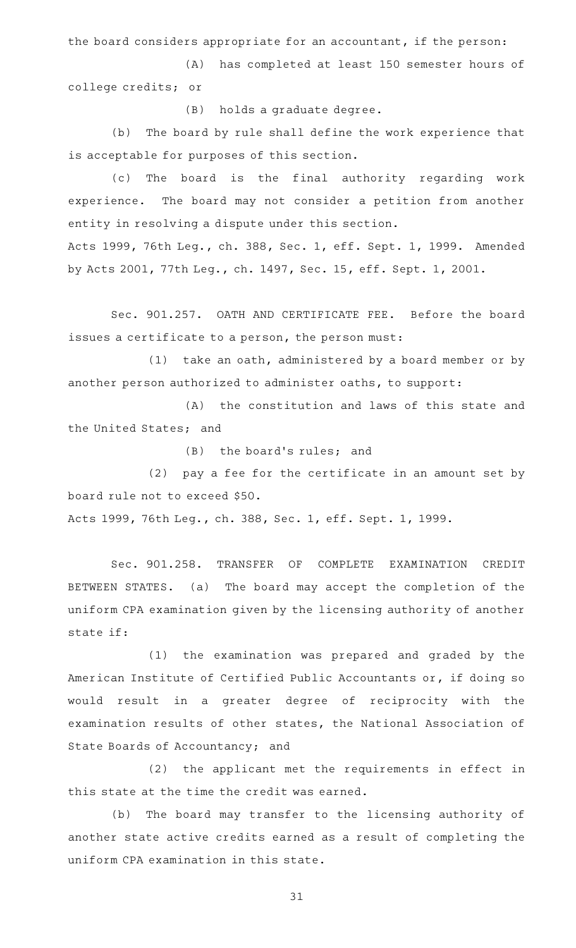the board considers appropriate for an accountant, if the person:

(A) has completed at least 150 semester hours of college credits; or

(B) holds a graduate degree.

(b) The board by rule shall define the work experience that is acceptable for purposes of this section.

(c) The board is the final authority regarding work experience. The board may not consider a petition from another entity in resolving a dispute under this section. Acts 1999, 76th Leg., ch. 388, Sec. 1, eff. Sept. 1, 1999. Amended

by Acts 2001, 77th Leg., ch. 1497, Sec. 15, eff. Sept. 1, 2001.

Sec. 901.257. OATH AND CERTIFICATE FEE. Before the board issues a certificate to a person, the person must:

 $(1)$  take an oath, administered by a board member or by another person authorized to administer oaths, to support:

(A) the constitution and laws of this state and the United States; and

(B) the board's rules; and

 $(2)$  pay a fee for the certificate in an amount set by board rule not to exceed \$50.

Acts 1999, 76th Leg., ch. 388, Sec. 1, eff. Sept. 1, 1999.

Sec. 901.258. TRANSFER OF COMPLETE EXAMINATION CREDIT BETWEEN STATES. (a) The board may accept the completion of the uniform CPA examination given by the licensing authority of another state if:

(1) the examination was prepared and graded by the American Institute of Certified Public Accountants or, if doing so would result in a greater degree of reciprocity with the examination results of other states, the National Association of State Boards of Accountancy; and

(2) the applicant met the requirements in effect in this state at the time the credit was earned.

(b) The board may transfer to the licensing authority of another state active credits earned as a result of completing the uniform CPA examination in this state.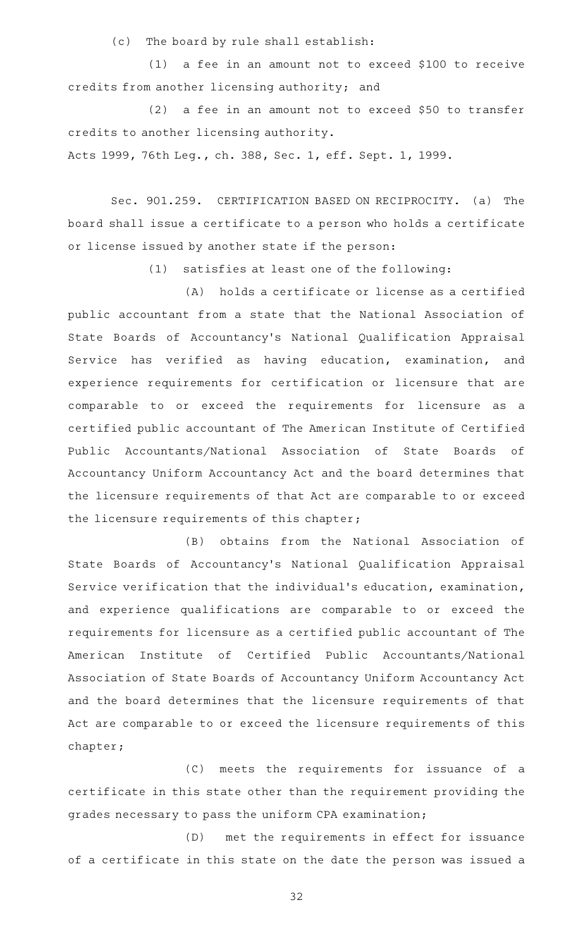(c) The board by rule shall establish:

 $(1)$  a fee in an amount not to exceed \$100 to receive credits from another licensing authority; and

 $(2)$  a fee in an amount not to exceed \$50 to transfer credits to another licensing authority.

Acts 1999, 76th Leg., ch. 388, Sec. 1, eff. Sept. 1, 1999.

Sec. 901.259. CERTIFICATION BASED ON RECIPROCITY. (a) The board shall issue a certificate to a person who holds a certificate or license issued by another state if the person:

 $(1)$  satisfies at least one of the following:

(A) holds a certificate or license as a certified public accountant from a state that the National Association of State Boards of Accountancy 's National Qualification Appraisal Service has verified as having education, examination, and experience requirements for certification or licensure that are comparable to or exceed the requirements for licensure as a certified public accountant of The American Institute of Certified Public Accountants/National Association of State Boards of Accountancy Uniform Accountancy Act and the board determines that the licensure requirements of that Act are comparable to or exceed the licensure requirements of this chapter;

(B) obtains from the National Association of State Boards of Accountancy 's National Qualification Appraisal Service verification that the individual 's education, examination, and experience qualifications are comparable to or exceed the requirements for licensure as a certified public accountant of The American Institute of Certified Public Accountants/National Association of State Boards of Accountancy Uniform Accountancy Act and the board determines that the licensure requirements of that Act are comparable to or exceed the licensure requirements of this chapter;

(C) meets the requirements for issuance of a certificate in this state other than the requirement providing the grades necessary to pass the uniform CPA examination;

(D) met the requirements in effect for issuance of a certificate in this state on the date the person was issued a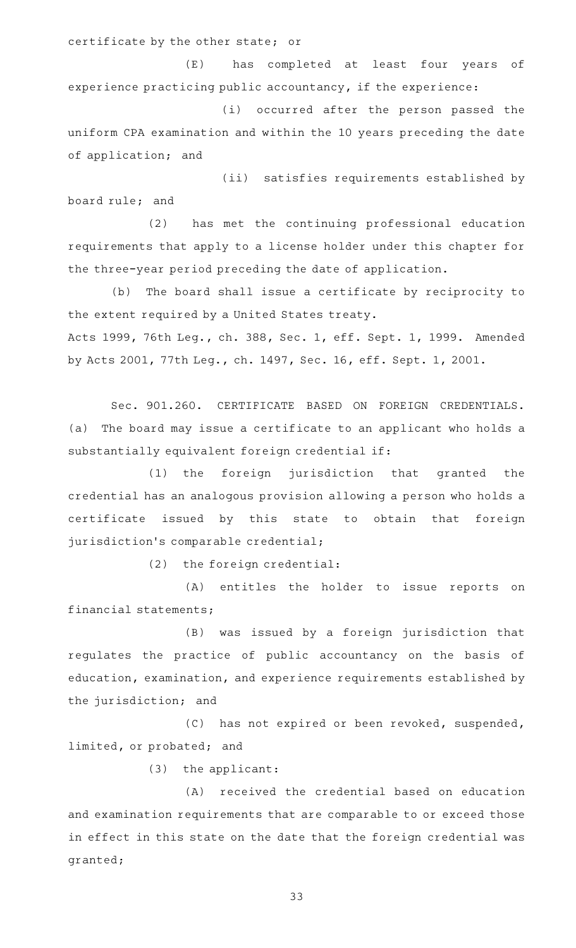certificate by the other state; or

(E) has completed at least four years of experience practicing public accountancy, if the experience:

(i) occurred after the person passed the uniform CPA examination and within the 10 years preceding the date of application; and

(ii) satisfies requirements established by board rule; and

(2) has met the continuing professional education requirements that apply to a license holder under this chapter for the three-year period preceding the date of application.

(b) The board shall issue a certificate by reciprocity to the extent required by a United States treaty. Acts 1999, 76th Leg., ch. 388, Sec. 1, eff. Sept. 1, 1999. Amended by Acts 2001, 77th Leg., ch. 1497, Sec. 16, eff. Sept. 1, 2001.

Sec. 901.260. CERTIFICATE BASED ON FOREIGN CREDENTIALS. (a) The board may issue a certificate to an applicant who holds a substantially equivalent foreign credential if:

(1) the foreign jurisdiction that granted the credential has an analogous provision allowing a person who holds a certificate issued by this state to obtain that foreign jurisdiction's comparable credential;

(2) the foreign credential:

(A) entitles the holder to issue reports on financial statements;

(B) was issued by a foreign jurisdiction that regulates the practice of public accountancy on the basis of education, examination, and experience requirements established by the jurisdiction; and

(C) has not expired or been revoked, suspended, limited, or probated; and

 $(3)$  the applicant:

(A) received the credential based on education and examination requirements that are comparable to or exceed those in effect in this state on the date that the foreign credential was granted;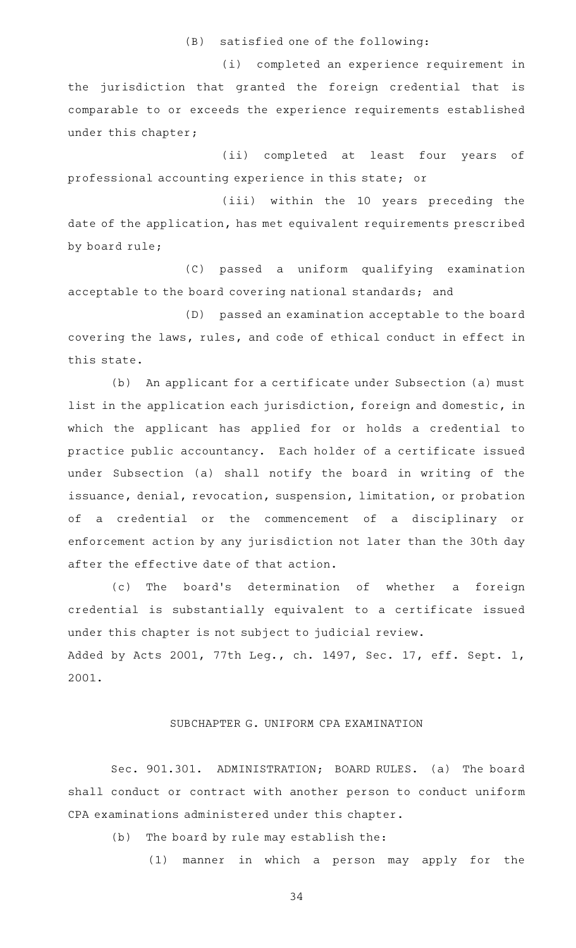$(B)$  satisfied one of the following:

(i) completed an experience requirement in the jurisdiction that granted the foreign credential that is comparable to or exceeds the experience requirements established under this chapter;

(ii) completed at least four years of professional accounting experience in this state; or

(iii) within the 10 years preceding the date of the application, has met equivalent requirements prescribed by board rule;

(C) passed a uniform qualifying examination acceptable to the board covering national standards; and

(D) passed an examination acceptable to the board covering the laws, rules, and code of ethical conduct in effect in this state.

(b) An applicant for a certificate under Subsection (a) must list in the application each jurisdiction, foreign and domestic, in which the applicant has applied for or holds a credential to practice public accountancy. Each holder of a certificate issued under Subsection (a) shall notify the board in writing of the issuance, denial, revocation, suspension, limitation, or probation of a credential or the commencement of a disciplinary or enforcement action by any jurisdiction not later than the 30th day after the effective date of that action.

(c) The board's determination of whether a foreign credential is substantially equivalent to a certificate issued under this chapter is not subject to judicial review. Added by Acts 2001, 77th Leg., ch. 1497, Sec. 17, eff. Sept. 1, 2001.

# SUBCHAPTER G. UNIFORM CPA EXAMINATION

Sec. 901.301. ADMINISTRATION; BOARD RULES. (a) The board shall conduct or contract with another person to conduct uniform CPA examinations administered under this chapter.

(b) The board by rule may establish the:

(1) manner in which a person may apply for the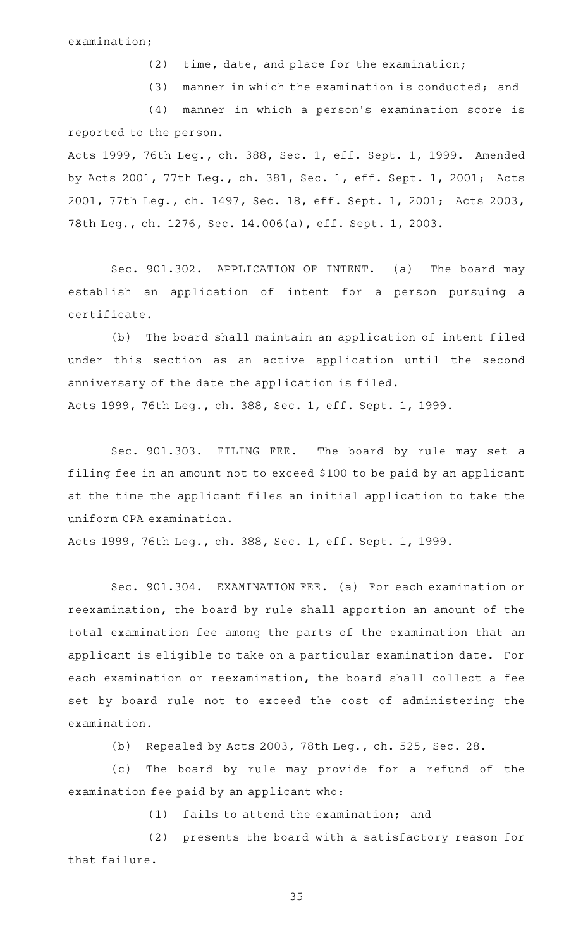$(2)$  time, date, and place for the examination;

 $(3)$  manner in which the examination is conducted; and

(4) manner in which a person's examination score is reported to the person.

Acts 1999, 76th Leg., ch. 388, Sec. 1, eff. Sept. 1, 1999. Amended by Acts 2001, 77th Leg., ch. 381, Sec. 1, eff. Sept. 1, 2001; Acts 2001, 77th Leg., ch. 1497, Sec. 18, eff. Sept. 1, 2001; Acts 2003, 78th Leg., ch. 1276, Sec. 14.006(a), eff. Sept. 1, 2003.

Sec. 901.302. APPLICATION OF INTENT. (a) The board may establish an application of intent for a person pursuing a certificate.

(b) The board shall maintain an application of intent filed under this section as an active application until the second anniversary of the date the application is filed. Acts 1999, 76th Leg., ch. 388, Sec. 1, eff. Sept. 1, 1999.

Sec. 901.303. FILING FEE. The board by rule may set a filing fee in an amount not to exceed \$100 to be paid by an applicant at the time the applicant files an initial application to take the uniform CPA examination.

Acts 1999, 76th Leg., ch. 388, Sec. 1, eff. Sept. 1, 1999.

Sec. 901.304. EXAMINATION FEE. (a) For each examination or reexamination, the board by rule shall apportion an amount of the total examination fee among the parts of the examination that an applicant is eligible to take on a particular examination date. For each examination or reexamination, the board shall collect a fee set by board rule not to exceed the cost of administering the examination.

(b) Repealed by Acts 2003, 78th Leg., ch. 525, Sec. 28.

(c) The board by rule may provide for a refund of the examination fee paid by an applicant who:

 $(1)$  fails to attend the examination; and

(2) presents the board with a satisfactory reason for that failure.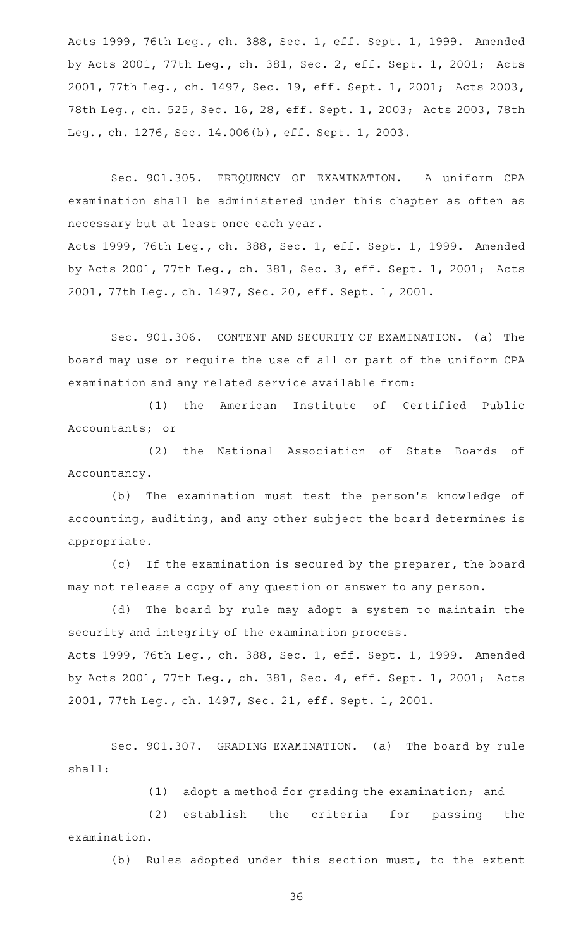Acts 1999, 76th Leg., ch. 388, Sec. 1, eff. Sept. 1, 1999. Amended by Acts 2001, 77th Leg., ch. 381, Sec. 2, eff. Sept. 1, 2001; Acts 2001, 77th Leg., ch. 1497, Sec. 19, eff. Sept. 1, 2001; Acts 2003, 78th Leg., ch. 525, Sec. 16, 28, eff. Sept. 1, 2003; Acts 2003, 78th Leg., ch. 1276, Sec. 14.006(b), eff. Sept. 1, 2003.

Sec. 901.305. FREQUENCY OF EXAMINATION. A uniform CPA examination shall be administered under this chapter as often as necessary but at least once each year. Acts 1999, 76th Leg., ch. 388, Sec. 1, eff. Sept. 1, 1999. Amended by Acts 2001, 77th Leg., ch. 381, Sec. 3, eff. Sept. 1, 2001; Acts 2001, 77th Leg., ch. 1497, Sec. 20, eff. Sept. 1, 2001.

Sec. 901.306. CONTENT AND SECURITY OF EXAMINATION. (a) The board may use or require the use of all or part of the uniform CPA examination and any related service available from:

(1) the American Institute of Certified Public Accountants; or

(2) the National Association of State Boards of Accountancy.

(b) The examination must test the person's knowledge of accounting, auditing, and any other subject the board determines is appropriate.

(c) If the examination is secured by the preparer, the board may not release a copy of any question or answer to any person.

(d) The board by rule may adopt a system to maintain the security and integrity of the examination process. Acts 1999, 76th Leg., ch. 388, Sec. 1, eff. Sept. 1, 1999. Amended

by Acts 2001, 77th Leg., ch. 381, Sec. 4, eff. Sept. 1, 2001; Acts 2001, 77th Leg., ch. 1497, Sec. 21, eff. Sept. 1, 2001.

Sec. 901.307. GRADING EXAMINATION. (a) The board by rule shall:

(1) adopt a method for grading the examination; and

(2) establish the criteria for passing the examination.

(b) Rules adopted under this section must, to the extent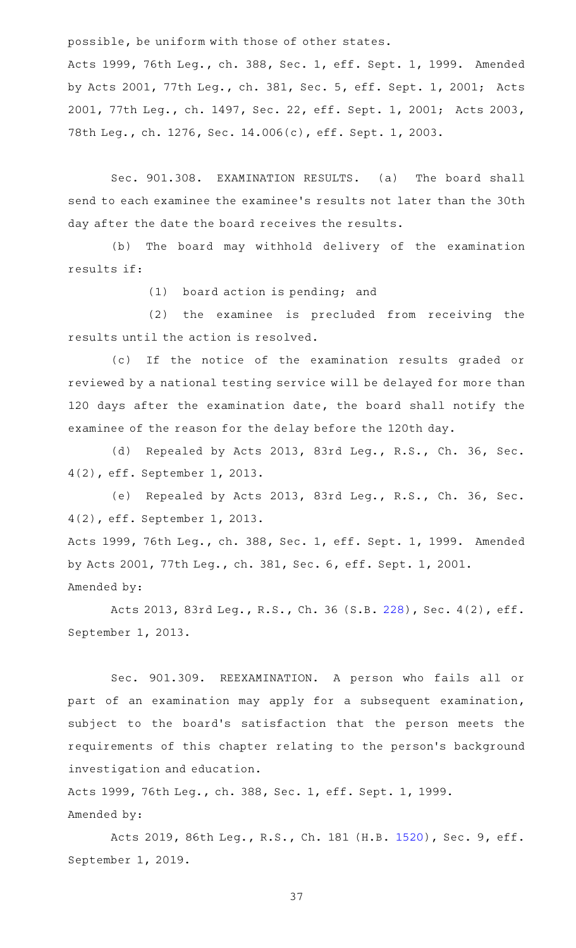possible, be uniform with those of other states.

Acts 1999, 76th Leg., ch. 388, Sec. 1, eff. Sept. 1, 1999. Amended by Acts 2001, 77th Leg., ch. 381, Sec. 5, eff. Sept. 1, 2001; Acts 2001, 77th Leg., ch. 1497, Sec. 22, eff. Sept. 1, 2001; Acts 2003, 78th Leg., ch. 1276, Sec. 14.006(c), eff. Sept. 1, 2003.

Sec. 901.308. EXAMINATION RESULTS. (a) The board shall send to each examinee the examinee 's results not later than the 30th day after the date the board receives the results.

(b) The board may withhold delivery of the examination results if:

 $(1)$  board action is pending; and

(2) the examinee is precluded from receiving the results until the action is resolved.

(c) If the notice of the examination results graded or reviewed by a national testing service will be delayed for more than 120 days after the examination date, the board shall notify the examinee of the reason for the delay before the 120th day.

(d) Repealed by Acts 2013, 83rd Leg., R.S., Ch. 36, Sec. 4(2), eff. September 1, 2013.

(e) Repealed by Acts 2013, 83rd Leg., R.S., Ch. 36, Sec. 4(2), eff. September 1, 2013.

Acts 1999, 76th Leg., ch. 388, Sec. 1, eff. Sept. 1, 1999. Amended by Acts 2001, 77th Leg., ch. 381, Sec. 6, eff. Sept. 1, 2001. Amended by:

Acts 2013, 83rd Leg., R.S., Ch. 36 (S.B. [228\)](http://www.legis.state.tx.us/tlodocs/83R/billtext/html/SB00228F.HTM), Sec. 4(2), eff. September 1, 2013.

Sec. 901.309. REEXAMINATION. A person who fails all or part of an examination may apply for a subsequent examination, subject to the board's satisfaction that the person meets the requirements of this chapter relating to the person 's background investigation and education.

Acts 1999, 76th Leg., ch. 388, Sec. 1, eff. Sept. 1, 1999. Amended by:

Acts 2019, 86th Leg., R.S., Ch. 181 (H.B. [1520](http://www.legis.state.tx.us/tlodocs/86R/billtext/html/HB01520F.HTM)), Sec. 9, eff. September 1, 2019.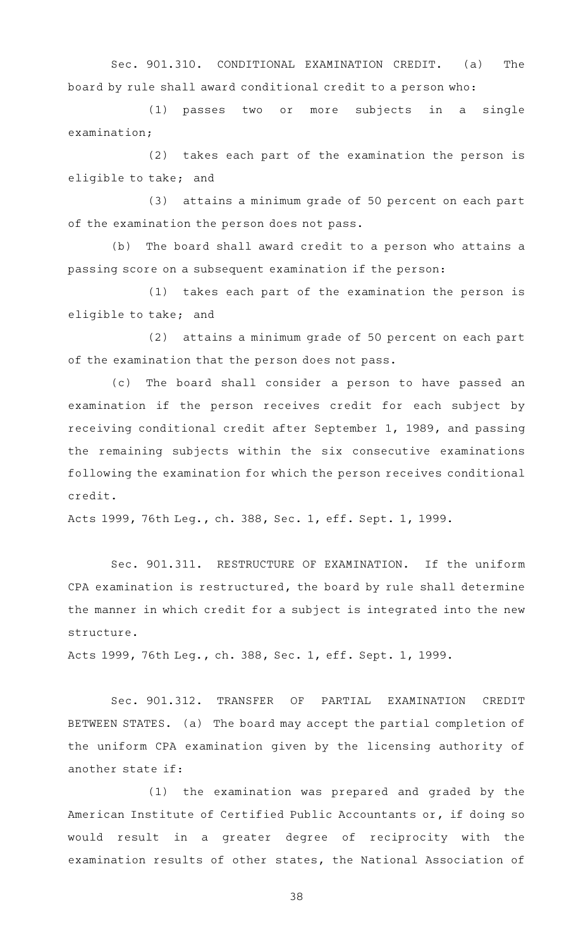Sec. 901.310. CONDITIONAL EXAMINATION CREDIT. (a) The board by rule shall award conditional credit to a person who:

(1) passes two or more subjects in a single examination;

(2) takes each part of the examination the person is eligible to take; and

(3) attains a minimum grade of 50 percent on each part of the examination the person does not pass.

(b) The board shall award credit to a person who attains a passing score on a subsequent examination if the person:

(1) takes each part of the examination the person is eligible to take; and

(2) attains a minimum grade of 50 percent on each part of the examination that the person does not pass.

(c) The board shall consider a person to have passed an examination if the person receives credit for each subject by receiving conditional credit after September 1, 1989, and passing the remaining subjects within the six consecutive examinations following the examination for which the person receives conditional credit.

Acts 1999, 76th Leg., ch. 388, Sec. 1, eff. Sept. 1, 1999.

Sec. 901.311. RESTRUCTURE OF EXAMINATION. If the uniform CPA examination is restructured, the board by rule shall determine the manner in which credit for a subject is integrated into the new structure.

Acts 1999, 76th Leg., ch. 388, Sec. 1, eff. Sept. 1, 1999.

Sec. 901.312. TRANSFER OF PARTIAL EXAMINATION CREDIT BETWEEN STATES. (a) The board may accept the partial completion of the uniform CPA examination given by the licensing authority of another state if:

(1) the examination was prepared and graded by the American Institute of Certified Public Accountants or, if doing so would result in a greater degree of reciprocity with the examination results of other states, the National Association of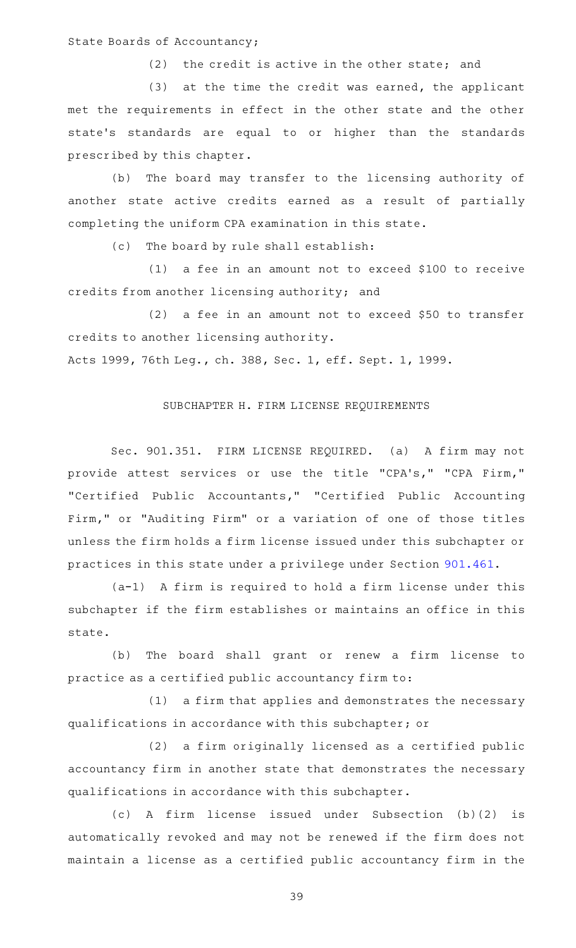State Boards of Accountancy;

 $(2)$  the credit is active in the other state; and

 $(3)$  at the time the credit was earned, the applicant met the requirements in effect in the other state and the other state 's standards are equal to or higher than the standards prescribed by this chapter.

(b) The board may transfer to the licensing authority of another state active credits earned as a result of partially completing the uniform CPA examination in this state.

(c) The board by rule shall establish:

(1) a fee in an amount not to exceed \$100 to receive credits from another licensing authority; and

(2) a fee in an amount not to exceed \$50 to transfer credits to another licensing authority.

Acts 1999, 76th Leg., ch. 388, Sec. 1, eff. Sept. 1, 1999.

## SUBCHAPTER H. FIRM LICENSE REQUIREMENTS

Sec. 901.351. FIRM LICENSE REQUIRED. (a) A firm may not provide attest services or use the title "CPA's," "CPA Firm," "Certified Public Accountants," "Certified Public Accounting Firm," or "Auditing Firm" or a variation of one of those titles unless the firm holds a firm license issued under this subchapter or practices in this state under a privilege under Section [901.461.](https://statutes.capitol.texas.gov/GetStatute.aspx?Code=OC&Value=901.461)

 $(a-1)$  A firm is required to hold a firm license under this subchapter if the firm establishes or maintains an office in this state.

(b) The board shall grant or renew a firm license to practice as a certified public accountancy firm to:

(1) a firm that applies and demonstrates the necessary qualifications in accordance with this subchapter; or

(2) a firm originally licensed as a certified public accountancy firm in another state that demonstrates the necessary qualifications in accordance with this subchapter.

(c)AAA firm license issued under Subsection (b)(2) is automatically revoked and may not be renewed if the firm does not maintain a license as a certified public accountancy firm in the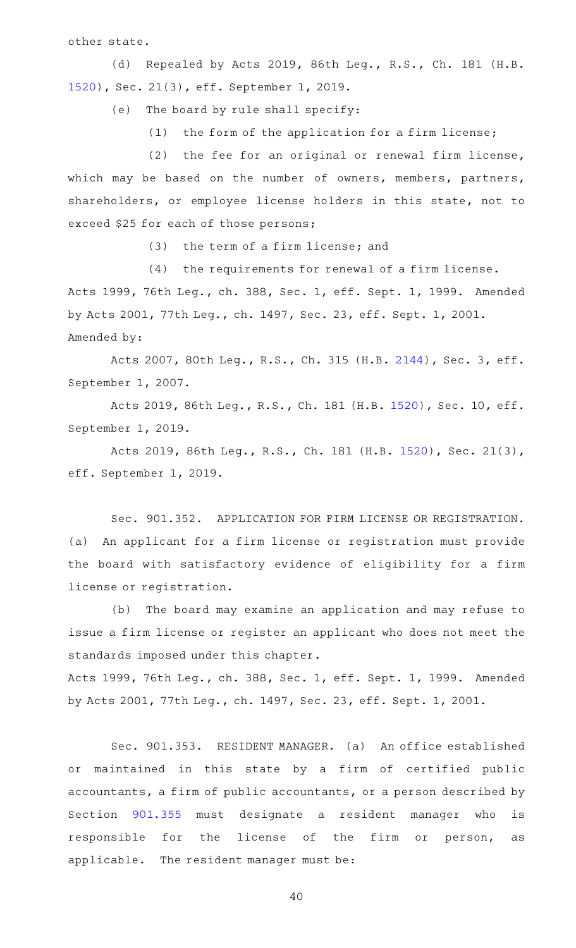other state.

(d) Repealed by Acts 2019, 86th Leg., R.S., Ch. 181 (H.B. [1520](http://www.legis.state.tx.us/tlodocs/86R/billtext/html/HB01520F.HTM)), Sec. 21(3), eff. September 1, 2019.

(e) The board by rule shall specify:

 $(1)$  the form of the application for a firm license;

(2) the fee for an original or renewal firm license, which may be based on the number of owners, members, partners, shareholders, or employee license holders in this state, not to exceed \$25 for each of those persons;

 $(3)$  the term of a firm license; and

 $(4)$  the requirements for renewal of a firm license.

Acts 1999, 76th Leg., ch. 388, Sec. 1, eff. Sept. 1, 1999. Amended by Acts 2001, 77th Leg., ch. 1497, Sec. 23, eff. Sept. 1, 2001. Amended by:

Acts 2007, 80th Leg., R.S., Ch. 315 (H.B. [2144](http://www.legis.state.tx.us/tlodocs/80R/billtext/html/HB02144F.HTM)), Sec. 3, eff. September 1, 2007.

Acts 2019, 86th Leg., R.S., Ch. 181 (H.B. [1520\)](http://www.legis.state.tx.us/tlodocs/86R/billtext/html/HB01520F.HTM), Sec. 10, eff. September 1, 2019.

Acts 2019, 86th Leg., R.S., Ch. 181 (H.B. [1520\)](http://www.legis.state.tx.us/tlodocs/86R/billtext/html/HB01520F.HTM), Sec. 21(3), eff. September 1, 2019.

Sec. 901.352. APPLICATION FOR FIRM LICENSE OR REGISTRATION. (a) An applicant for a firm license or registration must provide the board with satisfactory evidence of eligibility for a firm license or registration.

(b) The board may examine an application and may refuse to issue a firm license or register an applicant who does not meet the standards imposed under this chapter.

Acts 1999, 76th Leg., ch. 388, Sec. 1, eff. Sept. 1, 1999. Amended by Acts 2001, 77th Leg., ch. 1497, Sec. 23, eff. Sept. 1, 2001.

Sec. 901.353. RESIDENT MANAGER. (a) An office established or maintained in this state by a firm of certified public accountants, a firm of public accountants, or a person described by Section [901.355](https://statutes.capitol.texas.gov/GetStatute.aspx?Code=OC&Value=901.355) must designate a resident manager who is responsible for the license of the firm or person, as applicable. The resident manager must be: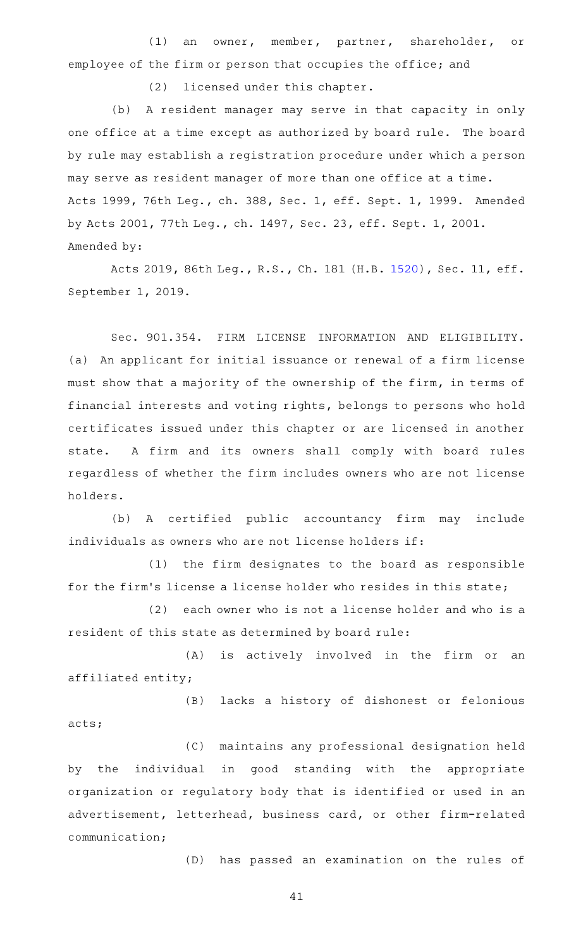(1) an owner, member, partner, shareholder, or employee of the firm or person that occupies the office; and

(2) licensed under this chapter.

(b) A resident manager may serve in that capacity in only one office at a time except as authorized by board rule. The board by rule may establish a registration procedure under which a person may serve as resident manager of more than one office at a time. Acts 1999, 76th Leg., ch. 388, Sec. 1, eff. Sept. 1, 1999. Amended by Acts 2001, 77th Leg., ch. 1497, Sec. 23, eff. Sept. 1, 2001. Amended by:

Acts 2019, 86th Leg., R.S., Ch. 181 (H.B. [1520\)](http://www.legis.state.tx.us/tlodocs/86R/billtext/html/HB01520F.HTM), Sec. 11, eff. September 1, 2019.

Sec. 901.354. FIRM LICENSE INFORMATION AND ELIGIBILITY. (a) An applicant for initial issuance or renewal of a firm license must show that a majority of the ownership of the firm, in terms of financial interests and voting rights, belongs to persons who hold certificates issued under this chapter or are licensed in another state. A firm and its owners shall comply with board rules regardless of whether the firm includes owners who are not license holders.

(b) A certified public accountancy firm may include individuals as owners who are not license holders if:

(1) the firm designates to the board as responsible for the firm's license a license holder who resides in this state;

 $(2)$  each owner who is not a license holder and who is a resident of this state as determined by board rule:

(A) is actively involved in the firm or an affiliated entity;

(B) lacks a history of dishonest or felonious acts;

(C) maintains any professional designation held by the individual in good standing with the appropriate organization or regulatory body that is identified or used in an advertisement, letterhead, business card, or other firm-related communication;

(D) has passed an examination on the rules of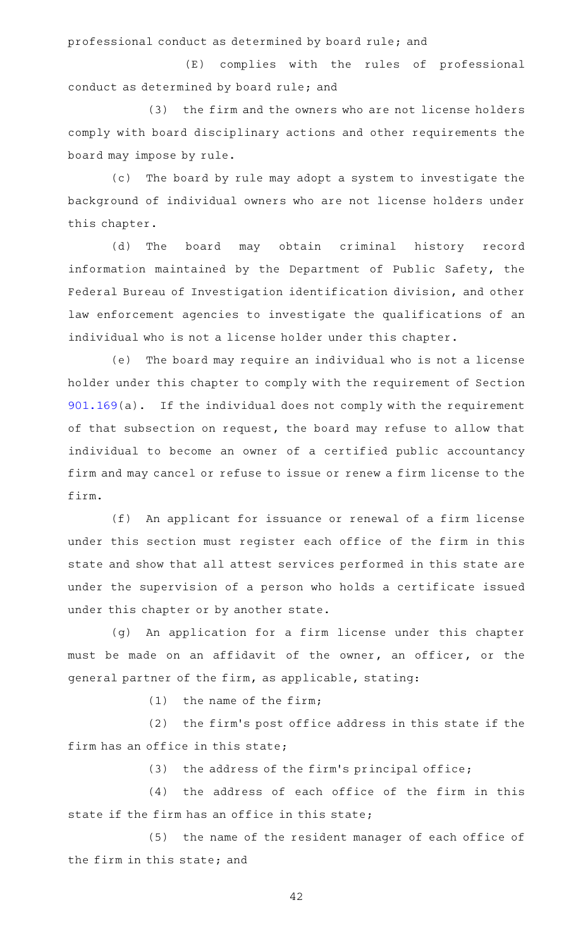professional conduct as determined by board rule; and

(E) complies with the rules of professional conduct as determined by board rule; and

(3) the firm and the owners who are not license holders comply with board disciplinary actions and other requirements the board may impose by rule.

(c) The board by rule may adopt a system to investigate the background of individual owners who are not license holders under this chapter.

(d) The board may obtain criminal history record information maintained by the Department of Public Safety, the Federal Bureau of Investigation identification division, and other law enforcement agencies to investigate the qualifications of an individual who is not a license holder under this chapter.

(e) The board may require an individual who is not a license holder under this chapter to comply with the requirement of Section [901.169\(](https://statutes.capitol.texas.gov/GetStatute.aspx?Code=OC&Value=901.169)a). If the individual does not comply with the requirement of that subsection on request, the board may refuse to allow that individual to become an owner of a certified public accountancy firm and may cancel or refuse to issue or renew a firm license to the firm.

(f) An applicant for issuance or renewal of a firm license under this section must register each office of the firm in this state and show that all attest services performed in this state are under the supervision of a person who holds a certificate issued under this chapter or by another state.

(g) An application for a firm license under this chapter must be made on an affidavit of the owner, an officer, or the general partner of the firm, as applicable, stating:

 $(1)$  the name of the firm;

 $(2)$  the firm's post office address in this state if the firm has an office in this state;

(3) the address of the firm's principal office;

(4) the address of each office of the firm in this state if the firm has an office in this state;

(5) the name of the resident manager of each office of the firm in this state; and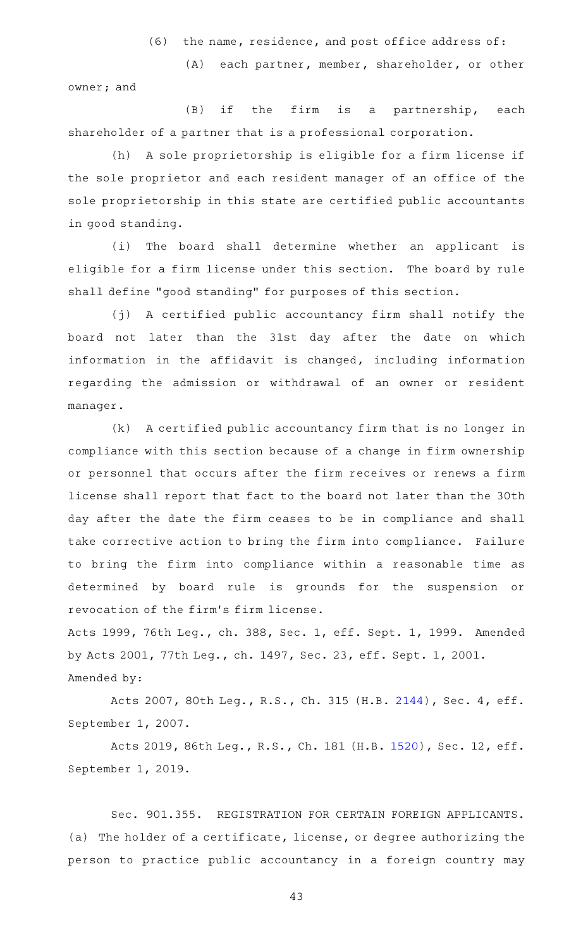$(6)$  the name, residence, and post office address of:

(A) each partner, member, shareholder, or other owner; and

 $(B)$  if the firm is a partnership, each shareholder of a partner that is a professional corporation.

(h) A sole proprietorship is eligible for a firm license if the sole proprietor and each resident manager of an office of the sole proprietorship in this state are certified public accountants in good standing.

(i) The board shall determine whether an applicant is eligible for a firm license under this section. The board by rule shall define "good standing" for purposes of this section.

(j) A certified public accountancy firm shall notify the board not later than the 31st day after the date on which information in the affidavit is changed, including information regarding the admission or withdrawal of an owner or resident manager.

(k) A certified public accountancy firm that is no longer in compliance with this section because of a change in firm ownership or personnel that occurs after the firm receives or renews a firm license shall report that fact to the board not later than the 30th day after the date the firm ceases to be in compliance and shall take corrective action to bring the firm into compliance. Failure to bring the firm into compliance within a reasonable time as determined by board rule is grounds for the suspension or revocation of the firm 's firm license.

Acts 1999, 76th Leg., ch. 388, Sec. 1, eff. Sept. 1, 1999. Amended by Acts 2001, 77th Leg., ch. 1497, Sec. 23, eff. Sept. 1, 2001. Amended by:

Acts 2007, 80th Leg., R.S., Ch. 315 (H.B. [2144](http://www.legis.state.tx.us/tlodocs/80R/billtext/html/HB02144F.HTM)), Sec. 4, eff. September 1, 2007.

Acts 2019, 86th Leg., R.S., Ch. 181 (H.B. [1520\)](http://www.legis.state.tx.us/tlodocs/86R/billtext/html/HB01520F.HTM), Sec. 12, eff. September 1, 2019.

Sec. 901.355. REGISTRATION FOR CERTAIN FOREIGN APPLICANTS. (a) The holder of a certificate, license, or degree authorizing the person to practice public accountancy in a foreign country may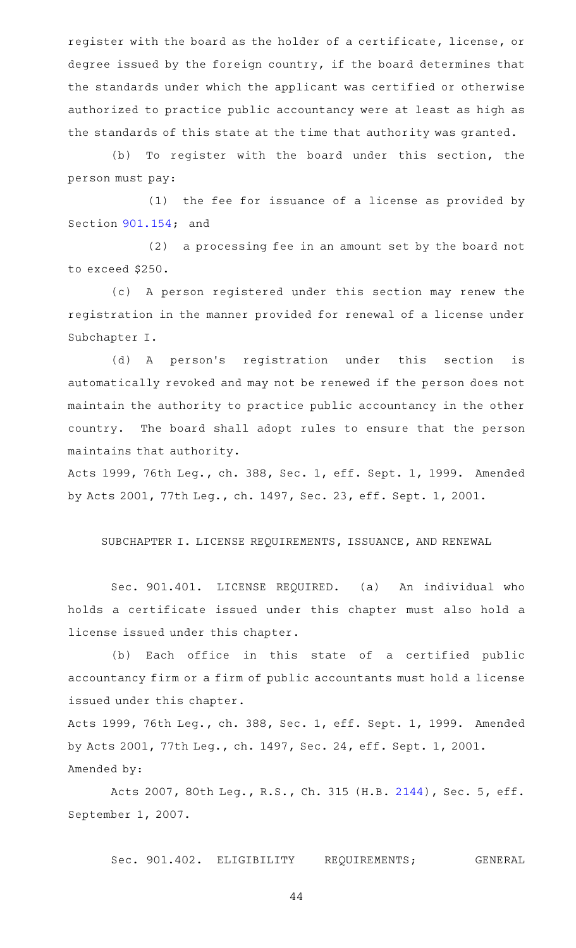register with the board as the holder of a certificate, license, or degree issued by the foreign country, if the board determines that the standards under which the applicant was certified or otherwise authorized to practice public accountancy were at least as high as the standards of this state at the time that authority was granted.

(b) To register with the board under this section, the person must pay:

(1) the fee for issuance of a license as provided by Section [901.154;](https://statutes.capitol.texas.gov/GetStatute.aspx?Code=OC&Value=901.154) and

(2) a processing fee in an amount set by the board not to exceed \$250.

(c)AAA person registered under this section may renew the registration in the manner provided for renewal of a license under Subchapter I.

(d) A person's registration under this section is automatically revoked and may not be renewed if the person does not maintain the authority to practice public accountancy in the other country. The board shall adopt rules to ensure that the person maintains that authority.

Acts 1999, 76th Leg., ch. 388, Sec. 1, eff. Sept. 1, 1999. Amended by Acts 2001, 77th Leg., ch. 1497, Sec. 23, eff. Sept. 1, 2001.

SUBCHAPTER I. LICENSE REQUIREMENTS, ISSUANCE, AND RENEWAL

Sec. 901.401. LICENSE REQUIRED. (a) An individual who holds a certificate issued under this chapter must also hold a license issued under this chapter.

(b) Each office in this state of a certified public accountancy firm or a firm of public accountants must hold a license issued under this chapter.

Acts 1999, 76th Leg., ch. 388, Sec. 1, eff. Sept. 1, 1999. Amended by Acts 2001, 77th Leg., ch. 1497, Sec. 24, eff. Sept. 1, 2001. Amended by:

Acts 2007, 80th Leg., R.S., Ch. 315 (H.B. [2144](http://www.legis.state.tx.us/tlodocs/80R/billtext/html/HB02144F.HTM)), Sec. 5, eff. September 1, 2007.

Sec. 901.402. ELIGIBILITY REQUIREMENTS; GENERAL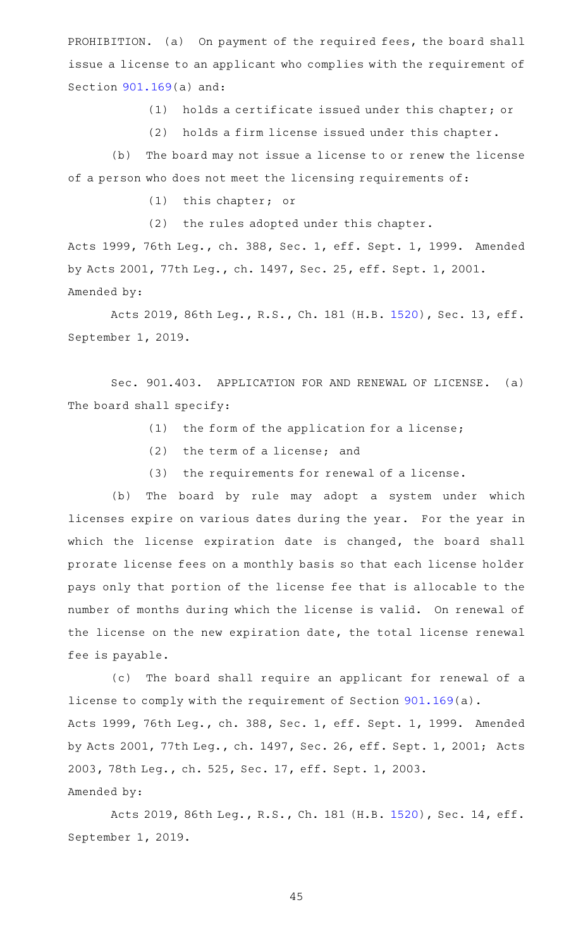PROHIBITION. (a) On payment of the required fees, the board shall issue a license to an applicant who complies with the requirement of Section [901.169\(](https://statutes.capitol.texas.gov/GetStatute.aspx?Code=OC&Value=901.169)a) and:

 $(1)$  holds a certificate issued under this chapter; or

(2) holds a firm license issued under this chapter.

(b) The board may not issue a license to or renew the license of a person who does not meet the licensing requirements of:

(1) this chapter; or

(2) the rules adopted under this chapter.

Acts 1999, 76th Leg., ch. 388, Sec. 1, eff. Sept. 1, 1999. Amended by Acts 2001, 77th Leg., ch. 1497, Sec. 25, eff. Sept. 1, 2001. Amended by:

Acts 2019, 86th Leg., R.S., Ch. 181 (H.B. [1520\)](http://www.legis.state.tx.us/tlodocs/86R/billtext/html/HB01520F.HTM), Sec. 13, eff. September 1, 2019.

Sec. 901.403. APPLICATION FOR AND RENEWAL OF LICENSE. (a) The board shall specify:

- $(1)$  the form of the application for a license;
- $(2)$  the term of a license; and
- $(3)$  the requirements for renewal of a license.

(b) The board by rule may adopt a system under which licenses expire on various dates during the year. For the year in which the license expiration date is changed, the board shall prorate license fees on a monthly basis so that each license holder pays only that portion of the license fee that is allocable to the number of months during which the license is valid. On renewal of the license on the new expiration date, the total license renewal fee is payable.

(c) The board shall require an applicant for renewal of a license to comply with the requirement of Section [901.169](https://statutes.capitol.texas.gov/GetStatute.aspx?Code=OC&Value=901.169)(a). Acts 1999, 76th Leg., ch. 388, Sec. 1, eff. Sept. 1, 1999. Amended by Acts 2001, 77th Leg., ch. 1497, Sec. 26, eff. Sept. 1, 2001; Acts 2003, 78th Leg., ch. 525, Sec. 17, eff. Sept. 1, 2003. Amended by:

Acts 2019, 86th Leg., R.S., Ch. 181 (H.B. [1520\)](http://www.legis.state.tx.us/tlodocs/86R/billtext/html/HB01520F.HTM), Sec. 14, eff. September 1, 2019.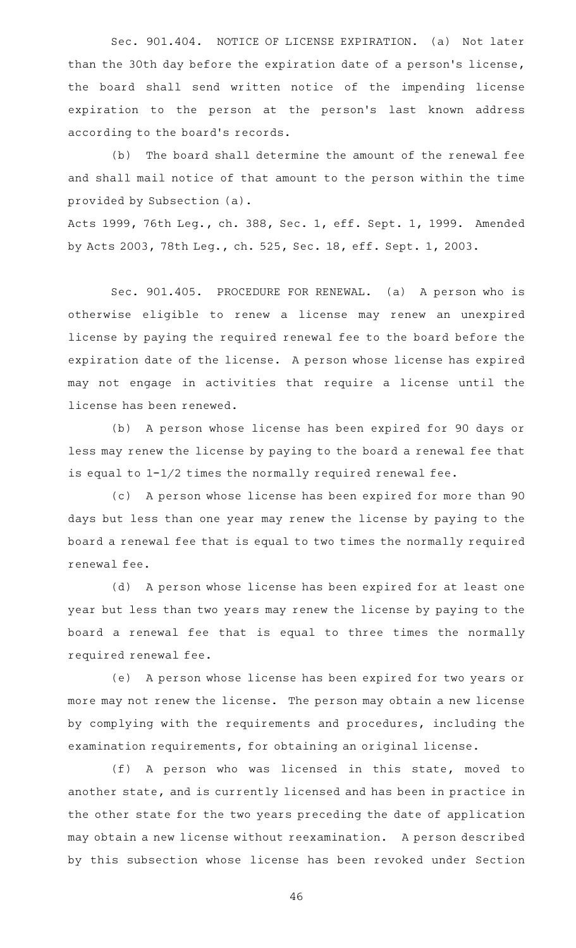Sec. 901.404. NOTICE OF LICENSE EXPIRATION. (a) Not later than the 30th day before the expiration date of a person's license, the board shall send written notice of the impending license expiration to the person at the person's last known address according to the board's records.

(b) The board shall determine the amount of the renewal fee and shall mail notice of that amount to the person within the time provided by Subsection (a).

Acts 1999, 76th Leg., ch. 388, Sec. 1, eff. Sept. 1, 1999. Amended by Acts 2003, 78th Leg., ch. 525, Sec. 18, eff. Sept. 1, 2003.

Sec. 901.405. PROCEDURE FOR RENEWAL. (a) A person who is otherwise eligible to renew a license may renew an unexpired license by paying the required renewal fee to the board before the expiration date of the license. A person whose license has expired may not engage in activities that require a license until the license has been renewed.

(b) A person whose license has been expired for 90 days or less may renew the license by paying to the board a renewal fee that is equal to 1-1/2 times the normally required renewal fee.

(c) A person whose license has been expired for more than 90 days but less than one year may renew the license by paying to the board a renewal fee that is equal to two times the normally required renewal fee.

(d) A person whose license has been expired for at least one year but less than two years may renew the license by paying to the board a renewal fee that is equal to three times the normally required renewal fee.

(e) A person whose license has been expired for two years or more may not renew the license. The person may obtain a new license by complying with the requirements and procedures, including the examination requirements, for obtaining an original license.

(f)AAA person who was licensed in this state, moved to another state, and is currently licensed and has been in practice in the other state for the two years preceding the date of application may obtain a new license without reexamination. A person described by this subsection whose license has been revoked under Section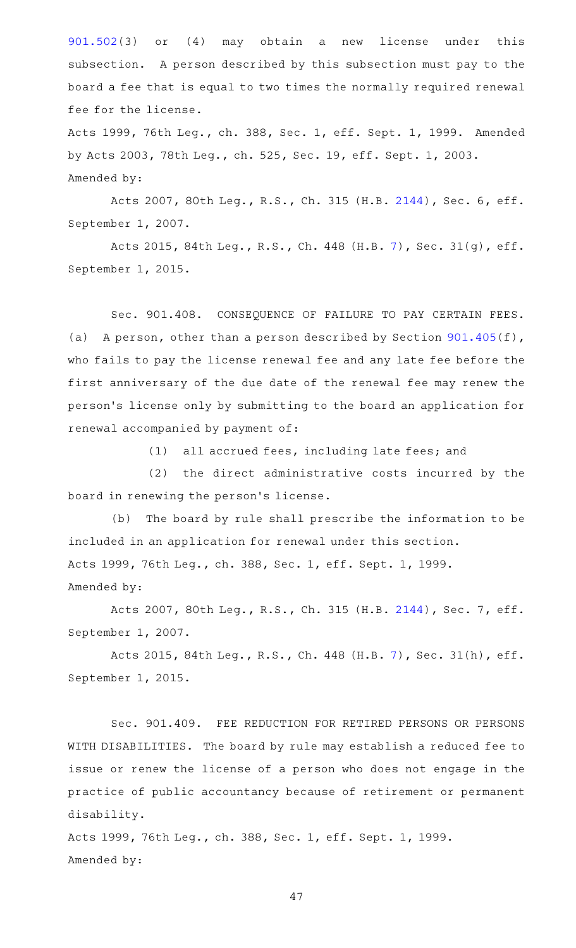[901.502\(](https://statutes.capitol.texas.gov/GetStatute.aspx?Code=OC&Value=901.502)3) or (4) may obtain a new license under this subsection. A person described by this subsection must pay to the board a fee that is equal to two times the normally required renewal fee for the license.

Acts 1999, 76th Leg., ch. 388, Sec. 1, eff. Sept. 1, 1999. Amended by Acts 2003, 78th Leg., ch. 525, Sec. 19, eff. Sept. 1, 2003. Amended by:

Acts 2007, 80th Leg., R.S., Ch. 315 (H.B. [2144](http://www.legis.state.tx.us/tlodocs/80R/billtext/html/HB02144F.HTM)), Sec. 6, eff. September 1, 2007.

Acts 2015, 84th Leg., R.S., Ch. 448 (H.B. [7](http://www.legis.state.tx.us/tlodocs/84R/billtext/html/HB00007F.HTM)), Sec. 31(g), eff. September 1, 2015.

Sec. 901.408. CONSEQUENCE OF FAILURE TO PAY CERTAIN FEES. (a) A person, other than a person described by Section  $901.405(f)$  $901.405(f)$ , who fails to pay the license renewal fee and any late fee before the first anniversary of the due date of the renewal fee may renew the person 's license only by submitting to the board an application for renewal accompanied by payment of:

(1) all accrued fees, including late fees; and

(2) the direct administrative costs incurred by the board in renewing the person 's license.

(b) The board by rule shall prescribe the information to be included in an application for renewal under this section. Acts 1999, 76th Leg., ch. 388, Sec. 1, eff. Sept. 1, 1999. Amended by:

Acts 2007, 80th Leg., R.S., Ch. 315 (H.B. [2144](http://www.legis.state.tx.us/tlodocs/80R/billtext/html/HB02144F.HTM)), Sec. 7, eff. September 1, 2007.

Acts 2015, 84th Leg., R.S., Ch. 448 (H.B. [7](http://www.legis.state.tx.us/tlodocs/84R/billtext/html/HB00007F.HTM)), Sec. 31(h), eff. September 1, 2015.

Sec. 901.409. FEE REDUCTION FOR RETIRED PERSONS OR PERSONS WITH DISABILITIES. The board by rule may establish a reduced fee to issue or renew the license of a person who does not engage in the practice of public accountancy because of retirement or permanent disability.

Acts 1999, 76th Leg., ch. 388, Sec. 1, eff. Sept. 1, 1999. Amended by: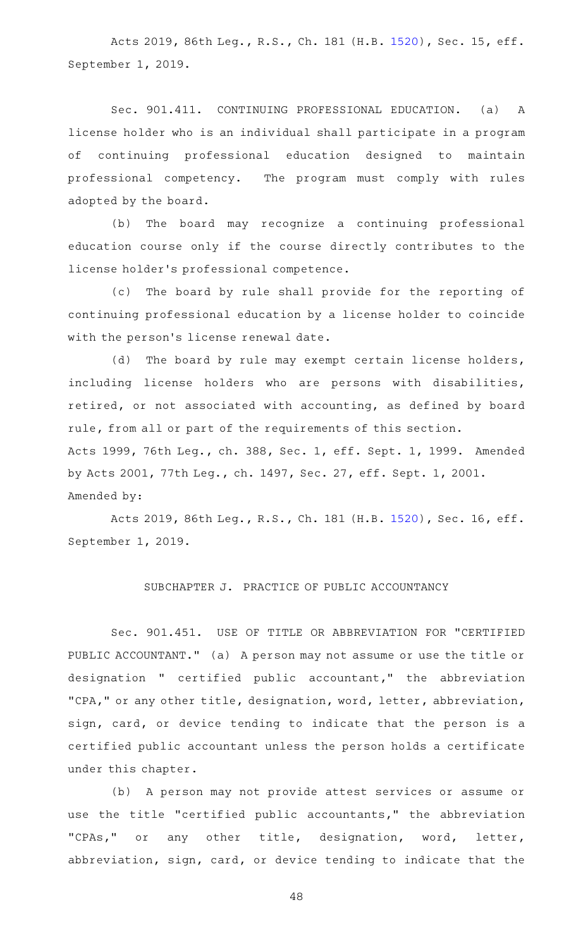Acts 2019, 86th Leg., R.S., Ch. 181 (H.B. [1520\)](http://www.legis.state.tx.us/tlodocs/86R/billtext/html/HB01520F.HTM), Sec. 15, eff. September 1, 2019.

Sec. 901.411. CONTINUING PROFESSIONAL EDUCATION. (a) A license holder who is an individual shall participate in a program of continuing professional education designed to maintain professional competency. The program must comply with rules adopted by the board.

(b) The board may recognize a continuing professional education course only if the course directly contributes to the license holder 's professional competence.

(c) The board by rule shall provide for the reporting of continuing professional education by a license holder to coincide with the person's license renewal date.

(d) The board by rule may exempt certain license holders, including license holders who are persons with disabilities, retired, or not associated with accounting, as defined by board rule, from all or part of the requirements of this section. Acts 1999, 76th Leg., ch. 388, Sec. 1, eff. Sept. 1, 1999. Amended by Acts 2001, 77th Leg., ch. 1497, Sec. 27, eff. Sept. 1, 2001. Amended by:

Acts 2019, 86th Leg., R.S., Ch. 181 (H.B. [1520\)](http://www.legis.state.tx.us/tlodocs/86R/billtext/html/HB01520F.HTM), Sec. 16, eff. September 1, 2019.

## SUBCHAPTER J. PRACTICE OF PUBLIC ACCOUNTANCY

Sec. 901.451. USE OF TITLE OR ABBREVIATION FOR "CERTIFIED PUBLIC ACCOUNTANT." (a) A person may not assume or use the title or designation " certified public accountant," the abbreviation "CPA," or any other title, designation, word, letter, abbreviation, sign, card, or device tending to indicate that the person is a certified public accountant unless the person holds a certificate under this chapter.

(b) A person may not provide attest services or assume or use the title "certified public accountants," the abbreviation "CPAs," or any other title, designation, word, letter, abbreviation, sign, card, or device tending to indicate that the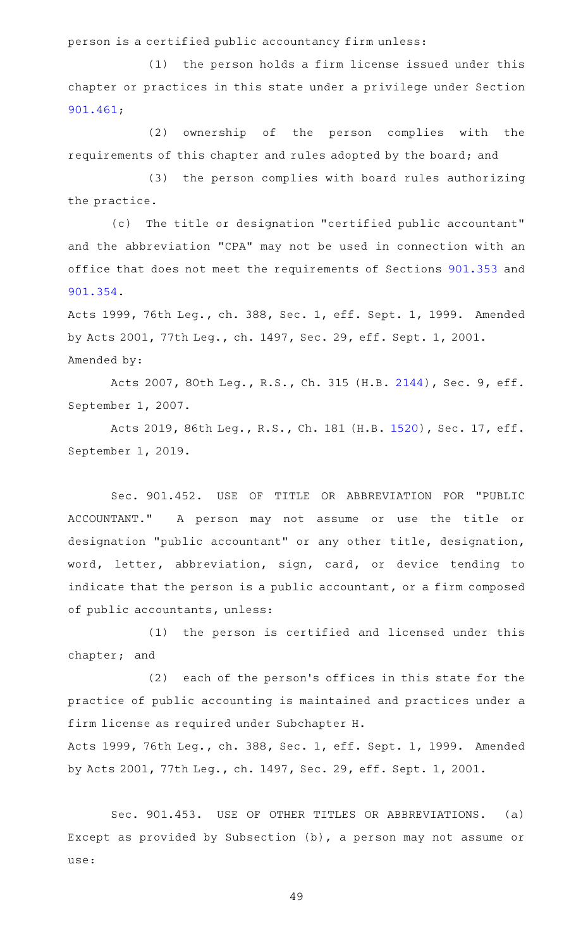person is a certified public accountancy firm unless:

 $(1)$  the person holds a firm license issued under this chapter or practices in this state under a privilege under Section [901.461;](https://statutes.capitol.texas.gov/GetStatute.aspx?Code=OC&Value=901.461)

(2) ownership of the person complies with the requirements of this chapter and rules adopted by the board; and

(3) the person complies with board rules authorizing the practice.

(c) The title or designation "certified public accountant" and the abbreviation "CPA" may not be used in connection with an office that does not meet the requirements of Sections [901.353](https://statutes.capitol.texas.gov/GetStatute.aspx?Code=OC&Value=901.353) and [901.354.](https://statutes.capitol.texas.gov/GetStatute.aspx?Code=OC&Value=901.354)

Acts 1999, 76th Leg., ch. 388, Sec. 1, eff. Sept. 1, 1999. Amended by Acts 2001, 77th Leg., ch. 1497, Sec. 29, eff. Sept. 1, 2001. Amended by:

Acts 2007, 80th Leg., R.S., Ch. 315 (H.B. [2144](http://www.legis.state.tx.us/tlodocs/80R/billtext/html/HB02144F.HTM)), Sec. 9, eff. September 1, 2007.

Acts 2019, 86th Leg., R.S., Ch. 181 (H.B. [1520\)](http://www.legis.state.tx.us/tlodocs/86R/billtext/html/HB01520F.HTM), Sec. 17, eff. September 1, 2019.

Sec. 901.452. USE OF TITLE OR ABBREVIATION FOR "PUBLIC ACCOUNTANT." A person may not assume or use the title or designation "public accountant" or any other title, designation, word, letter, abbreviation, sign, card, or device tending to indicate that the person is a public accountant, or a firm composed of public accountants, unless:

(1) the person is certified and licensed under this chapter; and

 $(2)$  each of the person's offices in this state for the practice of public accounting is maintained and practices under a firm license as required under Subchapter H.

Acts 1999, 76th Leg., ch. 388, Sec. 1, eff. Sept. 1, 1999. Amended by Acts 2001, 77th Leg., ch. 1497, Sec. 29, eff. Sept. 1, 2001.

Sec. 901.453. USE OF OTHER TITLES OR ABBREVIATIONS. (a) Except as provided by Subsection (b), a person may not assume or use: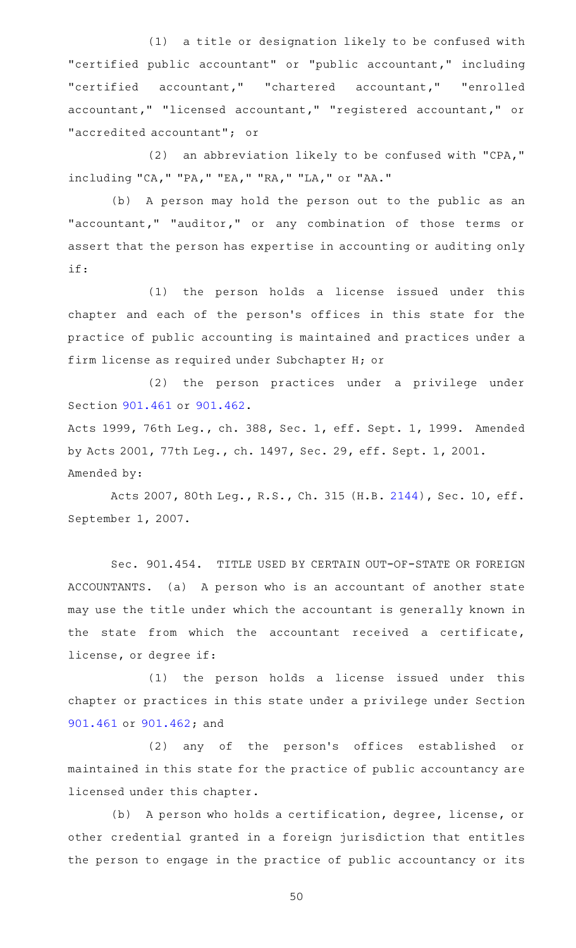(1) a title or designation likely to be confused with "certified public accountant" or "public accountant," including "certified accountant," "chartered accountant," "enrolled accountant," "licensed accountant," "registered accountant," or "accredited accountant"; or

 $(2)$  an abbreviation likely to be confused with "CPA," including "CA," "PA," "EA," "RA," "LA," or "AA."

(b) A person may hold the person out to the public as an "accountant," "auditor," or any combination of those terms or assert that the person has expertise in accounting or auditing only if:

(1) the person holds a license issued under this chapter and each of the person's offices in this state for the practice of public accounting is maintained and practices under a firm license as required under Subchapter H; or

(2) the person practices under a privilege under Section [901.461](https://statutes.capitol.texas.gov/GetStatute.aspx?Code=OC&Value=901.461) or [901.462.](https://statutes.capitol.texas.gov/GetStatute.aspx?Code=OC&Value=901.462)

Acts 1999, 76th Leg., ch. 388, Sec. 1, eff. Sept. 1, 1999. Amended by Acts 2001, 77th Leg., ch. 1497, Sec. 29, eff. Sept. 1, 2001. Amended by:

Acts 2007, 80th Leg., R.S., Ch. 315 (H.B. [2144\)](http://www.legis.state.tx.us/tlodocs/80R/billtext/html/HB02144F.HTM), Sec. 10, eff. September 1, 2007.

Sec. 901.454. TITLE USED BY CERTAIN OUT-OF-STATE OR FOREIGN ACCOUNTANTS. (a) A person who is an accountant of another state may use the title under which the accountant is generally known in the state from which the accountant received a certificate, license, or degree if:

 $(1)$  the person holds a license issued under this chapter or practices in this state under a privilege under Section [901.461](https://statutes.capitol.texas.gov/GetStatute.aspx?Code=OC&Value=901.461) or [901.462;](https://statutes.capitol.texas.gov/GetStatute.aspx?Code=OC&Value=901.462) and

(2) any of the person's offices established or maintained in this state for the practice of public accountancy are licensed under this chapter.

(b) A person who holds a certification, degree, license, or other credential granted in a foreign jurisdiction that entitles the person to engage in the practice of public accountancy or its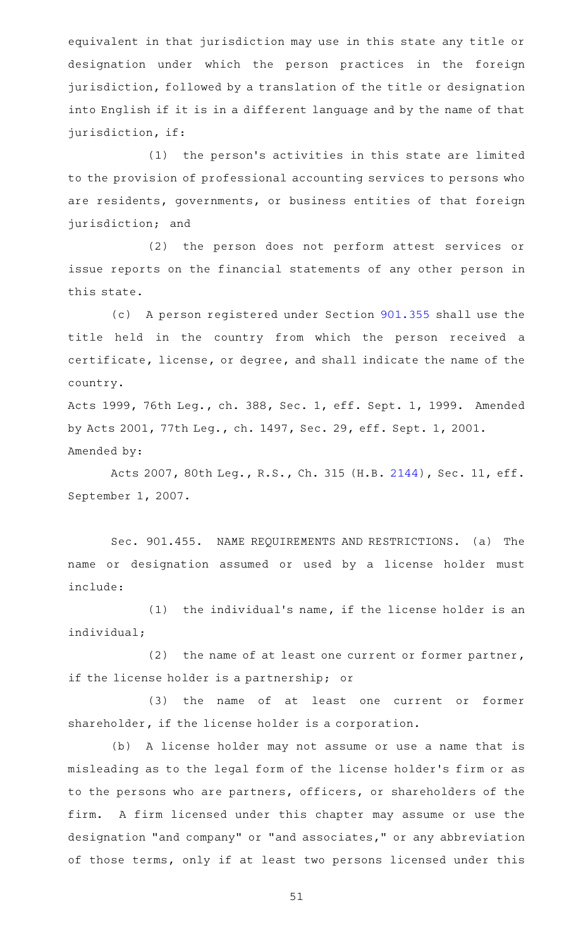equivalent in that jurisdiction may use in this state any title or designation under which the person practices in the foreign jurisdiction, followed by a translation of the title or designation into English if it is in a different language and by the name of that jurisdiction, if:

(1) the person's activities in this state are limited to the provision of professional accounting services to persons who are residents, governments, or business entities of that foreign jurisdiction; and

(2) the person does not perform attest services or issue reports on the financial statements of any other person in this state.

(c) A person registered under Section [901.355](https://statutes.capitol.texas.gov/GetStatute.aspx?Code=OC&Value=901.355) shall use the title held in the country from which the person received a certificate, license, or degree, and shall indicate the name of the country.

Acts 1999, 76th Leg., ch. 388, Sec. 1, eff. Sept. 1, 1999. Amended by Acts 2001, 77th Leg., ch. 1497, Sec. 29, eff. Sept. 1, 2001. Amended by:

Acts 2007, 80th Leg., R.S., Ch. 315 (H.B. [2144\)](http://www.legis.state.tx.us/tlodocs/80R/billtext/html/HB02144F.HTM), Sec. 11, eff. September 1, 2007.

Sec. 901.455. NAME REQUIREMENTS AND RESTRICTIONS. (a) The name or designation assumed or used by a license holder must include:

 $(1)$  the individual's name, if the license holder is an individual;

(2) the name of at least one current or former partner, if the license holder is a partnership; or

(3) the name of at least one current or former shareholder, if the license holder is a corporation.

(b) A license holder may not assume or use a name that is misleading as to the legal form of the license holder 's firm or as to the persons who are partners, officers, or shareholders of the firm. A firm licensed under this chapter may assume or use the designation "and company" or "and associates," or any abbreviation of those terms, only if at least two persons licensed under this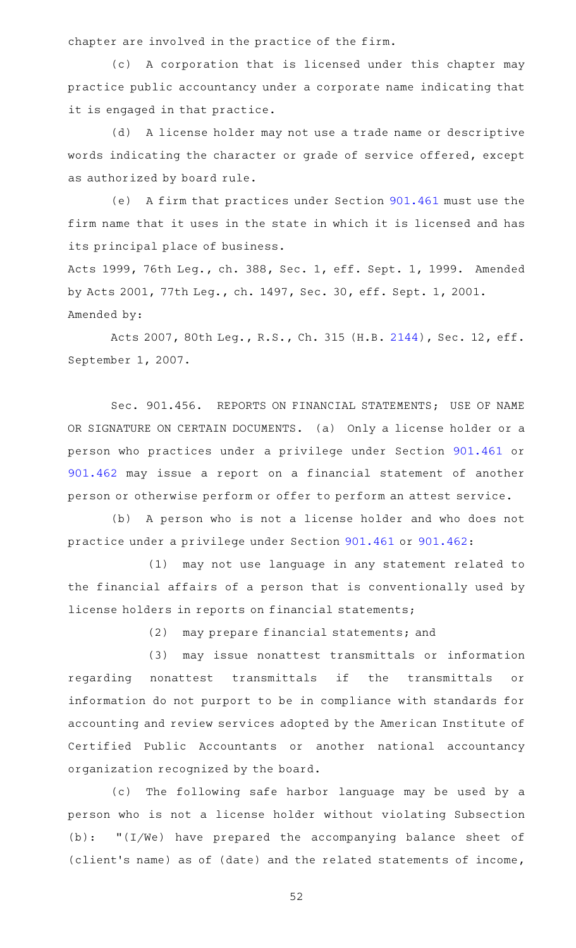chapter are involved in the practice of the firm.

(c) A corporation that is licensed under this chapter may practice public accountancy under a corporate name indicating that it is engaged in that practice.

(d) A license holder may not use a trade name or descriptive words indicating the character or grade of service offered, except as authorized by board rule.

(e) A firm that practices under Section [901.461](https://statutes.capitol.texas.gov/GetStatute.aspx?Code=OC&Value=901.461) must use the firm name that it uses in the state in which it is licensed and has its principal place of business.

Acts 1999, 76th Leg., ch. 388, Sec. 1, eff. Sept. 1, 1999. Amended by Acts 2001, 77th Leg., ch. 1497, Sec. 30, eff. Sept. 1, 2001. Amended by:

Acts 2007, 80th Leg., R.S., Ch. 315 (H.B. [2144\)](http://www.legis.state.tx.us/tlodocs/80R/billtext/html/HB02144F.HTM), Sec. 12, eff. September 1, 2007.

Sec. 901.456. REPORTS ON FINANCIAL STATEMENTS; USE OF NAME OR SIGNATURE ON CERTAIN DOCUMENTS. (a) Only a license holder or a person who practices under a privilege under Section [901.461](https://statutes.capitol.texas.gov/GetStatute.aspx?Code=OC&Value=901.461) or [901.462](https://statutes.capitol.texas.gov/GetStatute.aspx?Code=OC&Value=901.462) may issue a report on a financial statement of another person or otherwise perform or offer to perform an attest service.

(b) A person who is not a license holder and who does not practice under a privilege under Section [901.461](https://statutes.capitol.texas.gov/GetStatute.aspx?Code=OC&Value=901.461) or [901.462](https://statutes.capitol.texas.gov/GetStatute.aspx?Code=OC&Value=901.462):

(1) may not use language in any statement related to the financial affairs of a person that is conventionally used by license holders in reports on financial statements;

(2) may prepare financial statements; and

(3) may issue nonattest transmittals or information regarding nonattest transmittals if the transmittals or information do not purport to be in compliance with standards for accounting and review services adopted by the American Institute of Certified Public Accountants or another national accountancy organization recognized by the board.

(c) The following safe harbor language may be used by a person who is not a license holder without violating Subsection (b): "(I/We) have prepared the accompanying balance sheet of (client 's name) as of (date) and the related statements of income,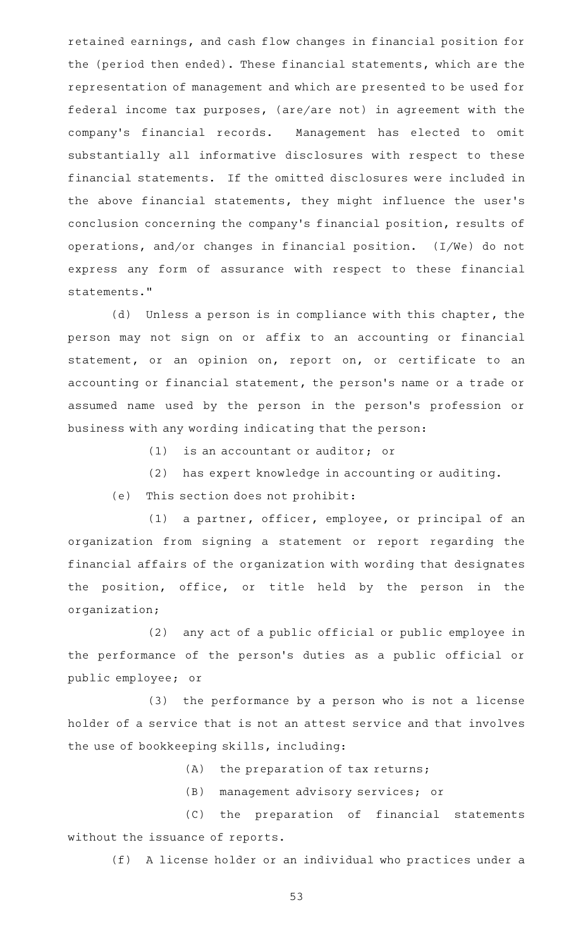retained earnings, and cash flow changes in financial position for the (period then ended). These financial statements, which are the representation of management and which are presented to be used for federal income tax purposes, (are/are not) in agreement with the company 's financial records. Management has elected to omit substantially all informative disclosures with respect to these financial statements. If the omitted disclosures were included in the above financial statements, they might influence the user 's conclusion concerning the company 's financial position, results of operations, and/or changes in financial position. (I/We) do not express any form of assurance with respect to these financial statements."

(d) Unless a person is in compliance with this chapter, the person may not sign on or affix to an accounting or financial statement, or an opinion on, report on, or certificate to an accounting or financial statement, the person 's name or a trade or assumed name used by the person in the person's profession or business with any wording indicating that the person:

 $(1)$  is an accountant or auditor; or

(2) has expert knowledge in accounting or auditing.

(e) This section does not prohibit:

(1) a partner, officer, employee, or principal of an organization from signing a statement or report regarding the financial affairs of the organization with wording that designates the position, office, or title held by the person in the organization;

 $(2)$  any act of a public official or public employee in the performance of the person 's duties as a public official or public employee; or

 $(3)$  the performance by a person who is not a license holder of a service that is not an attest service and that involves the use of bookkeeping skills, including:

(A) the preparation of tax returns;

(B) management advisory services; or

(C) the preparation of financial statements without the issuance of reports.

(f) A license holder or an individual who practices under a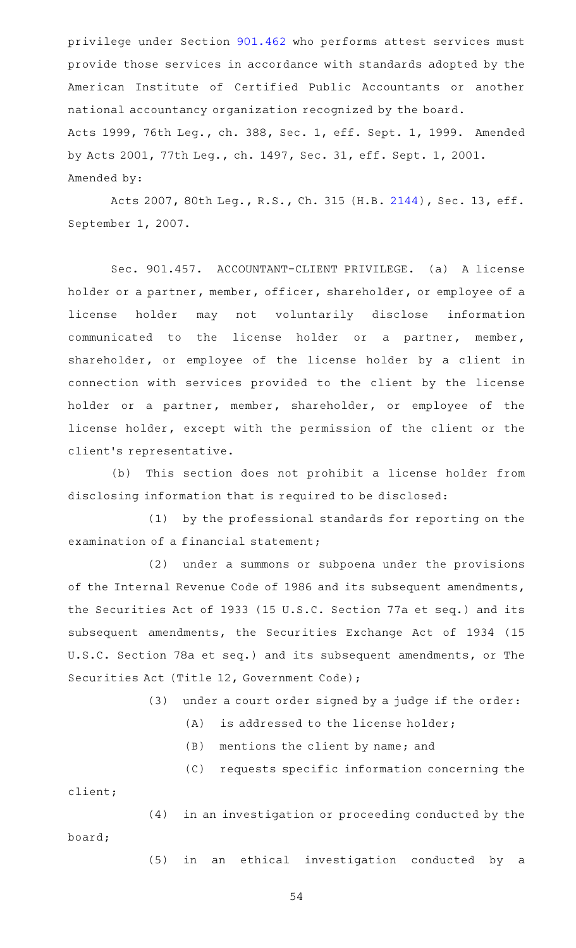privilege under Section [901.462](https://statutes.capitol.texas.gov/GetStatute.aspx?Code=OC&Value=901.462) who performs attest services must provide those services in accordance with standards adopted by the American Institute of Certified Public Accountants or another national accountancy organization recognized by the board. Acts 1999, 76th Leg., ch. 388, Sec. 1, eff. Sept. 1, 1999. Amended by Acts 2001, 77th Leg., ch. 1497, Sec. 31, eff. Sept. 1, 2001. Amended by:

Acts 2007, 80th Leg., R.S., Ch. 315 (H.B. [2144\)](http://www.legis.state.tx.us/tlodocs/80R/billtext/html/HB02144F.HTM), Sec. 13, eff. September 1, 2007.

Sec. 901.457. ACCOUNTANT-CLIENT PRIVILEGE. (a) A license holder or a partner, member, officer, shareholder, or employee of a license holder may not voluntarily disclose information communicated to the license holder or a partner, member, shareholder, or employee of the license holder by a client in connection with services provided to the client by the license holder or a partner, member, shareholder, or employee of the license holder, except with the permission of the client or the client 's representative.

(b) This section does not prohibit a license holder from disclosing information that is required to be disclosed:

 $(1)$  by the professional standards for reporting on the examination of a financial statement;

(2) under a summons or subpoena under the provisions of the Internal Revenue Code of 1986 and its subsequent amendments, the Securities Act of 1933 (15 U.S.C. Section 77a et seq.) and its subsequent amendments, the Securities Exchange Act of 1934 (15 U.S.C. Section 78a et seq.) and its subsequent amendments, or The Securities Act (Title 12, Government Code);

 $(3)$  under a court order signed by a judge if the order:

- $(A)$  is addressed to the license holder;
- (B) mentions the client by name; and

(C) requests specific information concerning the client;

(4) in an investigation or proceeding conducted by the board;

(5) in an ethical investigation conducted by a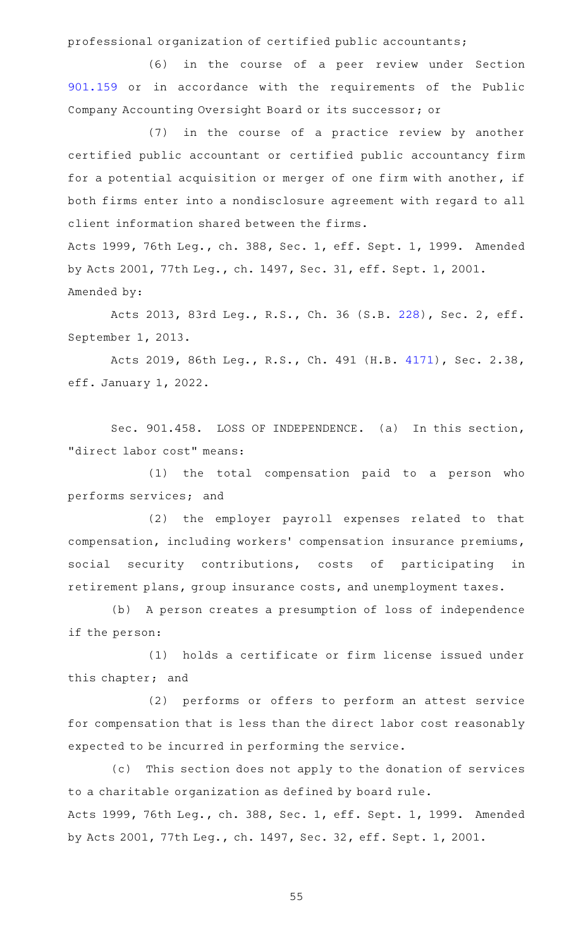professional organization of certified public accountants;

(6) in the course of a peer review under Section [901.159](https://statutes.capitol.texas.gov/GetStatute.aspx?Code=OC&Value=901.159) or in accordance with the requirements of the Public Company Accounting Oversight Board or its successor; or

(7) in the course of a practice review by another certified public accountant or certified public accountancy firm for a potential acquisition or merger of one firm with another, if both firms enter into a nondisclosure agreement with regard to all client information shared between the firms.

Acts 1999, 76th Leg., ch. 388, Sec. 1, eff. Sept. 1, 1999. Amended by Acts 2001, 77th Leg., ch. 1497, Sec. 31, eff. Sept. 1, 2001. Amended by:

Acts 2013, 83rd Leg., R.S., Ch. 36 (S.B. [228](http://www.legis.state.tx.us/tlodocs/83R/billtext/html/SB00228F.HTM)), Sec. 2, eff. September 1, 2013.

Acts 2019, 86th Leg., R.S., Ch. 491 (H.B. [4171\)](http://www.legis.state.tx.us/tlodocs/86R/billtext/html/HB04171F.HTM), Sec. 2.38, eff. January 1, 2022.

Sec. 901.458. LOSS OF INDEPENDENCE. (a) In this section, "direct labor cost" means:

 $(1)$  the total compensation paid to a person who performs services; and

(2) the employer payroll expenses related to that compensation, including workers' compensation insurance premiums, social security contributions, costs of participating in retirement plans, group insurance costs, and unemployment taxes.

(b) A person creates a presumption of loss of independence if the person:

(1) holds a certificate or firm license issued under this chapter; and

(2) performs or offers to perform an attest service for compensation that is less than the direct labor cost reasonably expected to be incurred in performing the service.

(c) This section does not apply to the donation of services to a charitable organization as defined by board rule. Acts 1999, 76th Leg., ch. 388, Sec. 1, eff. Sept. 1, 1999. Amended by Acts 2001, 77th Leg., ch. 1497, Sec. 32, eff. Sept. 1, 2001.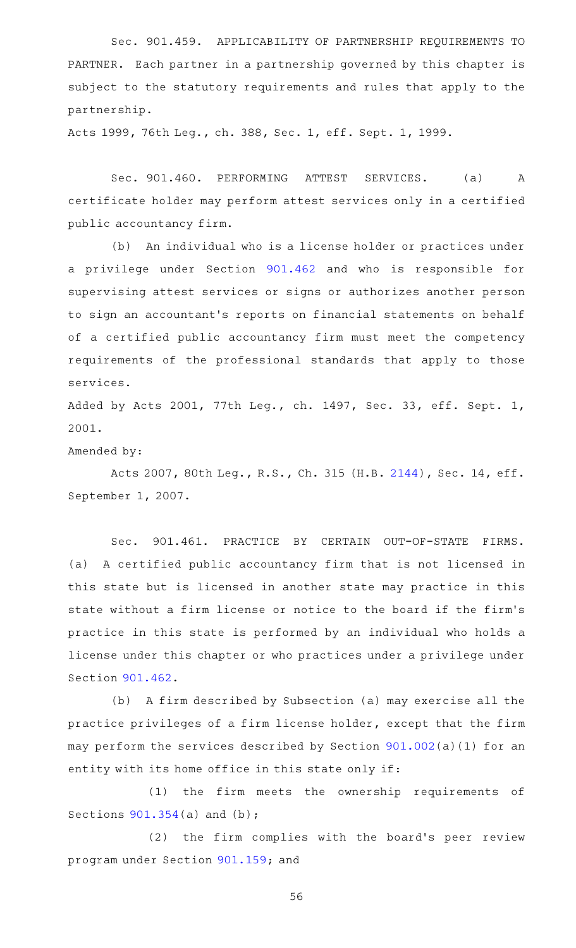Sec. 901.459. APPLICABILITY OF PARTNERSHIP REQUIREMENTS TO PARTNER. Each partner in a partnership governed by this chapter is subject to the statutory requirements and rules that apply to the partnership.

Acts 1999, 76th Leg., ch. 388, Sec. 1, eff. Sept. 1, 1999.

Sec. 901.460. PERFORMING ATTEST SERVICES. (a) A certificate holder may perform attest services only in a certified public accountancy firm.

(b) An individual who is a license holder or practices under a privilege under Section [901.462](https://statutes.capitol.texas.gov/GetStatute.aspx?Code=OC&Value=901.462) and who is responsible for supervising attest services or signs or authorizes another person to sign an accountant 's reports on financial statements on behalf of a certified public accountancy firm must meet the competency requirements of the professional standards that apply to those services.

Added by Acts 2001, 77th Leg., ch. 1497, Sec. 33, eff. Sept. 1, 2001.

Amended by:

Acts 2007, 80th Leg., R.S., Ch. 315 (H.B. [2144\)](http://www.legis.state.tx.us/tlodocs/80R/billtext/html/HB02144F.HTM), Sec. 14, eff. September 1, 2007.

Sec. 901.461. PRACTICE BY CERTAIN OUT-OF-STATE FIRMS. (a) A certified public accountancy firm that is not licensed in this state but is licensed in another state may practice in this state without a firm license or notice to the board if the firm 's practice in this state is performed by an individual who holds a license under this chapter or who practices under a privilege under Section [901.462.](https://statutes.capitol.texas.gov/GetStatute.aspx?Code=OC&Value=901.462)

(b) A firm described by Subsection (a) may exercise all the practice privileges of a firm license holder, except that the firm may perform the services described by Section [901.002\(](https://statutes.capitol.texas.gov/GetStatute.aspx?Code=OC&Value=901.002)a)(1) for an entity with its home office in this state only if:

(1) the firm meets the ownership requirements of Sections [901.354](https://statutes.capitol.texas.gov/GetStatute.aspx?Code=OC&Value=901.354)(a) and (b);

(2) the firm complies with the board's peer review program under Section [901.159](https://statutes.capitol.texas.gov/GetStatute.aspx?Code=OC&Value=901.159); and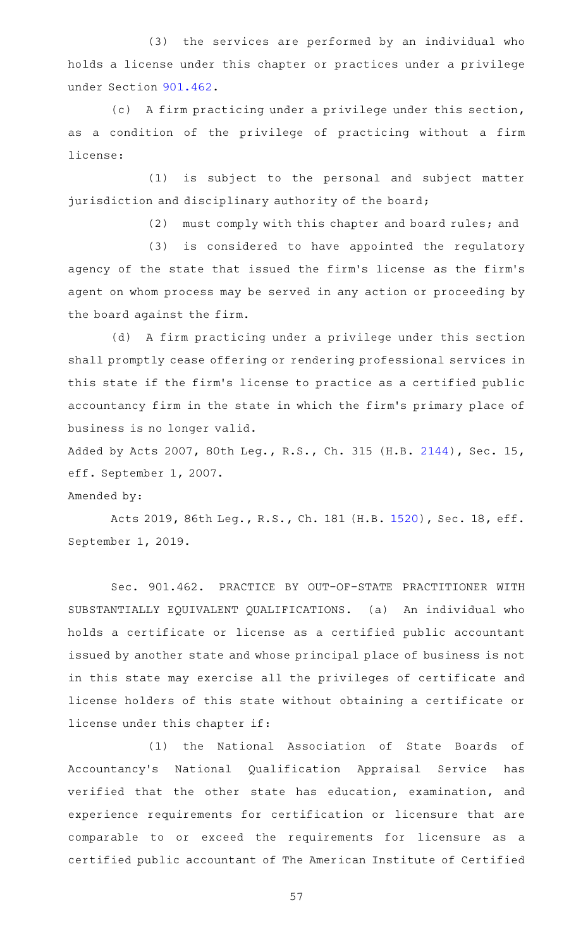(3) the services are performed by an individual who holds a license under this chapter or practices under a privilege under Section [901.462](https://statutes.capitol.texas.gov/GetStatute.aspx?Code=OC&Value=901.462).

(c) A firm practicing under a privilege under this section, as a condition of the privilege of practicing without a firm license:

(1) is subject to the personal and subject matter jurisdiction and disciplinary authority of the board;

(2) must comply with this chapter and board rules; and

(3) is considered to have appointed the regulatory agency of the state that issued the firm 's license as the firm 's agent on whom process may be served in any action or proceeding by the board against the firm.

(d) A firm practicing under a privilege under this section shall promptly cease offering or rendering professional services in this state if the firm 's license to practice as a certified public accountancy firm in the state in which the firm 's primary place of business is no longer valid.

Added by Acts 2007, 80th Leg., R.S., Ch. 315 (H.B. [2144\)](http://www.legis.state.tx.us/tlodocs/80R/billtext/html/HB02144F.HTM), Sec. 15, eff. September 1, 2007.

#### Amended by:

Acts 2019, 86th Leg., R.S., Ch. 181 (H.B. [1520\)](http://www.legis.state.tx.us/tlodocs/86R/billtext/html/HB01520F.HTM), Sec. 18, eff. September 1, 2019.

Sec. 901.462. PRACTICE BY OUT-OF-STATE PRACTITIONER WITH SUBSTANTIALLY EQUIVALENT QUALIFICATIONS. (a) An individual who holds a certificate or license as a certified public accountant issued by another state and whose principal place of business is not in this state may exercise all the privileges of certificate and license holders of this state without obtaining a certificate or license under this chapter if:

(1) the National Association of State Boards of Accountancy 's National Qualification Appraisal Service has verified that the other state has education, examination, and experience requirements for certification or licensure that are comparable to or exceed the requirements for licensure as a certified public accountant of The American Institute of Certified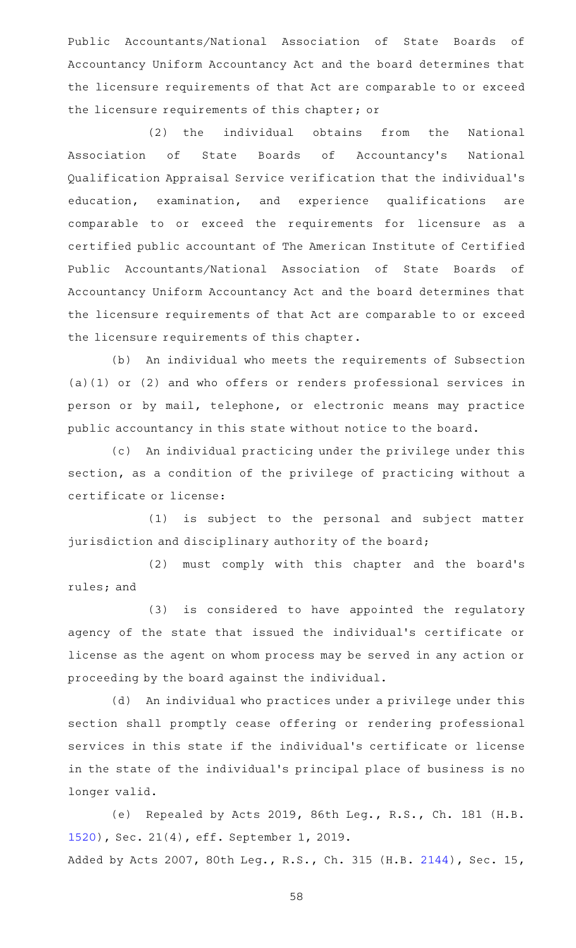Public Accountants/National Association of State Boards of Accountancy Uniform Accountancy Act and the board determines that the licensure requirements of that Act are comparable to or exceed the licensure requirements of this chapter; or

(2) the individual obtains from the National Association of State Boards of Accountancy 's National Qualification Appraisal Service verification that the individual 's education, examination, and experience qualifications are comparable to or exceed the requirements for licensure as a certified public accountant of The American Institute of Certified Public Accountants/National Association of State Boards of Accountancy Uniform Accountancy Act and the board determines that the licensure requirements of that Act are comparable to or exceed the licensure requirements of this chapter.

(b) An individual who meets the requirements of Subsection (a)(1) or (2) and who offers or renders professional services in person or by mail, telephone, or electronic means may practice public accountancy in this state without notice to the board.

(c) An individual practicing under the privilege under this section, as a condition of the privilege of practicing without a certificate or license:

(1) is subject to the personal and subject matter jurisdiction and disciplinary authority of the board;

(2) must comply with this chapter and the board's rules; and

(3) is considered to have appointed the regulatory agency of the state that issued the individual 's certificate or license as the agent on whom process may be served in any action or proceeding by the board against the individual.

(d) An individual who practices under a privilege under this section shall promptly cease offering or rendering professional services in this state if the individual 's certificate or license in the state of the individual 's principal place of business is no longer valid.

(e) Repealed by Acts 2019, 86th Leg., R.S., Ch. 181 (H.B. [1520](http://www.legis.state.tx.us/tlodocs/86R/billtext/html/HB01520F.HTM)), Sec. 21(4), eff. September 1, 2019. Added by Acts 2007, 80th Leg., R.S., Ch. 315 (H.B. [2144\)](http://www.legis.state.tx.us/tlodocs/80R/billtext/html/HB02144F.HTM), Sec. 15,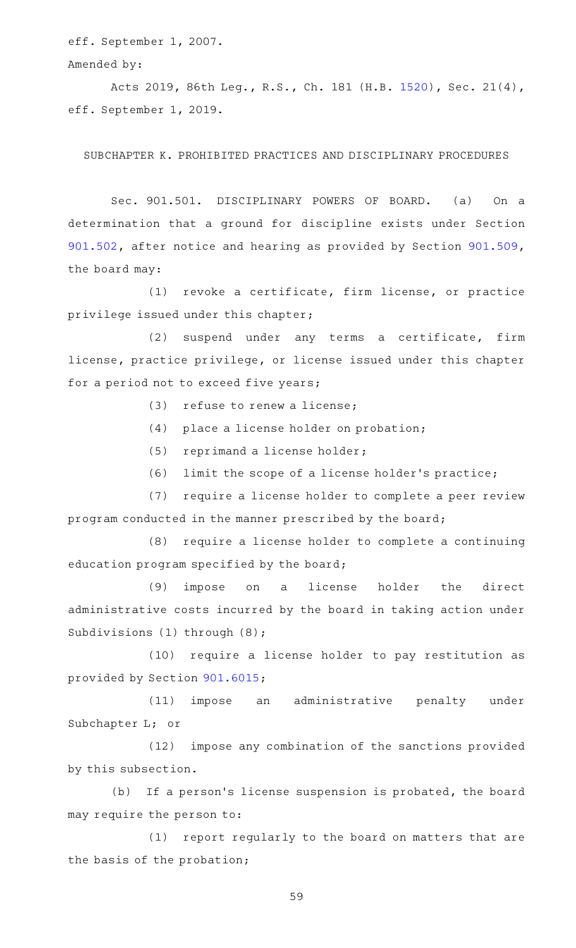eff. September 1, 2007.

Amended by:

Acts 2019, 86th Leg., R.S., Ch. 181 (H.B. [1520\)](http://www.legis.state.tx.us/tlodocs/86R/billtext/html/HB01520F.HTM), Sec. 21(4), eff. September 1, 2019.

SUBCHAPTER K. PROHIBITED PRACTICES AND DISCIPLINARY PROCEDURES

Sec. 901.501. DISCIPLINARY POWERS OF BOARD. (a) On a determination that a ground for discipline exists under Section [901.502,](https://statutes.capitol.texas.gov/GetStatute.aspx?Code=OC&Value=901.502) after notice and hearing as provided by Section [901.509](https://statutes.capitol.texas.gov/GetStatute.aspx?Code=OC&Value=901.509), the board may:

(1) revoke a certificate, firm license, or practice privilege issued under this chapter;

(2) suspend under any terms a certificate, firm license, practice privilege, or license issued under this chapter for a period not to exceed five years;

(3) refuse to renew a license;

- $(4)$  place a license holder on probation;
- (5) reprimand a license holder;
- $(6)$  limit the scope of a license holder's practice;

(7) require a license holder to complete a peer review program conducted in the manner prescribed by the board;

(8) require a license holder to complete a continuing education program specified by the board;

(9) impose on a license holder the direct administrative costs incurred by the board in taking action under Subdivisions (1) through (8);

(10) require a license holder to pay restitution as provided by Section [901.6015;](https://statutes.capitol.texas.gov/GetStatute.aspx?Code=OC&Value=901.6015)

(11) impose an administrative penalty under Subchapter L; or

(12) impose any combination of the sanctions provided by this subsection.

(b) If a person's license suspension is probated, the board may require the person to:

(1) report regularly to the board on matters that are the basis of the probation;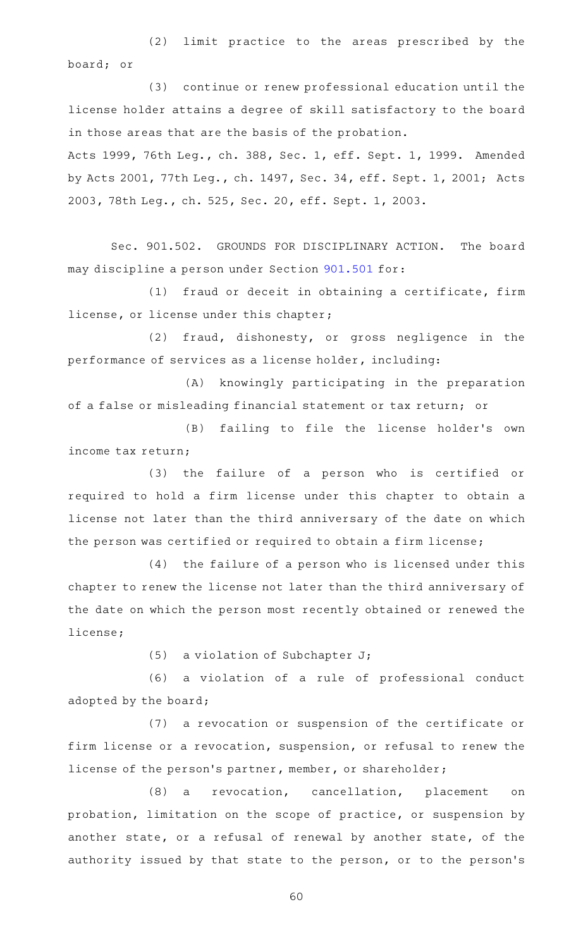(2) limit practice to the areas prescribed by the board; or

(3) continue or renew professional education until the license holder attains a degree of skill satisfactory to the board in those areas that are the basis of the probation.

Acts 1999, 76th Leg., ch. 388, Sec. 1, eff. Sept. 1, 1999. Amended by Acts 2001, 77th Leg., ch. 1497, Sec. 34, eff. Sept. 1, 2001; Acts 2003, 78th Leg., ch. 525, Sec. 20, eff. Sept. 1, 2003.

Sec. 901.502. GROUNDS FOR DISCIPLINARY ACTION. The board may discipline a person under Section [901.501](https://statutes.capitol.texas.gov/GetStatute.aspx?Code=OC&Value=901.501) for:

 $(1)$  fraud or deceit in obtaining a certificate, firm license, or license under this chapter;

(2) fraud, dishonesty, or gross negligence in the performance of services as a license holder, including:

(A) knowingly participating in the preparation of a false or misleading financial statement or tax return; or

(B) failing to file the license holder's own income tax return;

(3) the failure of a person who is certified or required to hold a firm license under this chapter to obtain a license not later than the third anniversary of the date on which the person was certified or required to obtain a firm license;

 $(4)$  the failure of a person who is licensed under this chapter to renew the license not later than the third anniversary of the date on which the person most recently obtained or renewed the license;

(5) a violation of Subchapter  $J$ ;

(6) a violation of a rule of professional conduct adopted by the board;

(7) a revocation or suspension of the certificate or firm license or a revocation, suspension, or refusal to renew the license of the person's partner, member, or shareholder;

(8) a revocation, cancellation, placement on probation, limitation on the scope of practice, or suspension by another state, or a refusal of renewal by another state, of the authority issued by that state to the person, or to the person's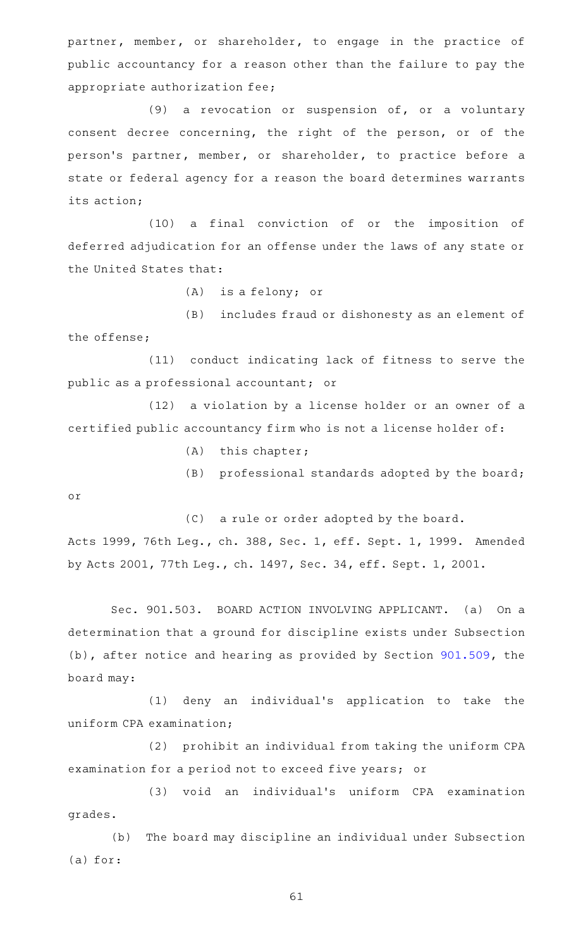partner, member, or shareholder, to engage in the practice of public accountancy for a reason other than the failure to pay the appropriate authorization fee;

(9) a revocation or suspension of, or a voluntary consent decree concerning, the right of the person, or of the person 's partner, member, or shareholder, to practice before a state or federal agency for a reason the board determines warrants its action;

(10) a final conviction of or the imposition of deferred adjudication for an offense under the laws of any state or the United States that:

 $(A)$  is a felony; or

(B) includes fraud or dishonesty as an element of the offense;

(11) conduct indicating lack of fitness to serve the public as a professional accountant; or

(12) a violation by a license holder or an owner of a certified public accountancy firm who is not a license holder of:

- $(A)$  this chapter;
- $(B)$  professional standards adopted by the board;

or

(C) a rule or order adopted by the board.

Acts 1999, 76th Leg., ch. 388, Sec. 1, eff. Sept. 1, 1999. Amended by Acts 2001, 77th Leg., ch. 1497, Sec. 34, eff. Sept. 1, 2001.

Sec. 901.503. BOARD ACTION INVOLVING APPLICANT. (a) On a determination that a ground for discipline exists under Subsection (b), after notice and hearing as provided by Section [901.509,](https://statutes.capitol.texas.gov/GetStatute.aspx?Code=OC&Value=901.509) the board may:

(1) deny an individual's application to take the uniform CPA examination;

(2) prohibit an individual from taking the uniform CPA examination for a period not to exceed five years; or

(3) void an individual's uniform CPA examination grades.

(b) The board may discipline an individual under Subsection (a) for: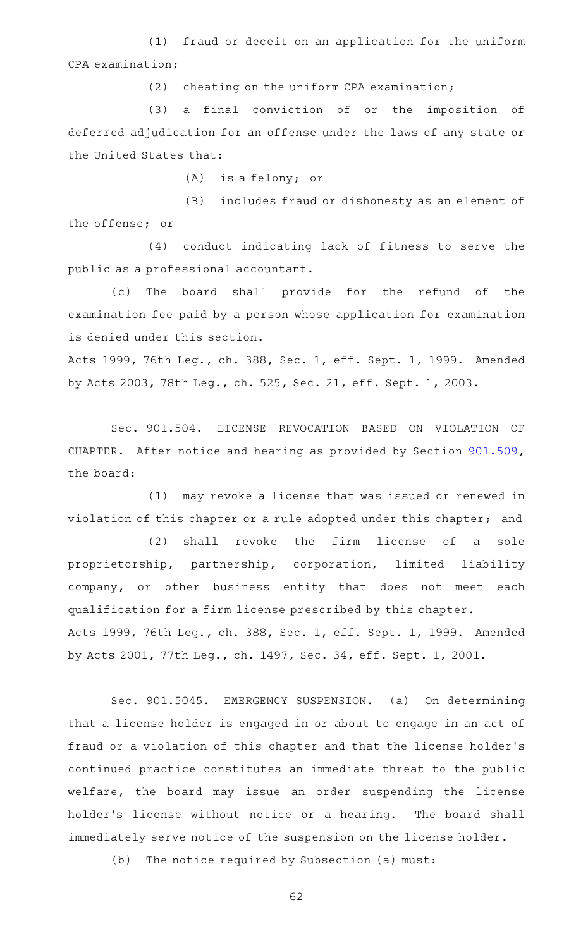(1) fraud or deceit on an application for the uniform CPA examination;

 $(2)$  cheating on the uniform CPA examination;

(3) a final conviction of or the imposition of deferred adjudication for an offense under the laws of any state or the United States that:

 $(A)$  is a felony; or

(B) includes fraud or dishonesty as an element of the offense; or

(4) conduct indicating lack of fitness to serve the public as a professional accountant.

(c) The board shall provide for the refund of the examination fee paid by a person whose application for examination is denied under this section.

Acts 1999, 76th Leg., ch. 388, Sec. 1, eff. Sept. 1, 1999. Amended by Acts 2003, 78th Leg., ch. 525, Sec. 21, eff. Sept. 1, 2003.

Sec. 901.504. LICENSE REVOCATION BASED ON VIOLATION OF CHAPTER. After notice and hearing as provided by Section [901.509](https://statutes.capitol.texas.gov/GetStatute.aspx?Code=OC&Value=901.509), the board:

(1) may revoke a license that was issued or renewed in violation of this chapter or a rule adopted under this chapter; and

(2) shall revoke the firm license of a sole proprietorship, partnership, corporation, limited liability company, or other business entity that does not meet each qualification for a firm license prescribed by this chapter. Acts 1999, 76th Leg., ch. 388, Sec. 1, eff. Sept. 1, 1999. Amended by Acts 2001, 77th Leg., ch. 1497, Sec. 34, eff. Sept. 1, 2001.

Sec. 901.5045. EMERGENCY SUSPENSION. (a) On determining that a license holder is engaged in or about to engage in an act of fraud or a violation of this chapter and that the license holder 's continued practice constitutes an immediate threat to the public welfare, the board may issue an order suspending the license holder 's license without notice or a hearing. The board shall immediately serve notice of the suspension on the license holder.

(b) The notice required by Subsection (a) must: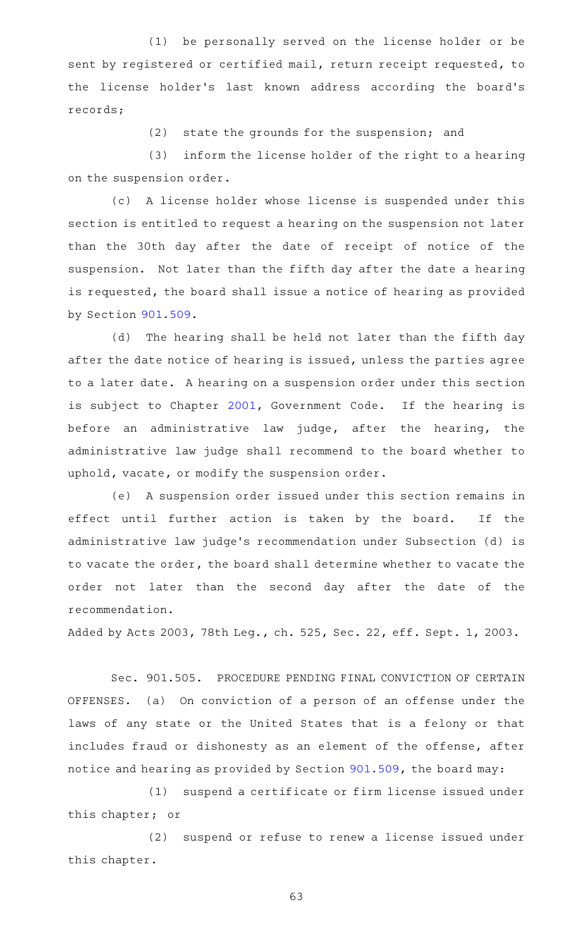(1) be personally served on the license holder or be sent by registered or certified mail, return receipt requested, to the license holder's last known address according the board's records;

 $(2)$  state the grounds for the suspension; and

(3) inform the license holder of the right to a hearing on the suspension order.

(c) A license holder whose license is suspended under this section is entitled to request a hearing on the suspension not later than the 30th day after the date of receipt of notice of the suspension. Not later than the fifth day after the date a hearing is requested, the board shall issue a notice of hearing as provided by Section [901.509.](https://statutes.capitol.texas.gov/GetStatute.aspx?Code=OC&Value=901.509)

(d) The hearing shall be held not later than the fifth day after the date notice of hearing is issued, unless the parties agree to a later date. A hearing on a suspension order under this section is subject to Chapter [2001](https://statutes.capitol.texas.gov/GetStatute.aspx?Code=GV&Value=2001), Government Code. If the hearing is before an administrative law judge, after the hearing, the administrative law judge shall recommend to the board whether to uphold, vacate, or modify the suspension order.

(e) A suspension order issued under this section remains in effect until further action is taken by the board. If the administrative law judge 's recommendation under Subsection (d) is to vacate the order, the board shall determine whether to vacate the order not later than the second day after the date of the recommendation.

Added by Acts 2003, 78th Leg., ch. 525, Sec. 22, eff. Sept. 1, 2003.

Sec. 901.505. PROCEDURE PENDING FINAL CONVICTION OF CERTAIN OFFENSES. (a) On conviction of a person of an offense under the laws of any state or the United States that is a felony or that includes fraud or dishonesty as an element of the offense, after notice and hearing as provided by Section [901.509](https://statutes.capitol.texas.gov/GetStatute.aspx?Code=OC&Value=901.509), the board may:

(1) suspend a certificate or firm license issued under this chapter; or

(2) suspend or refuse to renew a license issued under this chapter.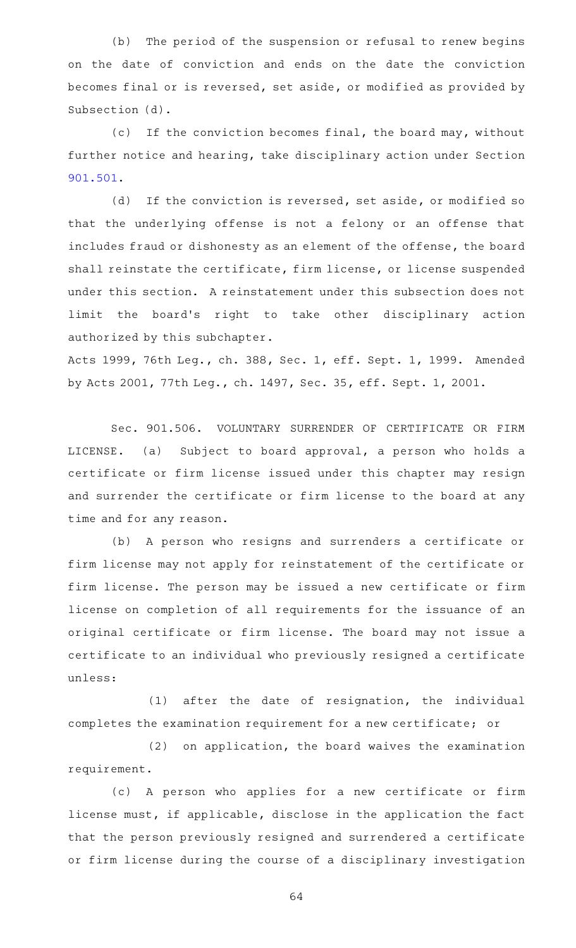(b) The period of the suspension or refusal to renew begins on the date of conviction and ends on the date the conviction becomes final or is reversed, set aside, or modified as provided by Subsection (d).

(c) If the conviction becomes final, the board may, without further notice and hearing, take disciplinary action under Section [901.501.](https://statutes.capitol.texas.gov/GetStatute.aspx?Code=OC&Value=901.501)

(d) If the conviction is reversed, set aside, or modified so that the underlying offense is not a felony or an offense that includes fraud or dishonesty as an element of the offense, the board shall reinstate the certificate, firm license, or license suspended under this section. A reinstatement under this subsection does not limit the board's right to take other disciplinary action authorized by this subchapter.

Acts 1999, 76th Leg., ch. 388, Sec. 1, eff. Sept. 1, 1999. Amended by Acts 2001, 77th Leg., ch. 1497, Sec. 35, eff. Sept. 1, 2001.

Sec. 901.506. VOLUNTARY SURRENDER OF CERTIFICATE OR FIRM LICENSE. (a) Subject to board approval, a person who holds a certificate or firm license issued under this chapter may resign and surrender the certificate or firm license to the board at any time and for any reason.

(b) A person who resigns and surrenders a certificate or firm license may not apply for reinstatement of the certificate or firm license. The person may be issued a new certificate or firm license on completion of all requirements for the issuance of an original certificate or firm license. The board may not issue a certificate to an individual who previously resigned a certificate unless:

 $(1)$  after the date of resignation, the individual completes the examination requirement for a new certificate; or

 $(2)$  on application, the board waives the examination requirement.

(c)AAA person who applies for a new certificate or firm license must, if applicable, disclose in the application the fact that the person previously resigned and surrendered a certificate or firm license during the course of a disciplinary investigation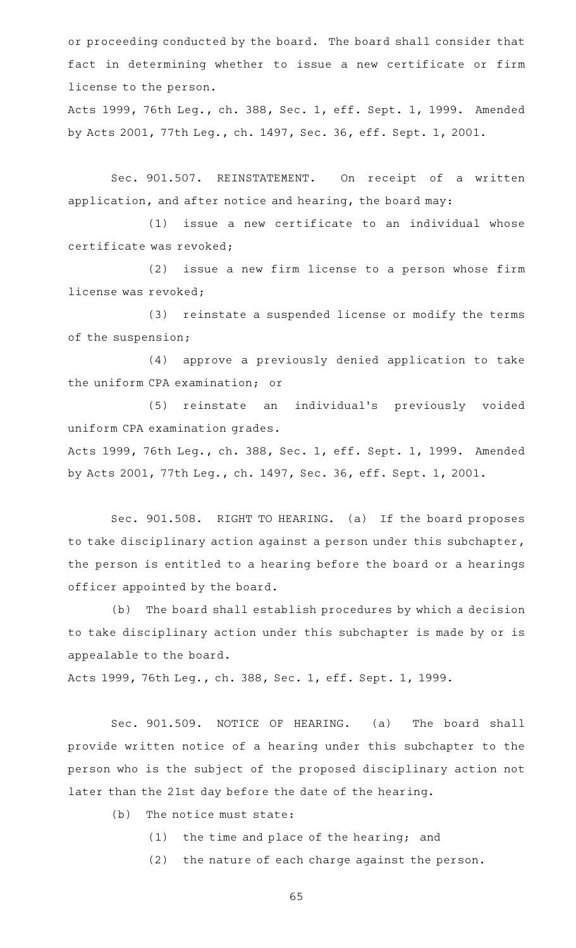or proceeding conducted by the board. The board shall consider that fact in determining whether to issue a new certificate or firm license to the person.

Acts 1999, 76th Leg., ch. 388, Sec. 1, eff. Sept. 1, 1999. Amended by Acts 2001, 77th Leg., ch. 1497, Sec. 36, eff. Sept. 1, 2001.

Sec. 901.507. REINSTATEMENT. On receipt of a written application, and after notice and hearing, the board may:

 $(1)$  issue a new certificate to an individual whose certificate was revoked;

 $(2)$  issue a new firm license to a person whose firm license was revoked;

(3) reinstate a suspended license or modify the terms of the suspension;

(4) approve a previously denied application to take the uniform CPA examination; or

(5) reinstate an individual's previously voided uniform CPA examination grades.

Acts 1999, 76th Leg., ch. 388, Sec. 1, eff. Sept. 1, 1999. Amended by Acts 2001, 77th Leg., ch. 1497, Sec. 36, eff. Sept. 1, 2001.

Sec. 901.508. RIGHT TO HEARING. (a) If the board proposes to take disciplinary action against a person under this subchapter, the person is entitled to a hearing before the board or a hearings officer appointed by the board.

(b) The board shall establish procedures by which a decision to take disciplinary action under this subchapter is made by or is appealable to the board.

Acts 1999, 76th Leg., ch. 388, Sec. 1, eff. Sept. 1, 1999.

Sec. 901.509. NOTICE OF HEARING. (a) The board shall provide written notice of a hearing under this subchapter to the person who is the subject of the proposed disciplinary action not later than the 21st day before the date of the hearing.

- $(b)$  The notice must state:
	- $(1)$  the time and place of the hearing; and
	- $(2)$  the nature of each charge against the person.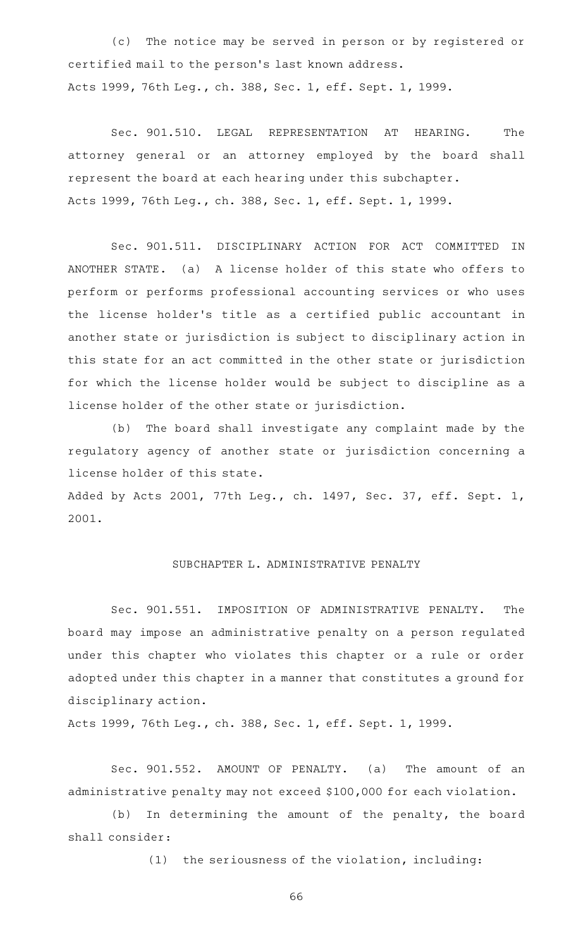(c) The notice may be served in person or by registered or certified mail to the person 's last known address. Acts 1999, 76th Leg., ch. 388, Sec. 1, eff. Sept. 1, 1999.

Sec. 901.510. LEGAL REPRESENTATION AT HEARING. The attorney general or an attorney employed by the board shall represent the board at each hearing under this subchapter. Acts 1999, 76th Leg., ch. 388, Sec. 1, eff. Sept. 1, 1999.

Sec. 901.511. DISCIPLINARY ACTION FOR ACT COMMITTED IN ANOTHER STATE. (a) A license holder of this state who offers to perform or performs professional accounting services or who uses the license holder 's title as a certified public accountant in another state or jurisdiction is subject to disciplinary action in this state for an act committed in the other state or jurisdiction for which the license holder would be subject to discipline as a license holder of the other state or jurisdiction.

(b) The board shall investigate any complaint made by the regulatory agency of another state or jurisdiction concerning a license holder of this state.

Added by Acts 2001, 77th Leg., ch. 1497, Sec. 37, eff. Sept. 1, 2001.

# SUBCHAPTER L. ADMINISTRATIVE PENALTY

Sec. 901.551. IMPOSITION OF ADMINISTRATIVE PENALTY. The board may impose an administrative penalty on a person regulated under this chapter who violates this chapter or a rule or order adopted under this chapter in a manner that constitutes a ground for disciplinary action.

Acts 1999, 76th Leg., ch. 388, Sec. 1, eff. Sept. 1, 1999.

Sec. 901.552. AMOUNT OF PENALTY. (a) The amount of an administrative penalty may not exceed \$100,000 for each violation.

(b) In determining the amount of the penalty, the board shall consider:

 $(1)$  the seriousness of the violation, including: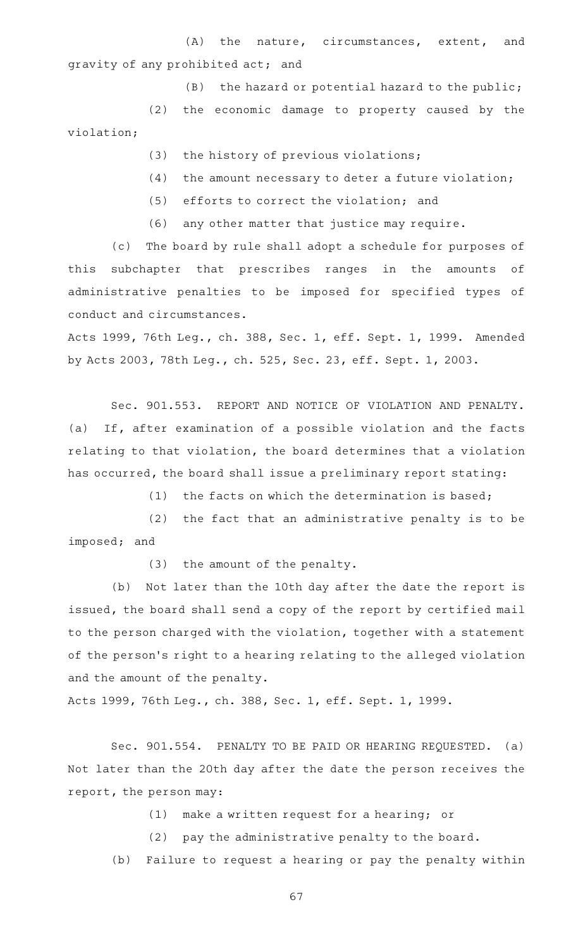(A) the nature, circumstances, extent, and gravity of any prohibited act; and

 $(B)$  the hazard or potential hazard to the public;

(2) the economic damage to property caused by the violation;

- $(3)$  the history of previous violations;
- $(4)$  the amount necessary to deter a future violation;
- (5) efforts to correct the violation; and
- $(6)$  any other matter that justice may require.

(c) The board by rule shall adopt a schedule for purposes of this subchapter that prescribes ranges in the amounts of administrative penalties to be imposed for specified types of conduct and circumstances.

Acts 1999, 76th Leg., ch. 388, Sec. 1, eff. Sept. 1, 1999. Amended by Acts 2003, 78th Leg., ch. 525, Sec. 23, eff. Sept. 1, 2003.

Sec. 901.553. REPORT AND NOTICE OF VIOLATION AND PENALTY. (a) If, after examination of a possible violation and the facts relating to that violation, the board determines that a violation has occurred, the board shall issue a preliminary report stating:

(1) the facts on which the determination is based;

 $(2)$  the fact that an administrative penalty is to be imposed; and

(3) the amount of the penalty.

(b) Not later than the 10th day after the date the report is issued, the board shall send a copy of the report by certified mail to the person charged with the violation, together with a statement of the person 's right to a hearing relating to the alleged violation and the amount of the penalty.

Acts 1999, 76th Leg., ch. 388, Sec. 1, eff. Sept. 1, 1999.

Sec. 901.554. PENALTY TO BE PAID OR HEARING REQUESTED. (a) Not later than the 20th day after the date the person receives the report, the person may:

 $(1)$  make a written request for a hearing; or

(2) pay the administrative penalty to the board.

(b) Failure to request a hearing or pay the penalty within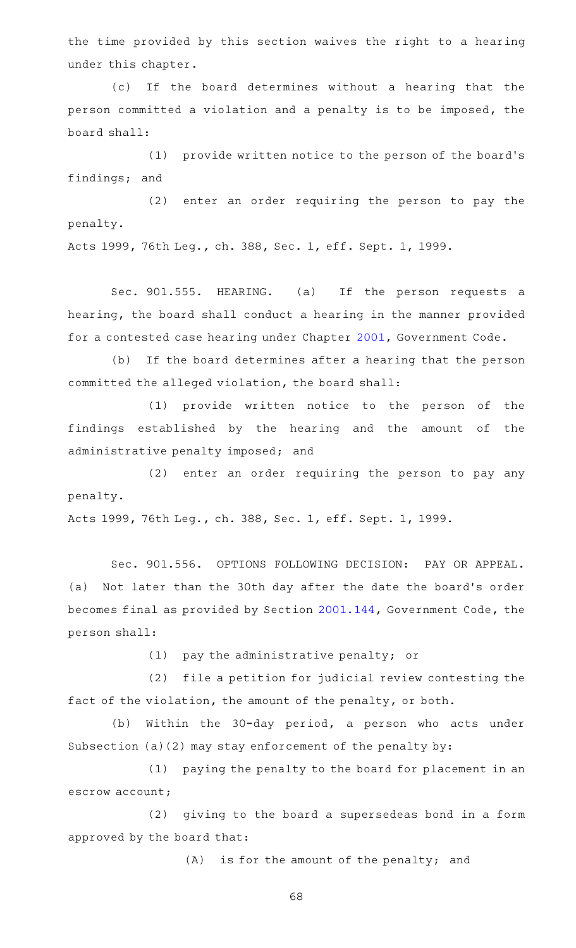the time provided by this section waives the right to a hearing under this chapter.

(c) If the board determines without a hearing that the person committed a violation and a penalty is to be imposed, the board shall:

(1) provide written notice to the person of the board's findings; and

(2) enter an order requiring the person to pay the penalty.

Acts 1999, 76th Leg., ch. 388, Sec. 1, eff. Sept. 1, 1999.

Sec. 901.555. HEARING. (a) If the person requests a hearing, the board shall conduct a hearing in the manner provided for a contested case hearing under Chapter [2001](https://statutes.capitol.texas.gov/GetStatute.aspx?Code=GV&Value=2001), Government Code.

(b) If the board determines after a hearing that the person committed the alleged violation, the board shall:

(1) provide written notice to the person of the findings established by the hearing and the amount of the administrative penalty imposed; and

(2) enter an order requiring the person to pay any penalty.

Acts 1999, 76th Leg., ch. 388, Sec. 1, eff. Sept. 1, 1999.

Sec. 901.556. OPTIONS FOLLOWING DECISION: PAY OR APPEAL. (a) Not later than the 30th day after the date the board's order becomes final as provided by Section [2001.144](https://statutes.capitol.texas.gov/GetStatute.aspx?Code=GV&Value=2001.144), Government Code, the person shall:

(1) pay the administrative penalty; or

(2) file a petition for judicial review contesting the fact of the violation, the amount of the penalty, or both.

(b) Within the 30-day period, a person who acts under Subsection (a)(2) may stay enforcement of the penalty by:

(1) paying the penalty to the board for placement in an escrow account;

(2) giving to the board a supersedeas bond in a form approved by the board that:

 $(A)$  is for the amount of the penalty; and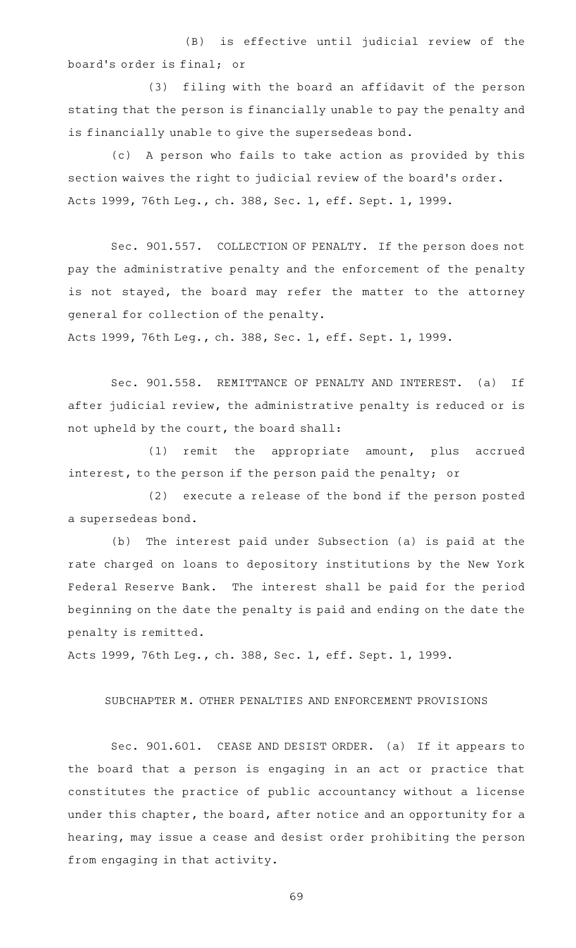(B) is effective until judicial review of the board's order is final; or

(3) filing with the board an affidavit of the person stating that the person is financially unable to pay the penalty and is financially unable to give the supersedeas bond.

(c) A person who fails to take action as provided by this section waives the right to judicial review of the board's order. Acts 1999, 76th Leg., ch. 388, Sec. 1, eff. Sept. 1, 1999.

Sec. 901.557. COLLECTION OF PENALTY. If the person does not pay the administrative penalty and the enforcement of the penalty is not stayed, the board may refer the matter to the attorney general for collection of the penalty.

Acts 1999, 76th Leg., ch. 388, Sec. 1, eff. Sept. 1, 1999.

Sec. 901.558. REMITTANCE OF PENALTY AND INTEREST. (a) If after judicial review, the administrative penalty is reduced or is not upheld by the court, the board shall:

 $(1)$  remit the appropriate amount, plus accrued interest, to the person if the person paid the penalty; or

(2) execute a release of the bond if the person posted a supersedeas bond.

(b) The interest paid under Subsection (a) is paid at the rate charged on loans to depository institutions by the New York Federal Reserve Bank. The interest shall be paid for the period beginning on the date the penalty is paid and ending on the date the penalty is remitted.

Acts 1999, 76th Leg., ch. 388, Sec. 1, eff. Sept. 1, 1999.

### SUBCHAPTER M. OTHER PENALTIES AND ENFORCEMENT PROVISIONS

Sec. 901.601. CEASE AND DESIST ORDER. (a) If it appears to the board that a person is engaging in an act or practice that constitutes the practice of public accountancy without a license under this chapter, the board, after notice and an opportunity for a hearing, may issue a cease and desist order prohibiting the person from engaging in that activity.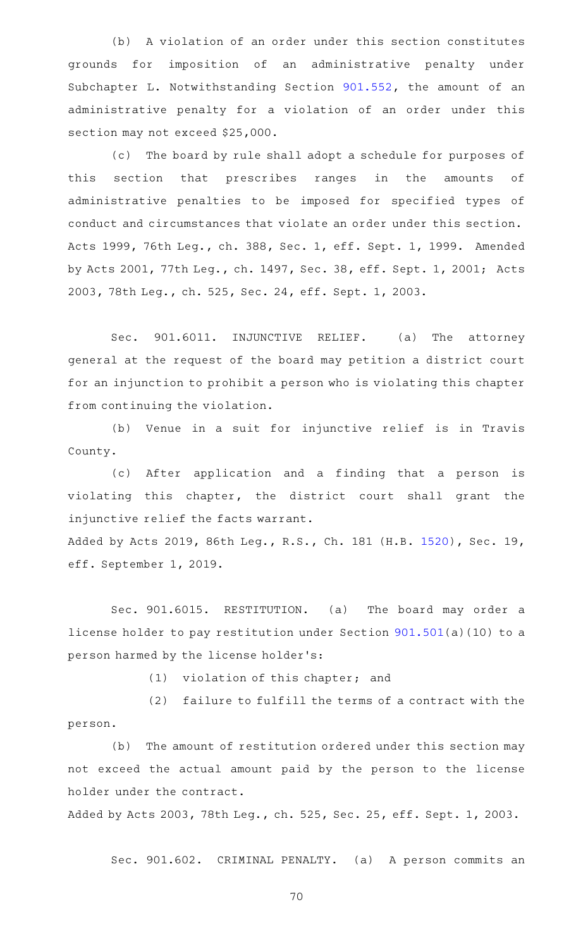(b) A violation of an order under this section constitutes grounds for imposition of an administrative penalty under Subchapter L. Notwithstanding Section [901.552,](https://statutes.capitol.texas.gov/GetStatute.aspx?Code=OC&Value=901.552) the amount of an administrative penalty for a violation of an order under this section may not exceed \$25,000.

(c) The board by rule shall adopt a schedule for purposes of this section that prescribes ranges in the amounts of administrative penalties to be imposed for specified types of conduct and circumstances that violate an order under this section. Acts 1999, 76th Leg., ch. 388, Sec. 1, eff. Sept. 1, 1999. Amended by Acts 2001, 77th Leg., ch. 1497, Sec. 38, eff. Sept. 1, 2001; Acts 2003, 78th Leg., ch. 525, Sec. 24, eff. Sept. 1, 2003.

Sec. 901.6011. INJUNCTIVE RELIEF. (a) The attorney general at the request of the board may petition a district court for an injunction to prohibit a person who is violating this chapter from continuing the violation.

(b) Venue in a suit for injunctive relief is in Travis County.

(c) After application and a finding that a person is violating this chapter, the district court shall grant the injunctive relief the facts warrant.

Added by Acts 2019, 86th Leg., R.S., Ch. 181 (H.B. [1520\)](http://www.legis.state.tx.us/tlodocs/86R/billtext/html/HB01520F.HTM), Sec. 19, eff. September 1, 2019.

Sec. 901.6015. RESTITUTION. (a) The board may order a license holder to pay restitution under Section [901.501\(](https://statutes.capitol.texas.gov/GetStatute.aspx?Code=OC&Value=901.501)a)(10) to a person harmed by the license holder 's:

 $(1)$  violation of this chapter; and

(2) failure to fulfill the terms of a contract with the person.

(b) The amount of restitution ordered under this section may not exceed the actual amount paid by the person to the license holder under the contract.

Added by Acts 2003, 78th Leg., ch. 525, Sec. 25, eff. Sept. 1, 2003.

Sec. 901.602. CRIMINAL PENALTY. (a) A person commits an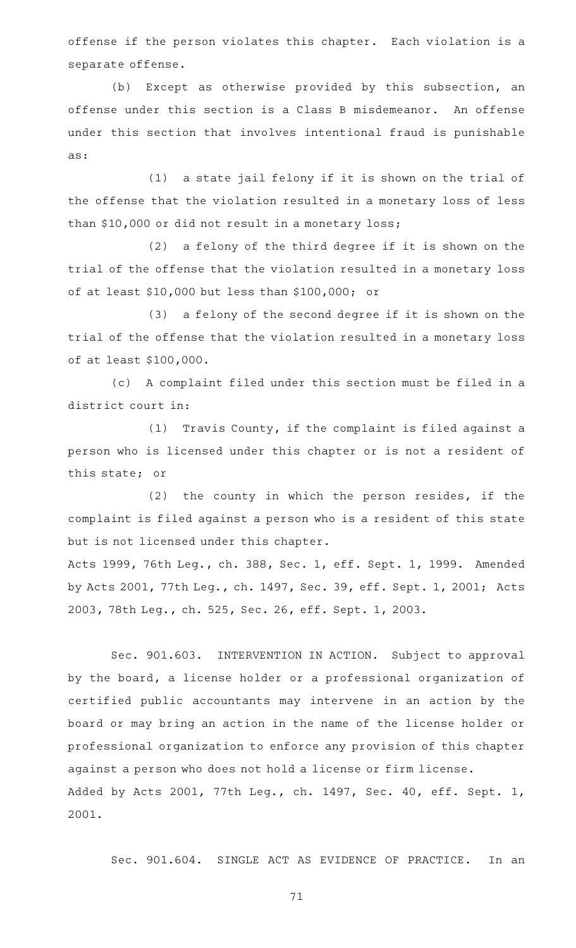offense if the person violates this chapter. Each violation is a separate offense.

(b) Except as otherwise provided by this subsection, an offense under this section is a Class B misdemeanor. An offense under this section that involves intentional fraud is punishable as:

(1) a state jail felony if it is shown on the trial of the offense that the violation resulted in a monetary loss of less than \$10,000 or did not result in a monetary loss;

 $(2)$  a felony of the third degree if it is shown on the trial of the offense that the violation resulted in a monetary loss of at least \$10,000 but less than \$100,000; or

(3) a felony of the second degree if it is shown on the trial of the offense that the violation resulted in a monetary loss of at least \$100,000.

(c) A complaint filed under this section must be filed in a district court in:

(1) Travis County, if the complaint is filed against a person who is licensed under this chapter or is not a resident of this state; or

(2) the county in which the person resides, if the complaint is filed against a person who is a resident of this state but is not licensed under this chapter.

Acts 1999, 76th Leg., ch. 388, Sec. 1, eff. Sept. 1, 1999. Amended by Acts 2001, 77th Leg., ch. 1497, Sec. 39, eff. Sept. 1, 2001; Acts 2003, 78th Leg., ch. 525, Sec. 26, eff. Sept. 1, 2003.

Sec. 901.603. INTERVENTION IN ACTION. Subject to approval by the board, a license holder or a professional organization of certified public accountants may intervene in an action by the board or may bring an action in the name of the license holder or professional organization to enforce any provision of this chapter against a person who does not hold a license or firm license. Added by Acts 2001, 77th Leg., ch. 1497, Sec. 40, eff. Sept. 1, 2001.

Sec. 901.604. SINGLE ACT AS EVIDENCE OF PRACTICE. In an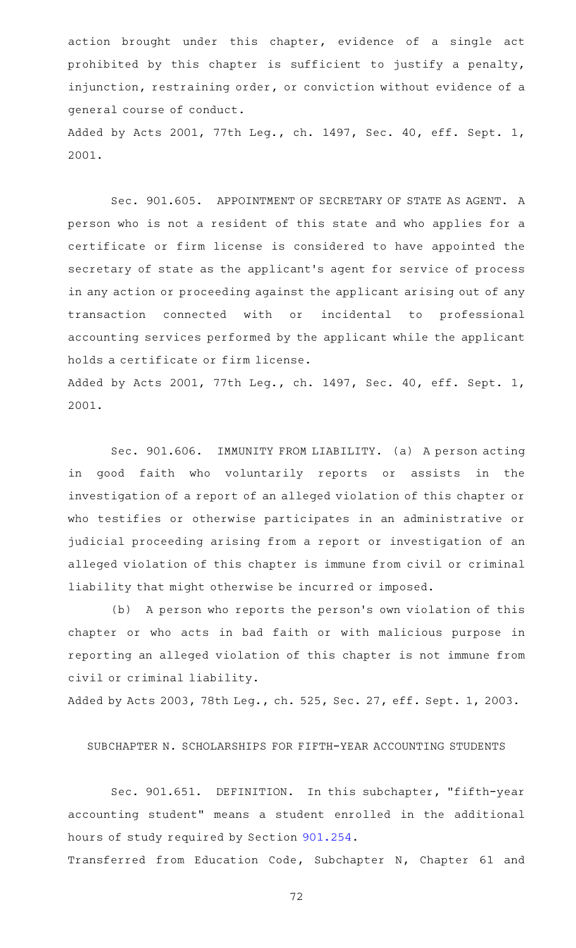action brought under this chapter, evidence of a single act prohibited by this chapter is sufficient to justify a penalty, injunction, restraining order, or conviction without evidence of a general course of conduct.

Added by Acts 2001, 77th Leg., ch. 1497, Sec. 40, eff. Sept. 1, 2001.

Sec. 901.605. APPOINTMENT OF SECRETARY OF STATE AS AGENT. A person who is not a resident of this state and who applies for a certificate or firm license is considered to have appointed the secretary of state as the applicant 's agent for service of process in any action or proceeding against the applicant arising out of any transaction connected with or incidental to professional accounting services performed by the applicant while the applicant holds a certificate or firm license.

Added by Acts 2001, 77th Leg., ch. 1497, Sec. 40, eff. Sept. 1, 2001.

Sec. 901.606. IMMUNITY FROM LIABILITY. (a) A person acting in good faith who voluntarily reports or assists in the investigation of a report of an alleged violation of this chapter or who testifies or otherwise participates in an administrative or judicial proceeding arising from a report or investigation of an alleged violation of this chapter is immune from civil or criminal liability that might otherwise be incurred or imposed.

(b) A person who reports the person's own violation of this chapter or who acts in bad faith or with malicious purpose in reporting an alleged violation of this chapter is not immune from civil or criminal liability.

Added by Acts 2003, 78th Leg., ch. 525, Sec. 27, eff. Sept. 1, 2003.

SUBCHAPTER N. SCHOLARSHIPS FOR FIFTH-YEAR ACCOUNTING STUDENTS

Sec. 901.651. DEFINITION. In this subchapter, "fifth-year accounting student" means a student enrolled in the additional hours of study required by Section [901.254.](https://statutes.capitol.texas.gov/GetStatute.aspx?Code=OC&Value=901.254)

Transferred from Education Code, Subchapter N, Chapter 61 and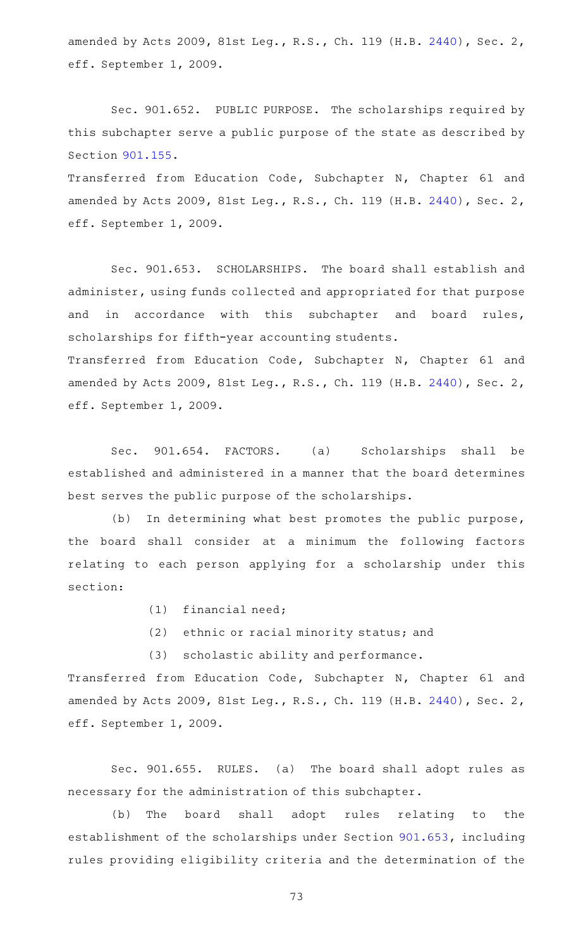amended by Acts 2009, 81st Leg., R.S., Ch. 119 (H.B. [2440\)](http://www.legis.state.tx.us/tlodocs/81R/billtext/html/HB02440F.HTM), Sec. 2, eff. September 1, 2009.

Sec. 901.652. PUBLIC PURPOSE. The scholarships required by this subchapter serve a public purpose of the state as described by Section [901.155.](https://statutes.capitol.texas.gov/GetStatute.aspx?Code=OC&Value=901.155)

Transferred from Education Code, Subchapter N, Chapter 61 and amended by Acts 2009, 81st Leg., R.S., Ch. 119 (H.B. [2440\)](http://www.legis.state.tx.us/tlodocs/81R/billtext/html/HB02440F.HTM), Sec. 2, eff. September 1, 2009.

Sec. 901.653. SCHOLARSHIPS. The board shall establish and administer, using funds collected and appropriated for that purpose and in accordance with this subchapter and board rules, scholarships for fifth-year accounting students. Transferred from Education Code, Subchapter N, Chapter 61 and amended by Acts 2009, 81st Leg., R.S., Ch. 119 (H.B. [2440\)](http://www.legis.state.tx.us/tlodocs/81R/billtext/html/HB02440F.HTM), Sec. 2, eff. September 1, 2009.

Sec. 901.654. FACTORS. (a) Scholarships shall be established and administered in a manner that the board determines best serves the public purpose of the scholarships.

(b) In determining what best promotes the public purpose, the board shall consider at a minimum the following factors relating to each person applying for a scholarship under this section:

- $(1)$  financial need;
- (2) ethnic or racial minority status; and

(3) scholastic ability and performance.

Transferred from Education Code, Subchapter N, Chapter 61 and amended by Acts 2009, 81st Leg., R.S., Ch. 119 (H.B. [2440\)](http://www.legis.state.tx.us/tlodocs/81R/billtext/html/HB02440F.HTM), Sec. 2, eff. September 1, 2009.

Sec. 901.655. RULES. (a) The board shall adopt rules as necessary for the administration of this subchapter.

(b) The board shall adopt rules relating to the establishment of the scholarships under Section [901.653,](https://statutes.capitol.texas.gov/GetStatute.aspx?Code=OC&Value=901.653) including rules providing eligibility criteria and the determination of the

73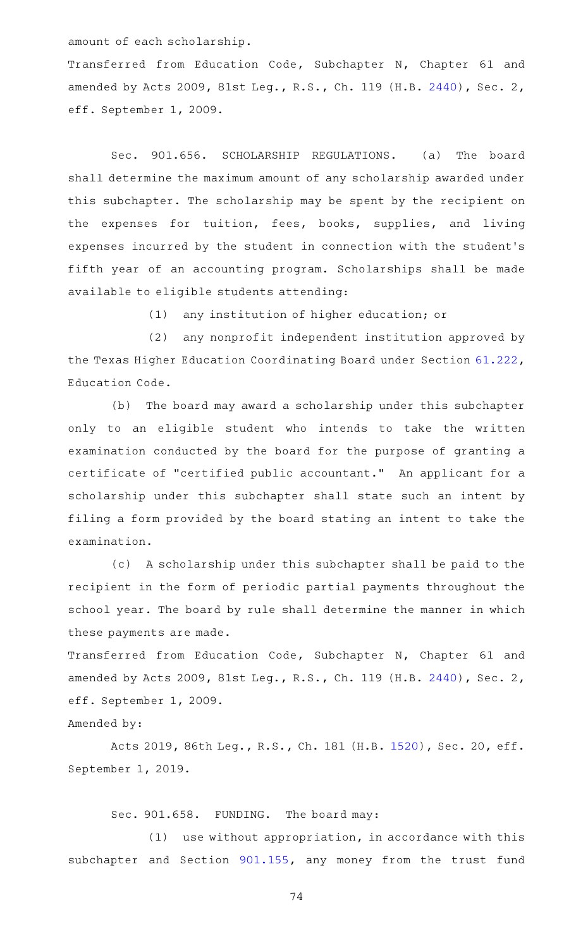amount of each scholarship.

Transferred from Education Code, Subchapter N, Chapter 61 and amended by Acts 2009, 81st Leg., R.S., Ch. 119 (H.B. [2440\)](http://www.legis.state.tx.us/tlodocs/81R/billtext/html/HB02440F.HTM), Sec. 2, eff. September 1, 2009.

Sec. 901.656. SCHOLARSHIP REGULATIONS. (a) The board shall determine the maximum amount of any scholarship awarded under this subchapter. The scholarship may be spent by the recipient on the expenses for tuition, fees, books, supplies, and living expenses incurred by the student in connection with the student 's fifth year of an accounting program. Scholarships shall be made available to eligible students attending:

(1) any institution of higher education; or

(2) any nonprofit independent institution approved by the Texas Higher Education Coordinating Board under Section [61.222](https://statutes.capitol.texas.gov/GetStatute.aspx?Code=ED&Value=61.222), Education Code.

(b) The board may award a scholarship under this subchapter only to an eligible student who intends to take the written examination conducted by the board for the purpose of granting a certificate of "certified public accountant." An applicant for a scholarship under this subchapter shall state such an intent by filing a form provided by the board stating an intent to take the examination.

(c) A scholarship under this subchapter shall be paid to the recipient in the form of periodic partial payments throughout the school year. The board by rule shall determine the manner in which these payments are made.

Transferred from Education Code, Subchapter N, Chapter 61 and amended by Acts 2009, 81st Leg., R.S., Ch. 119 (H.B. [2440\)](http://www.legis.state.tx.us/tlodocs/81R/billtext/html/HB02440F.HTM), Sec. 2, eff. September 1, 2009.

Amended by:

Acts 2019, 86th Leg., R.S., Ch. 181 (H.B. [1520\)](http://www.legis.state.tx.us/tlodocs/86R/billtext/html/HB01520F.HTM), Sec. 20, eff. September 1, 2019.

Sec. 901.658. FUNDING. The board may:

 $(1)$  use without appropriation, in accordance with this subchapter and Section [901.155,](https://statutes.capitol.texas.gov/GetStatute.aspx?Code=OC&Value=901.155) any money from the trust fund

74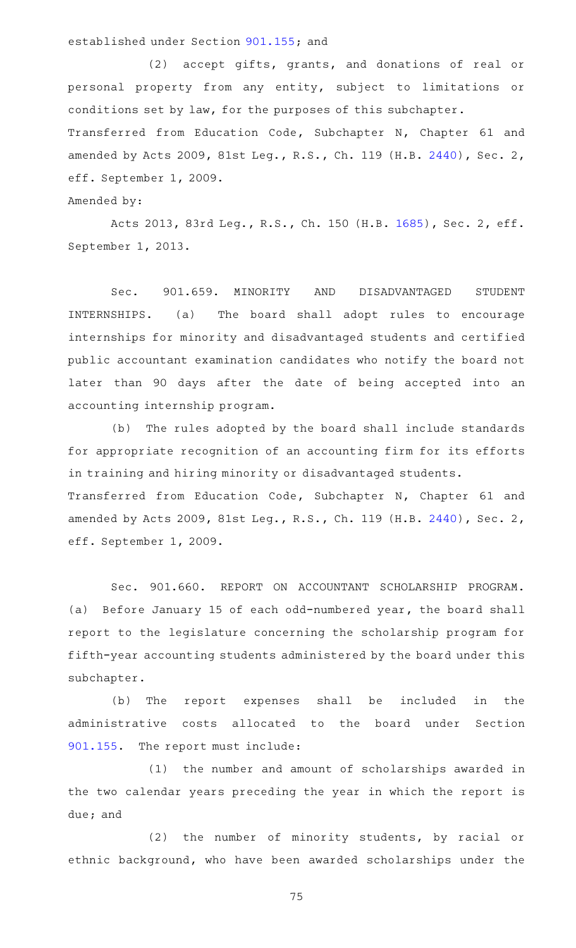## established under Section [901.155;](https://statutes.capitol.texas.gov/GetStatute.aspx?Code=OC&Value=901.155) and

(2) accept gifts, grants, and donations of real or personal property from any entity, subject to limitations or conditions set by law, for the purposes of this subchapter. Transferred from Education Code, Subchapter N, Chapter 61 and amended by Acts 2009, 81st Leg., R.S., Ch. 119 (H.B. [2440\)](http://www.legis.state.tx.us/tlodocs/81R/billtext/html/HB02440F.HTM), Sec. 2, eff. September 1, 2009.

Amended by:

Acts 2013, 83rd Leg., R.S., Ch. 150 (H.B. [1685](http://www.legis.state.tx.us/tlodocs/83R/billtext/html/HB01685F.HTM)), Sec. 2, eff. September 1, 2013.

Sec. 901.659. MINORITY AND DISADVANTAGED STUDENT INTERNSHIPS. (a) The board shall adopt rules to encourage internships for minority and disadvantaged students and certified public accountant examination candidates who notify the board not later than 90 days after the date of being accepted into an accounting internship program.

(b) The rules adopted by the board shall include standards for appropriate recognition of an accounting firm for its efforts in training and hiring minority or disadvantaged students. Transferred from Education Code, Subchapter N, Chapter 61 and amended by Acts 2009, 81st Leg., R.S., Ch. 119 (H.B. [2440\)](http://www.legis.state.tx.us/tlodocs/81R/billtext/html/HB02440F.HTM), Sec. 2, eff. September 1, 2009.

Sec. 901.660. REPORT ON ACCOUNTANT SCHOLARSHIP PROGRAM. (a) Before January 15 of each odd-numbered year, the board shall report to the legislature concerning the scholarship program for fifth-year accounting students administered by the board under this subchapter.

(b) The report expenses shall be included in the administrative costs allocated to the board under Section [901.155.](https://statutes.capitol.texas.gov/GetStatute.aspx?Code=OC&Value=901.155) The report must include:

(1) the number and amount of scholarships awarded in the two calendar years preceding the year in which the report is due; and

(2) the number of minority students, by racial or ethnic background, who have been awarded scholarships under the

75